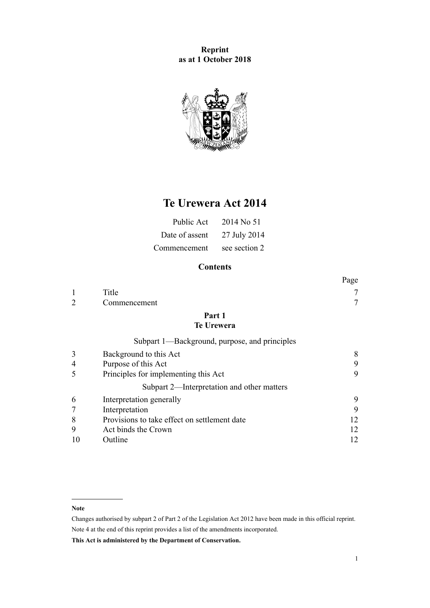**Reprint as at 1 October 2018**



# **Te Urewera Act 2014**

| Public Act     | 2014 No 51    |
|----------------|---------------|
| Date of assent | 27 July 2014  |
| Commencement   | see section 2 |

# **Contents**

|                |                                               | Page |
|----------------|-----------------------------------------------|------|
|                | Title                                         |      |
| $\overline{2}$ | Commencement                                  | 7    |
|                | Part 1<br><b>Te Urewera</b>                   |      |
|                | Subpart 1—Background, purpose, and principles |      |
| 3              | Background to this Act                        | 8    |
| 4              | Purpose of this Act                           | 9    |
| 5              | Principles for implementing this Act          | 9    |
|                | Subpart 2—Interpretation and other matters    |      |
| 6              | Interpretation generally                      | 9    |
| 7              | Interpretation                                | 9    |
| 8              | Provisions to take effect on settlement date  | 12   |
| 9              | Act binds the Crown                           | 12   |
| 10             | Outline                                       | 12   |

#### **Note**

Changes authorised by [subpart 2](http://prd-lgnz-nlb.prd.pco.net.nz/pdflink.aspx?id=DLM2998524) of Part 2 of the Legislation Act 2012 have been made in this official reprint. Note 4 at the end of this reprint provides a list of the amendments incorporated.

**This Act is administered by the Department of Conservation.**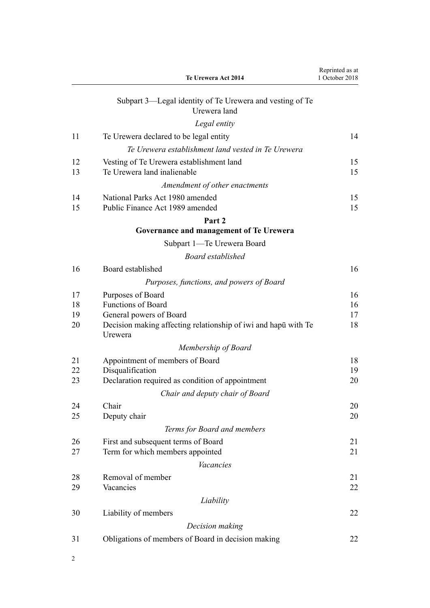|          | Te Urewera Act 2014                                                        | Reprinted as at<br>1 October 2018 |
|----------|----------------------------------------------------------------------------|-----------------------------------|
|          | Subpart 3—Legal identity of Te Urewera and vesting of Te<br>Urewera land   |                                   |
|          | Legal entity                                                               |                                   |
| 11       | Te Urewera declared to be legal entity                                     | 14                                |
|          | Te Urewera establishment land vested in Te Urewera                         |                                   |
| 12<br>13 | Vesting of Te Urewera establishment land<br>Te Urewera land inalienable    | 15<br>15                          |
|          | Amendment of other enactments                                              |                                   |
| 14<br>15 | National Parks Act 1980 amended<br>Public Finance Act 1989 amended         | 15<br>15                          |
|          | Part 2                                                                     |                                   |
|          | Governance and management of Te Urewera                                    |                                   |
|          | Subpart 1-Te Urewera Board                                                 |                                   |
|          | <b>Board established</b>                                                   |                                   |
| 16       | Board established                                                          | 16                                |
|          | Purposes, functions, and powers of Board                                   |                                   |
| 17       | Purposes of Board                                                          | 16                                |
| 18       | <b>Functions of Board</b>                                                  | 16                                |
| 19       | General powers of Board                                                    | 17                                |
| 20       | Decision making affecting relationship of iwi and haput with Te<br>Urewera | 18                                |
|          | Membership of Board                                                        |                                   |
| 21       | Appointment of members of Board                                            | 18                                |
| 22       | Disqualification                                                           | 19                                |
| 23       | Declaration required as condition of appointment                           | 20                                |
|          | Chair and deputy chair of Board                                            |                                   |
| 24<br>25 | Chair<br>Deputy chair                                                      | 20<br>20                          |
|          |                                                                            |                                   |
|          | Terms for Board and members                                                |                                   |
| 26<br>27 | First and subsequent terms of Board<br>Term for which members appointed    | 21<br>21                          |
|          | <b>Vacancies</b>                                                           |                                   |
|          |                                                                            |                                   |
| 28<br>29 | Removal of member<br>Vacancies                                             | 21<br>22                          |
|          | Liability                                                                  |                                   |
| 30       | Liability of members                                                       | 22                                |
|          |                                                                            |                                   |
|          | Decision making                                                            |                                   |
| 31       | Obligations of members of Board in decision making                         | 22                                |

2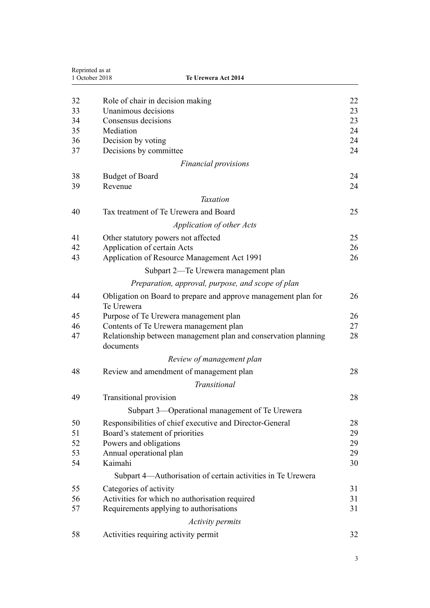|    | 1 October 2018<br>Te Urewera Act 2014                                        |    |
|----|------------------------------------------------------------------------------|----|
| 32 | Role of chair in decision making                                             | 22 |
| 33 | Unanimous decisions                                                          | 23 |
| 34 | Consensus decisions                                                          | 23 |
| 35 | Mediation                                                                    | 24 |
| 36 | Decision by voting                                                           | 24 |
| 37 | Decisions by committee                                                       | 24 |
|    | <b>Financial provisions</b>                                                  |    |
| 38 | <b>Budget of Board</b>                                                       | 24 |
| 39 | Revenue                                                                      | 24 |
|    | <b>Taxation</b>                                                              |    |
| 40 | Tax treatment of Te Urewera and Board                                        | 25 |
|    | Application of other Acts                                                    |    |
| 41 | Other statutory powers not affected                                          | 25 |
| 42 | Application of certain Acts                                                  | 26 |
| 43 | Application of Resource Management Act 1991                                  | 26 |
|    | Subpart 2-Te Urewera management plan                                         |    |
|    | Preparation, approval, purpose, and scope of plan                            |    |
| 44 | Obligation on Board to prepare and approve management plan for<br>Te Urewera | 26 |
| 45 | Purpose of Te Urewera management plan                                        | 26 |
| 46 | Contents of Te Urewera management plan                                       | 27 |
| 47 | Relationship between management plan and conservation planning<br>documents  | 28 |
|    | Review of management plan                                                    |    |
| 48 | Review and amendment of management plan                                      | 28 |
|    | Transitional                                                                 |    |
| 49 | <b>Transitional provision</b>                                                | 28 |
|    | Subpart 3—Operational management of Te Urewera                               |    |
| 50 | Responsibilities of chief executive and Director-General                     | 28 |
| 51 | Board's statement of priorities                                              | 29 |
| 52 | Powers and obligations                                                       | 29 |
| 53 | Annual operational plan                                                      | 29 |
| 54 | Kaimahi                                                                      | 30 |
|    | Subpart 4—Authorisation of certain activities in Te Urewera                  |    |
| 55 | Categories of activity                                                       | 31 |
| 56 | Activities for which no authorisation required                               | 31 |
| 57 | Requirements applying to authorisations                                      | 31 |
|    | <b>Activity permits</b>                                                      |    |
| 58 | Activities requiring activity permit                                         | 32 |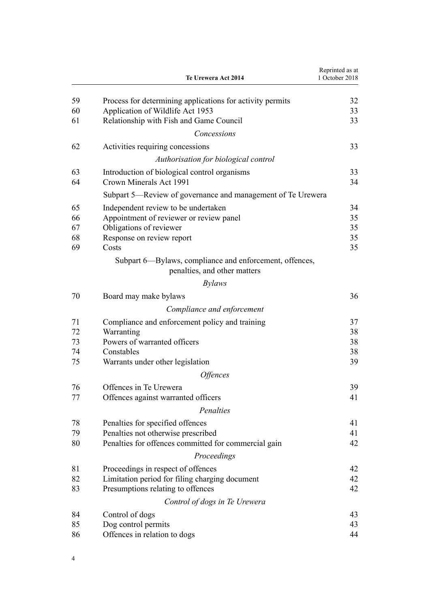|    | Te Urewera Act 2014                                                                     | Reprinted as at<br>1 October 2018 |
|----|-----------------------------------------------------------------------------------------|-----------------------------------|
| 59 | Process for determining applications for activity permits                               | 32                                |
| 60 | Application of Wildlife Act 1953                                                        | 33                                |
| 61 | Relationship with Fish and Game Council                                                 | 33                                |
|    | Concessions                                                                             |                                   |
| 62 | Activities requiring concessions                                                        | 33                                |
|    | Authorisation for biological control                                                    |                                   |
| 63 | Introduction of biological control organisms                                            | 33                                |
| 64 | Crown Minerals Act 1991                                                                 | 34                                |
|    | Subpart 5—Review of governance and management of Te Urewera                             |                                   |
| 65 | Independent review to be undertaken                                                     | 34                                |
| 66 | Appointment of reviewer or review panel                                                 | 35                                |
| 67 | Obligations of reviewer                                                                 | 35                                |
| 68 | Response on review report                                                               | 35                                |
| 69 | Costs                                                                                   | 35                                |
|    | Subpart 6—Bylaws, compliance and enforcement, offences,<br>penalties, and other matters |                                   |
|    | <i>Bylaws</i>                                                                           |                                   |
| 70 | Board may make bylaws                                                                   | 36                                |
|    | Compliance and enforcement                                                              |                                   |
| 71 | Compliance and enforcement policy and training                                          | 37                                |
| 72 | Warranting                                                                              | 38                                |
| 73 | Powers of warranted officers                                                            | 38                                |
| 74 | Constables                                                                              | 38                                |
| 75 | Warrants under other legislation                                                        | 39                                |
|    | <i><b>Offences</b></i>                                                                  |                                   |
| 76 | Offences in Te Urewera                                                                  | 39                                |
| 77 | Offences against warranted officers                                                     | 41                                |
|    | Penalties                                                                               |                                   |
| 78 | Penalties for specified offences                                                        | 41                                |
| 79 | Penalties not otherwise prescribed                                                      | 41                                |
| 80 | Penalties for offences committed for commercial gain                                    | 42                                |
|    | Proceedings                                                                             |                                   |
| 81 | Proceedings in respect of offences                                                      | 42                                |
| 82 | Limitation period for filing charging document                                          | 42                                |
| 83 | Presumptions relating to offences                                                       | 42                                |
|    | Control of dogs in Te Urewera                                                           |                                   |
| 84 | Control of dogs                                                                         | 43                                |
| 85 | Dog control permits                                                                     | 43                                |
| 86 | Offences in relation to dogs                                                            | 44                                |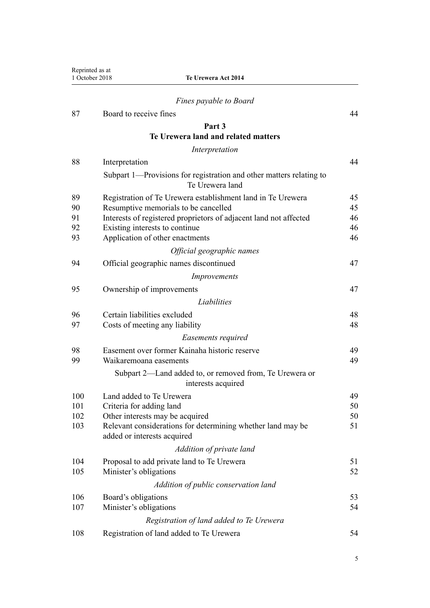| Reprinted as at<br>1 October 2018 | Te Urewera Act 2014                                                                        |          |
|-----------------------------------|--------------------------------------------------------------------------------------------|----------|
|                                   | Fines payable to Board                                                                     |          |
| 87                                | Board to receive fines                                                                     | 44       |
|                                   | Part 3                                                                                     |          |
|                                   | Te Urewera land and related matters                                                        |          |
|                                   | Interpretation                                                                             |          |
| 88                                | Interpretation                                                                             | 44       |
|                                   | Subpart 1-Provisions for registration and other matters relating to<br>Te Urewera land     |          |
| 89                                | Registration of Te Urewera establishment land in Te Urewera                                | 45       |
| 90                                | Resumptive memorials to be cancelled                                                       | 45       |
| 91                                | Interests of registered proprietors of adjacent land not affected                          | 46       |
| 92                                | Existing interests to continue                                                             | 46<br>46 |
| 93                                | Application of other enactments                                                            |          |
|                                   | Official geographic names                                                                  |          |
| 94                                | Official geographic names discontinued                                                     | 47       |
|                                   | Improvements                                                                               |          |
| 95                                | Ownership of improvements                                                                  | 47       |
|                                   | Liabilities                                                                                |          |
| 96                                | Certain liabilities excluded                                                               | 48       |
| 97                                | Costs of meeting any liability                                                             | 48       |
|                                   | Easements required                                                                         |          |
| 98                                | Easement over former Kainaha historic reserve                                              | 49       |
| 99                                | Waikaremoana easements                                                                     | 49       |
|                                   | Subpart 2—Land added to, or removed from, Te Urewera or<br>interests acquired              |          |
| 100                               | Land added to Te Urewera                                                                   | 49       |
| 101                               | Criteria for adding land                                                                   | 50       |
| 102                               | Other interests may be acquired                                                            | 50       |
| 103                               | Relevant considerations for determining whether land may be<br>added or interests acquired | 51       |
|                                   | Addition of private land                                                                   |          |
| 104<br>105                        | Proposal to add private land to Te Urewera<br>Minister's obligations                       | 51<br>52 |
|                                   | Addition of public conservation land                                                       |          |
| 106                               | Board's obligations                                                                        | 53       |
| 107                               | Minister's obligations                                                                     | 54       |
|                                   | Registration of land added to Te Urewera                                                   |          |
| 108                               | Registration of land added to Te Urewera                                                   | 54       |
|                                   |                                                                                            |          |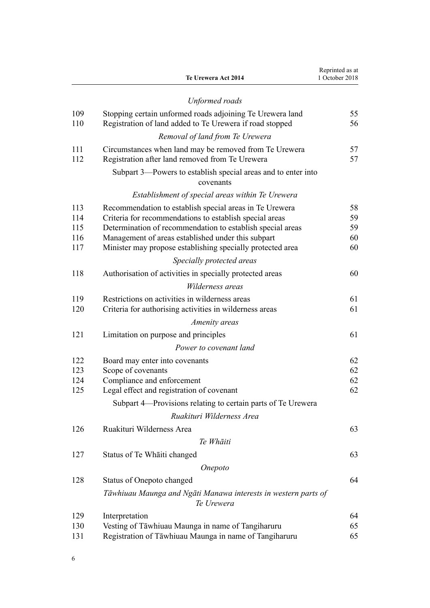|            | Te Urewera Act 2014                                                                                       | Reprinted as at<br>1 October 2018 |
|------------|-----------------------------------------------------------------------------------------------------------|-----------------------------------|
|            | <b>Unformed</b> roads                                                                                     |                                   |
| 109        | Stopping certain unformed roads adjoining Te Urewera land                                                 | 55                                |
| 110        | Registration of land added to Te Urewera if road stopped                                                  | 56                                |
|            | Removal of land from Te Urewera                                                                           |                                   |
| 111<br>112 | Circumstances when land may be removed from Te Urewera<br>Registration after land removed from Te Urewera | 57<br>57                          |
|            | Subpart 3—Powers to establish special areas and to enter into<br>covenants                                |                                   |
|            | Establishment of special areas within Te Urewera                                                          |                                   |
| 113        | Recommendation to establish special areas in Te Urewera                                                   | 58                                |
| 114        | Criteria for recommendations to establish special areas                                                   | 59                                |
| 115        | Determination of recommendation to establish special areas                                                | 59                                |
| 116        | Management of areas established under this subpart                                                        | 60                                |
| 117        | Minister may propose establishing specially protected area                                                | 60                                |
|            | Specially protected areas                                                                                 |                                   |
| 118        | Authorisation of activities in specially protected areas                                                  | 60                                |
|            | Wilderness areas                                                                                          |                                   |
| 119        | Restrictions on activities in wilderness areas                                                            | 61                                |
| 120        | Criteria for authorising activities in wilderness areas                                                   | 61                                |
|            | Amenity areas                                                                                             |                                   |
| 121        | Limitation on purpose and principles                                                                      | 61                                |
|            | Power to covenant land                                                                                    |                                   |
| 122        | Board may enter into covenants                                                                            | 62                                |
| 123        | Scope of covenants                                                                                        | 62                                |
| 124        | Compliance and enforcement                                                                                | 62                                |
| 125        | Legal effect and registration of covenant                                                                 | 62                                |
|            | Subpart 4—Provisions relating to certain parts of Te Urewera                                              |                                   |
|            | Ruakituri Wilderness Area                                                                                 |                                   |
| 126        | Ruakituri Wilderness Area                                                                                 | 63                                |
|            | Te Whāiti                                                                                                 |                                   |
| 127        | Status of Te Whaiti changed                                                                               | 63                                |
|            | Onepoto                                                                                                   |                                   |
| 128        | <b>Status of Onepoto changed</b>                                                                          | 64                                |
|            | Tāwhiuau Maunga and Ngāti Manawa interests in western parts of<br>Te Urewera                              |                                   |
| 129        | Interpretation                                                                                            | 64                                |
| 130        | Vesting of Tāwhiuau Maunga in name of Tangiharuru                                                         | 65                                |
| 131        | Registration of Tāwhiuau Maunga in name of Tangiharuru                                                    | 65                                |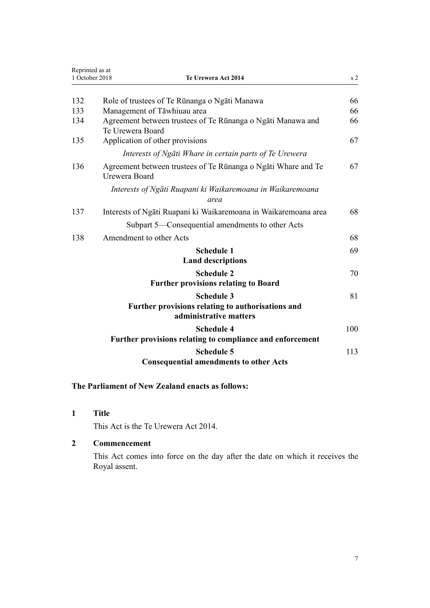<span id="page-6-0"></span>

|     | Reprinted as at<br>1 October 2018<br>Te Urewera Act 2014                                         |     |
|-----|--------------------------------------------------------------------------------------------------|-----|
| 132 | Role of trustees of Te Rūnanga o Ngāti Manawa                                                    | 66  |
| 133 | Management of Tāwhiuau area                                                                      | 66  |
| 134 | Agreement between trustees of Te Rūnanga o Ngāti Manawa and<br>Te Urewera Board                  | 66  |
| 135 | Application of other provisions                                                                  | 67  |
|     | Interests of Ngāti Whare in certain parts of Te Urewera                                          |     |
| 136 | Agreement between trustees of Te Rūnanga o Ngāti Whare and Te<br>Urewera Board                   | 67  |
|     | Interests of Ngāti Ruapani ki Waikaremoana in Waikaremoana<br>area                               |     |
| 137 | Interests of Ngati Ruapani ki Waikaremoana in Waikaremoana area                                  | 68  |
|     | Subpart 5—Consequential amendments to other Acts                                                 |     |
| 138 | Amendment to other Acts                                                                          | 68  |
|     | <b>Schedule 1</b>                                                                                | 69  |
|     | <b>Land descriptions</b>                                                                         |     |
|     | <b>Schedule 2</b>                                                                                | 70  |
|     | <b>Further provisions relating to Board</b>                                                      |     |
|     | <b>Schedule 3</b><br>Further provisions relating to authorisations and<br>administrative matters | 81  |
|     | <b>Schedule 4</b><br>Further provisions relating to compliance and enforcement                   | 100 |
|     | <b>Schedule 5</b><br><b>Consequential amendments to other Acts</b>                               | 113 |

# **The Parliament of New Zealand enacts as follows:**

**1 Title**

This Act is the Te Urewera Act 2014.

# **2 Commencement**

This Act comes into force on the day after the date on which it receives the Royal assent.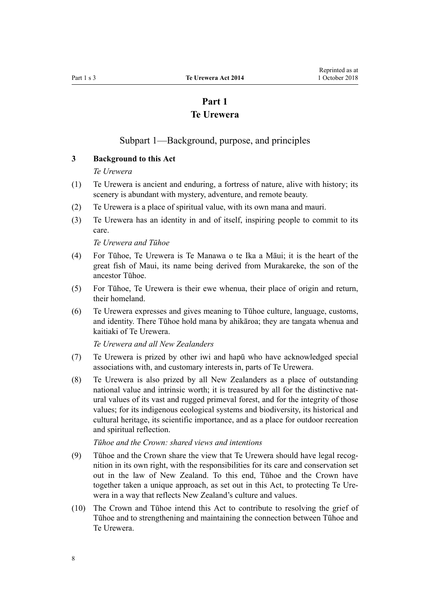# **Part 1 Te Urewera**

# Subpart 1—Background, purpose, and principles

#### <span id="page-7-0"></span>**3 Background to this Act**

## *Te Urewera*

- (1) Te Urewera is ancient and enduring, a fortress of nature, alive with history; its scenery is abundant with mystery, adventure, and remote beauty.
- (2) Te Urewera is a place of spiritual value, with its own mana and mauri.
- (3) Te Urewera has an identity in and of itself, inspiring people to commit to its care.

*Te Urewera and Tūhoe*

- (4) For Tūhoe, Te Urewera is Te Manawa o te Ika a Māui; it is the heart of the great fish of Maui, its name being derived from Murakareke, the son of the ancestor Tūhoe.
- (5) For Tūhoe, Te Urewera is their ewe whenua, their place of origin and return, their homeland.
- (6) Te Urewera expresses and gives meaning to Tūhoe culture, language, customs, and identity. There Tūhoe hold mana by ahikāroa; they are tangata whenua and kaitiaki of Te Urewera.

*Te Urewera and all New Zealanders*

- (7) Te Urewera is prized by other iwi and hapū who have acknowledged special associations with, and customary interests in, parts of Te Urewera.
- (8) Te Urewera is also prized by all New Zealanders as a place of outstanding national value and intrinsic worth; it is treasured by all for the distinctive natural values of its vast and rugged primeval forest, and for the integrity of those values; for its indigenous ecological systems and biodiversity, its historical and cultural heritage, its scientific importance, and as a place for outdoor recreation and spiritual reflection.

*Tūhoe and the Crown: shared views and intentions*

- (9) Tūhoe and the Crown share the view that Te Urewera should have legal recognition in its own right, with the responsibilities for its care and conservation set out in the law of New Zealand. To this end, Tūhoe and the Crown have together taken a unique approach, as set out in this Act, to protecting Te Urewera in a way that reflects New Zealand's culture and values.
- (10) The Crown and Tūhoe intend this Act to contribute to resolving the grief of Tūhoe and to strengthening and maintaining the connection between Tūhoe and Te Urewera.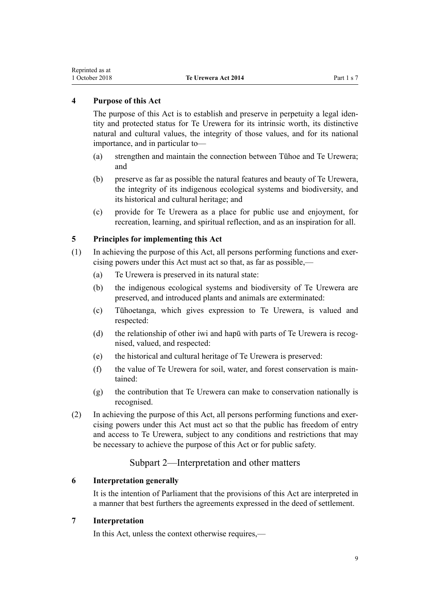# <span id="page-8-0"></span>**4 Purpose of this Act**

The purpose of this Act is to establish and preserve in perpetuity a legal identity and protected status for Te Urewera for its intrinsic worth, its distinctive natural and cultural values, the integrity of those values, and for its national importance, and in particular to—

- (a) strengthen and maintain the connection between Tūhoe and Te Urewera; and
- (b) preserve as far as possible the natural features and beauty of Te Urewera, the integrity of its indigenous ecological systems and biodiversity, and its historical and cultural heritage; and
- (c) provide for Te Urewera as a place for public use and enjoyment, for recreation, learning, and spiritual reflection, and as an inspiration for all.

## **5 Principles for implementing this Act**

- (1) In achieving the purpose of this Act, all persons performing functions and exercising powers under this Act must act so that, as far as possible,—
	- (a) Te Urewera is preserved in its natural state:
	- (b) the indigenous ecological systems and biodiversity of Te Urewera are preserved, and introduced plants and animals are exterminated:
	- (c) Tūhoetanga, which gives expression to Te Urewera, is valued and respected:
	- (d) the relationship of other iwi and hapū with parts of Te Urewera is recognised, valued, and respected:
	- (e) the historical and cultural heritage of Te Urewera is preserved:
	- (f) the value of Te Urewera for soil, water, and forest conservation is maintained:
	- (g) the contribution that Te Urewera can make to conservation nationally is recognised.
- (2) In achieving the purpose of this Act, all persons performing functions and exercising powers under this Act must act so that the public has freedom of entry and access to Te Urewera, subject to any conditions and restrictions that may be necessary to achieve the purpose of this Act or for public safety.

# Subpart 2—Interpretation and other matters

# **6 Interpretation generally**

It is the intention of Parliament that the provisions of this Act are interpreted in a manner that best furthers the agreements expressed in the deed of settlement.

### **7 Interpretation**

In this Act, unless the context otherwise requires,—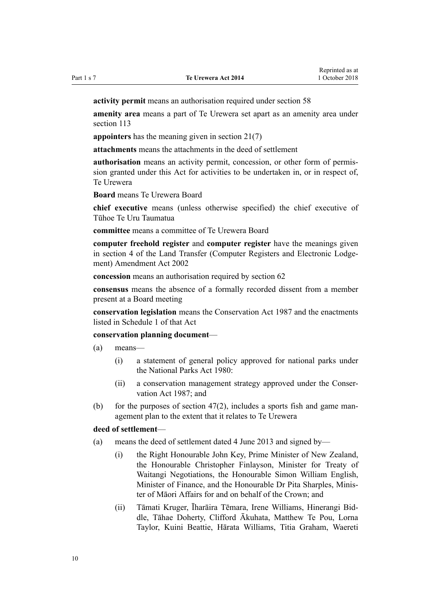**activity permit** means an authorisation required under [section 58](#page-31-0)

**amenity area** means a part of Te Urewera set apart as an amenity area under [section 113](#page-57-0)

**appointers** has the meaning given in [section 21\(7\)](#page-17-0)

**attachments** means the attachments in the deed of settlement

**authorisation** means an activity permit, concession, or other form of permission granted under this Act for activities to be undertaken in, or in respect of, Te Urewera

**Board** means Te Urewera Board

**chief executive** means (unless otherwise specified) the chief executive of Tūhoe Te Uru Taumatua

**committee** means a committee of Te Urewera Board

**computer freehold register** and **computer register** have the meanings given in [section 4](http://prd-lgnz-nlb.prd.pco.net.nz/pdflink.aspx?id=DLM140144) of the Land Transfer (Computer Registers and Electronic Lodgement) Amendment Act 2002

**concession** means an authorisation required by [section 62](#page-32-0)

**consensus** means the absence of a formally recorded dissent from a member present at a Board meeting

**conservation legislation** means the [Conservation Act 1987](http://prd-lgnz-nlb.prd.pco.net.nz/pdflink.aspx?id=DLM103609) and the enactments listed in [Schedule 1](http://prd-lgnz-nlb.prd.pco.net.nz/pdflink.aspx?id=DLM107200) of that Act

#### **conservation planning document**—

- (a) means—
	- (i) a statement of general policy approved for national parks under the [National Parks Act 1980:](http://prd-lgnz-nlb.prd.pco.net.nz/pdflink.aspx?id=DLM36962)
	- (ii) a conservation management strategy approved under the [Conser](http://prd-lgnz-nlb.prd.pco.net.nz/pdflink.aspx?id=DLM103609)[vation Act 1987](http://prd-lgnz-nlb.prd.pco.net.nz/pdflink.aspx?id=DLM103609); and
- (b) for the purposes of section  $47(2)$ , includes a sports fish and game management plan to the extent that it relates to Te Urewera

#### **deed of settlement**—

- (a) means the deed of settlement dated 4 June 2013 and signed by—
	- (i) the Right Honourable John Key, Prime Minister of New Zealand, the Honourable Christopher Finlayson, Minister for Treaty of Waitangi Negotiations, the Honourable Simon William English, Minister of Finance, and the Honourable Dr Pita Sharples, Minister of Māori Affairs for and on behalf of the Crown; and
	- (ii) Tāmati Kruger, Īharāira Tēmara, Irene Williams, Hinerangi Biddle, Tāhae Doherty, Clifford Ākuhata, Matthew Te Pou, Lorna Taylor, Kuini Beattie, Hārata Williams, Titia Graham, Waereti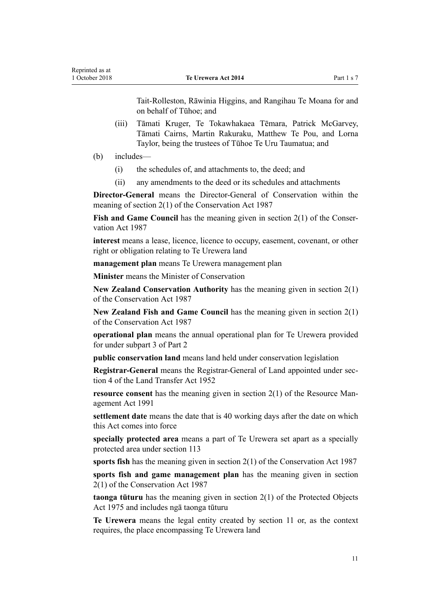Tait-Rolleston, Rāwinia Higgins, and Rangihau Te Moana for and on behalf of Tūhoe; and

- (iii) Tāmati Kruger, Te Tokawhakaea Tēmara, Patrick McGarvey, Tāmati Cairns, Martin Rakuraku, Matthew Te Pou, and Lorna Taylor, being the trustees of Tūhoe Te Uru Taumatua; and
- (b) includes—
	- (i) the schedules of, and attachments to, the deed; and
	- (ii) any amendments to the deed or its schedules and attachments

**Director-General** means the Director-General of Conservation within the meaning of [section 2\(1\)](http://prd-lgnz-nlb.prd.pco.net.nz/pdflink.aspx?id=DLM103616) of the Conservation Act 1987

**Fish and Game Council** has the meaning given in [section 2\(1\)](http://prd-lgnz-nlb.prd.pco.net.nz/pdflink.aspx?id=DLM103616) of the Conservation Act 1987

**interest** means a lease, licence, licence to occupy, easement, covenant, or other right or obligation relating to Te Urewera land

**management plan** means Te Urewera management plan

**Minister** means the Minister of Conservation

**New Zealand Conservation Authority** has the meaning given in [section 2\(1\)](http://prd-lgnz-nlb.prd.pco.net.nz/pdflink.aspx?id=DLM103616) of the Conservation Act 1987

**New Zealand Fish and Game Council** has the meaning given in [section 2\(1\)](http://prd-lgnz-nlb.prd.pco.net.nz/pdflink.aspx?id=DLM103616) of the Conservation Act 1987

**operational plan** means the annual operational plan for Te Urewera provided for under [subpart 3](#page-27-0) of Part 2

**public conservation land** means land held under conservation legislation

**Registrar-General** means the Registrar-General of Land appointed under [sec](http://prd-lgnz-nlb.prd.pco.net.nz/pdflink.aspx?id=DLM270019)[tion 4](http://prd-lgnz-nlb.prd.pco.net.nz/pdflink.aspx?id=DLM270019) of the Land Transfer Act 1952

**resource consent** has the meaning given in [section 2\(1\)](http://prd-lgnz-nlb.prd.pco.net.nz/pdflink.aspx?id=DLM230272) of the Resource Management Act 1991

**settlement date** means the date that is 40 working days after the date on which this Act comes into force

**specially protected area** means a part of Te Urewera set apart as a specially protected area under [section 113](#page-57-0)

**sports fish** has the meaning given in [section 2\(1\)](http://prd-lgnz-nlb.prd.pco.net.nz/pdflink.aspx?id=DLM103616) of the Conservation Act 1987

**sports fish and game management plan** has the meaning given in [section](http://prd-lgnz-nlb.prd.pco.net.nz/pdflink.aspx?id=DLM103616) [2\(1\)](http://prd-lgnz-nlb.prd.pco.net.nz/pdflink.aspx?id=DLM103616) of the Conservation Act 1987

**taonga tūturu** has the meaning given in [section 2\(1\)](http://prd-lgnz-nlb.prd.pco.net.nz/pdflink.aspx?id=DLM432125) of the Protected Objects Act 1975 and includes ngā taonga tūturu

**Te Urewera** means the legal entity created by [section 11](#page-13-0) or, as the context requires, the place encompassing Te Urewera land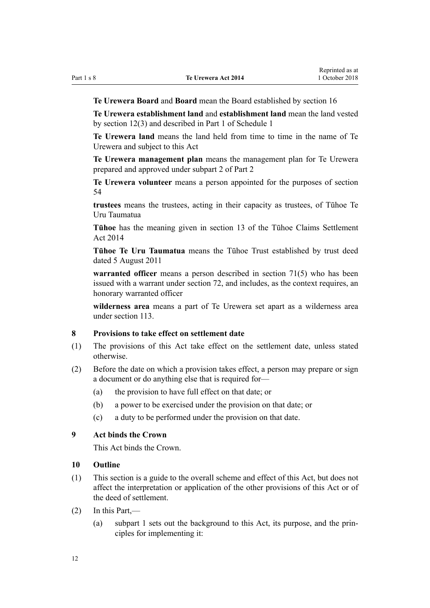<span id="page-11-0"></span>

**Te Urewera Board** and **Board** mean the Board established by [section 16](#page-15-0)

**Te Urewera establishment land** and **establishment land** mean the land vested by [section 12\(3\)](#page-14-0) and described in [Part 1](#page-68-0) of Schedule 1

**Te Urewera land** means the land held from time to time in the name of Te Urewera and subject to this Act

**Te Urewera management plan** means the management plan for Te Urewera prepared and approved under [subpart 2](#page-25-0) of Part 2

**Te Urewera volunteer** means a person appointed for the purposes of [section](#page-29-0) [54](#page-29-0)

**trustees** means the trustees, acting in their capacity as trustees, of Tūhoe Te Uru Taumatua

**Tūhoe** has the meaning given in [section 13](http://prd-lgnz-nlb.prd.pco.net.nz/pdflink.aspx?id=DLM5481318) of the Tūhoe Claims Settlement Act 2014

**Tūhoe Te Uru Taumatua** means the Tūhoe Trust established by trust deed dated 5 August 2011

**warranted officer** means a person described in [section 71\(5\)](#page-36-0) who has been issued with a warrant under [section 72,](#page-37-0) and includes, as the context requires, an honorary warranted officer

**wilderness area** means a part of Te Urewera set apart as a wilderness area under [section 113.](#page-57-0)

### **8 Provisions to take effect on settlement date**

- (1) The provisions of this Act take effect on the settlement date, unless stated otherwise.
- (2) Before the date on which a provision takes effect, a person may prepare or sign a document or do anything else that is required for—
	- (a) the provision to have full effect on that date; or
	- (b) a power to be exercised under the provision on that date; or
	- (c) a duty to be performed under the provision on that date.

# **9 Act binds the Crown**

This Act binds the Crown.

#### **10 Outline**

- (1) This section is a guide to the overall scheme and effect of this Act, but does not affect the interpretation or application of the other provisions of this Act or of the deed of settlement.
- (2) In this Part,—
	- (a) [subpart 1](#page-7-0) sets out the background to this Act, its purpose, and the principles for implementing it: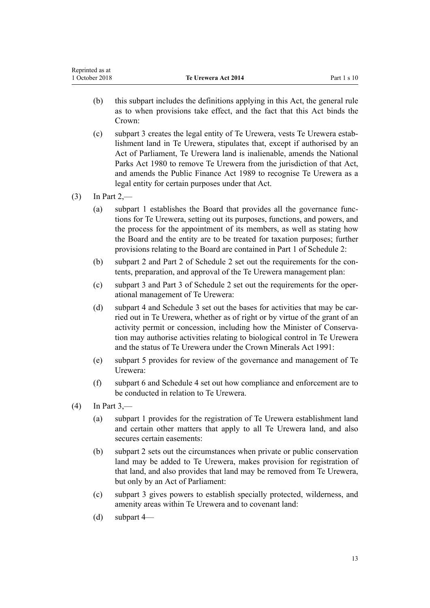- (b) this subpart includes the definitions applying in this Act, the general rule as to when provisions take effect, and the fact that this Act binds the Crown:
- (c) [subpart 3](#page-13-0) creates the legal entity of Te Urewera, vests Te Urewera establishment land in Te Urewera, stipulates that, except if authorised by an Act of Parliament, Te Urewera land is inalienable, amends the [National](http://prd-lgnz-nlb.prd.pco.net.nz/pdflink.aspx?id=DLM36962) [Parks Act 1980](http://prd-lgnz-nlb.prd.pco.net.nz/pdflink.aspx?id=DLM36962) to remove Te Urewera from the jurisdiction of that Act, and amends the [Public Finance Act 1989](http://prd-lgnz-nlb.prd.pco.net.nz/pdflink.aspx?id=DLM160808) to recognise Te Urewera as a legal entity for certain purposes under that Act.
- $(3)$  In [Part 2,](#page-15-0)
	- (a) [subpart 1](#page-7-0) establishes the Board that provides all the governance functions for Te Urewera, setting out its purposes, functions, and powers, and the process for the appointment of its members, as well as stating how the Board and the entity are to be treated for taxation purposes; further provisions relating to the Board are contained in [Part 1](#page-70-0) of Schedule 2:
	- (b) [subpart 2](#page-25-0) and [Part 2](#page-76-0) of Schedule 2 set out the requirements for the contents, preparation, and approval of the Te Urewera management plan:
	- (c) [subpart 3](#page-27-0) and [Part 3](#page-79-0) of Schedule 2 set out the requirements for the operational management of Te Urewera:
	- (d) [subpart 4](#page-30-0) and Schedule 3 set out the bases for activities that may be carried out in Te Urewera, whether as of right or by virtue of the grant of an activity permit or concession, including how the Minister of Conservation may authorise activities relating to biological control in Te Urewera and the status of Te Urewera under the [Crown Minerals Act 1991](http://prd-lgnz-nlb.prd.pco.net.nz/pdflink.aspx?id=DLM242535):
	- (e) [subpart 5](#page-33-0) provides for review of the governance and management of Te Urewera:
	- (f) [subpart 6](#page-35-0) and [Schedule 4](#page-99-0) set out how compliance and enforcement are to be conducted in relation to Te Urewera.
- $(4)$  In [Part 3,](#page-43-0)
	- (a) [subpart 1](#page-44-0) provides for the registration of Te Urewera establishment land and certain other matters that apply to all Te Urewera land, and also secures certain easements:
	- (b) [subpart 2](#page-48-0) sets out the circumstances when private or public conservation land may be added to Te Urewera, makes provision for registration of that land, and also provides that land may be removed from Te Urewera, but only by an Act of Parliament:
	- (c) [subpart 3](#page-57-0) gives powers to establish specially protected, wilderness, and amenity areas within Te Urewera and to covenant land:
	- (d) [subpart 4—](#page-62-0)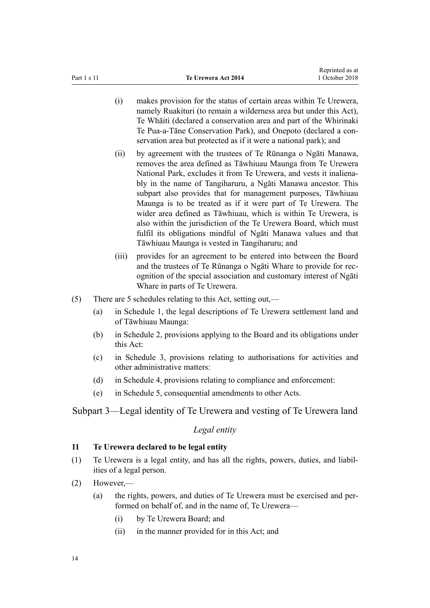- <span id="page-13-0"></span>(i) makes provision for the status of certain areas within Te Urewera, namely Ruakituri (to remain a wilderness area but under this Act), Te Whāiti (declared a conservation area and part of the Whirinaki Te Pua-a-Tāne Conservation Park), and Onepoto (declared a conservation area but protected as if it were a national park); and
- (ii) by agreement with the trustees of Te Rūnanga o Ngāti Manawa, removes the area defined as Tāwhiuau Maunga from Te Urewera National Park, excludes it from Te Urewera, and vests it inalienably in the name of Tangiharuru, a Ngāti Manawa ancestor. This subpart also provides that for management purposes, Tāwhiuau Maunga is to be treated as if it were part of Te Urewera. The wider area defined as Tāwhiuau, which is within Te Urewera, is also within the jurisdiction of the Te Urewera Board, which must fulfil its obligations mindful of Ngāti Manawa values and that Tāwhiuau Maunga is vested in Tangiharuru; and
- (iii) provides for an agreement to be entered into between the Board and the trustees of Te Rūnanga o Ngāti Whare to provide for recognition of the special association and customary interest of Ngāti Whare in parts of Te Urewera.
- (5) There are 5 schedules relating to this Act, setting out,—
	- (a) in [Schedule 1,](#page-68-0) the legal descriptions of Te Urewera settlement land and of Tāwhiuau Maunga:
	- (b) in [Schedule 2](#page-69-0), provisions applying to the Board and its obligations under this Act:
	- (c) in [Schedule 3,](#page-80-0) provisions relating to authorisations for activities and other administrative matters:
	- (d) in [Schedule 4,](#page-99-0) provisions relating to compliance and enforcement:
	- (e) in [Schedule 5,](#page-112-0) consequential amendments to other Acts.

Subpart 3—Legal identity of Te Urewera and vesting of Te Urewera land

#### *Legal entity*

## **11 Te Urewera declared to be legal entity**

- (1) Te Urewera is a legal entity, and has all the rights, powers, duties, and liabilities of a legal person.
- (2) However,—
	- (a) the rights, powers, and duties of Te Urewera must be exercised and performed on behalf of, and in the name of, Te Urewera—
		- (i) by Te Urewera Board; and
		- (ii) in the manner provided for in this Act; and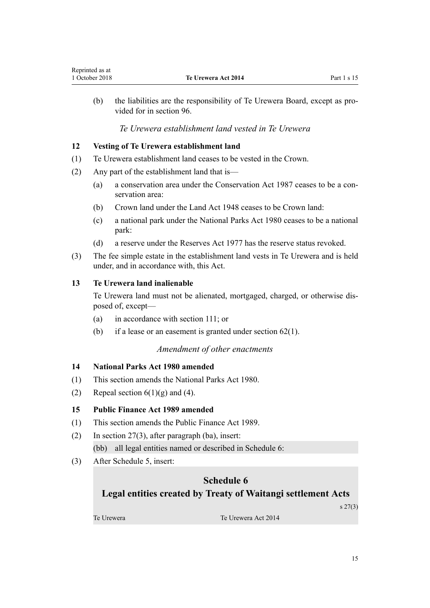<span id="page-14-0"></span>(b) the liabilities are the responsibility of Te Urewera Board, except as provided for in [section 96.](#page-47-0)

## *Te Urewera establishment land vested in Te Urewera*

### **12 Vesting of Te Urewera establishment land**

- (1) Te Urewera establishment land ceases to be vested in the Crown.
- (2) Any part of the establishment land that is—
	- (a) a conservation area under the [Conservation Act 1987](http://prd-lgnz-nlb.prd.pco.net.nz/pdflink.aspx?id=DLM103609) ceases to be a conservation area:
	- (b) Crown land under the [Land Act 1948](http://prd-lgnz-nlb.prd.pco.net.nz/pdflink.aspx?id=DLM250585) ceases to be Crown land:
	- (c) a national park under the [National Parks Act 1980](http://prd-lgnz-nlb.prd.pco.net.nz/pdflink.aspx?id=DLM36962) ceases to be a national park:
	- (d) a reserve under the [Reserves Act 1977](http://prd-lgnz-nlb.prd.pco.net.nz/pdflink.aspx?id=DLM444304) has the reserve status revoked.
- (3) The fee simple estate in the establishment land vests in Te Urewera and is held under, and in accordance with, this Act.

# **13 Te Urewera land inalienable**

Te Urewera land must not be alienated, mortgaged, charged, or otherwise disposed of, except—

- (a) in accordance with [section 111;](#page-56-0) or
- (b) if a lease or an easement is granted under section  $62(1)$ .

### *Amendment of other enactments*

# **14 National Parks Act 1980 amended**

- (1) This section amends the [National Parks Act 1980](http://prd-lgnz-nlb.prd.pco.net.nz/pdflink.aspx?id=DLM36962).
- (2) Repeal section  $6(1)(g)$  and (4).

## **15 Public Finance Act 1989 amended**

- (1) This section amends the [Public Finance Act 1989.](http://prd-lgnz-nlb.prd.pco.net.nz/pdflink.aspx?id=DLM160808)
- (2) In [section 27\(3\)](http://prd-lgnz-nlb.prd.pco.net.nz/pdflink.aspx?id=DLM162017), after paragraph (ba), insert: (bb) all legal entities named or described in Schedule 6:
- (3) After [Schedule 5](http://prd-lgnz-nlb.prd.pco.net.nz/pdflink.aspx?id=DLM163652), insert:

# **Schedule 6 Legal entities created by Treaty of Waitangi settlement Acts**

s 27(3)

Te Urewera Te Urewera Act 2014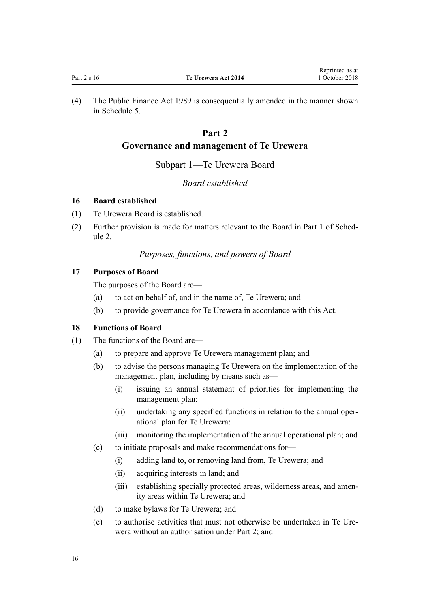<span id="page-15-0"></span>(4) The [Public Finance Act 1989](http://prd-lgnz-nlb.prd.pco.net.nz/pdflink.aspx?id=DLM160808) is consequentially amended in the manner shown in [Schedule 5.](#page-112-0)

# **Part 2**

# **Governance and management of Te Urewera**

### Subpart 1—Te Urewera Board

# *Board established*

### **16 Board established**

- (1) Te Urewera Board is established.
- (2) Further provision is made for matters relevant to the Board in [Part 1](#page-70-0) of Schedule 2.

# *Purposes, functions, and powers of Board*

## **17 Purposes of Board**

The purposes of the Board are—

- (a) to act on behalf of, and in the name of, Te Urewera; and
- (b) to provide governance for Te Urewera in accordance with this Act.

## **18 Functions of Board**

- (1) The functions of the Board are—
	- (a) to prepare and approve Te Urewera management plan; and
	- (b) to advise the persons managing Te Urewera on the implementation of the management plan, including by means such as—
		- (i) issuing an annual statement of priorities for implementing the management plan:
		- (ii) undertaking any specified functions in relation to the annual operational plan for Te Urewera:
		- (iii) monitoring the implementation of the annual operational plan; and
	- (c) to initiate proposals and make recommendations for—
		- (i) adding land to, or removing land from, Te Urewera; and
		- (ii) acquiring interests in land; and
		- (iii) establishing specially protected areas, wilderness areas, and amenity areas within Te Urewera; and
	- (d) to make bylaws for Te Urewera; and
	- (e) to authorise activities that must not otherwise be undertaken in Te Urewera without an authorisation under Part 2; and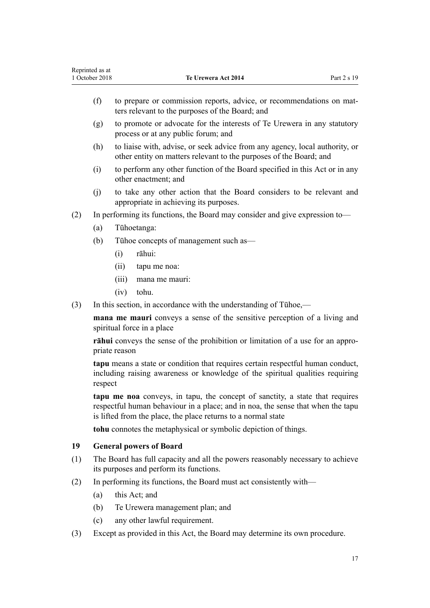|                                                                           | (h)                                                                                                                                                                         |                                                                                                         | to liaise with, advise, or seek advice from any agency, local authority, or<br>other entity on matters relevant to the purposes of the Board; and                                                                                |    |  |
|---------------------------------------------------------------------------|-----------------------------------------------------------------------------------------------------------------------------------------------------------------------------|---------------------------------------------------------------------------------------------------------|----------------------------------------------------------------------------------------------------------------------------------------------------------------------------------------------------------------------------------|----|--|
|                                                                           | (i)                                                                                                                                                                         |                                                                                                         | to perform any other function of the Board specified in this Act or in any<br>other enactment; and                                                                                                                               |    |  |
|                                                                           | (j)                                                                                                                                                                         |                                                                                                         | to take any other action that the Board considers to be relevant and<br>appropriate in achieving its purposes.                                                                                                                   |    |  |
| (2)                                                                       |                                                                                                                                                                             | In performing its functions, the Board may consider and give expression to-                             |                                                                                                                                                                                                                                  |    |  |
|                                                                           | (a)                                                                                                                                                                         |                                                                                                         | Tūhoetanga:                                                                                                                                                                                                                      |    |  |
|                                                                           | (b)                                                                                                                                                                         |                                                                                                         | Tūhoe concepts of management such as—                                                                                                                                                                                            |    |  |
|                                                                           |                                                                                                                                                                             | (i)                                                                                                     | rāhui:                                                                                                                                                                                                                           |    |  |
|                                                                           |                                                                                                                                                                             | (ii)                                                                                                    | tapu me noa:                                                                                                                                                                                                                     |    |  |
|                                                                           |                                                                                                                                                                             | (iii)                                                                                                   | mana me mauri:                                                                                                                                                                                                                   |    |  |
|                                                                           |                                                                                                                                                                             | (iv)                                                                                                    | tohu.                                                                                                                                                                                                                            |    |  |
| (3)                                                                       |                                                                                                                                                                             |                                                                                                         | In this section, in accordance with the understanding of Tūhoe,—                                                                                                                                                                 |    |  |
|                                                                           |                                                                                                                                                                             | mana me mauri conveys a sense of the sensitive perception of a living and<br>spiritual force in a place |                                                                                                                                                                                                                                  |    |  |
|                                                                           | rāhui conveys the sense of the prohibition or limitation of a use for an appro-<br>priate reason                                                                            |                                                                                                         |                                                                                                                                                                                                                                  |    |  |
|                                                                           | tapu means a state or condition that requires certain respectful human conduct,<br>including raising awareness or knowledge of the spiritual qualities requiring<br>respect |                                                                                                         |                                                                                                                                                                                                                                  |    |  |
|                                                                           |                                                                                                                                                                             |                                                                                                         | tapu me noa conveys, in tapu, the concept of sanctity, a state that requires<br>respectful human behaviour in a place; and in noa, the sense that when the tapu<br>is lifted from the place, the place returns to a normal state |    |  |
|                                                                           |                                                                                                                                                                             |                                                                                                         | <b>tohu</b> connotes the metaphysical or symbolic depiction of things.                                                                                                                                                           |    |  |
| 19                                                                        |                                                                                                                                                                             |                                                                                                         | <b>General powers of Board</b>                                                                                                                                                                                                   |    |  |
| (1)                                                                       | The Board has full capacity and all the powers reasonably necessary to achieve<br>its purposes and perform its functions.                                                   |                                                                                                         |                                                                                                                                                                                                                                  |    |  |
| (2)<br>In performing its functions, the Board must act consistently with— |                                                                                                                                                                             |                                                                                                         |                                                                                                                                                                                                                                  |    |  |
|                                                                           | (a)                                                                                                                                                                         |                                                                                                         | this Act; and                                                                                                                                                                                                                    |    |  |
|                                                                           | (b)                                                                                                                                                                         |                                                                                                         | Te Urewera management plan; and                                                                                                                                                                                                  |    |  |
|                                                                           | (c)                                                                                                                                                                         |                                                                                                         | any other lawful requirement.                                                                                                                                                                                                    |    |  |
| (3)                                                                       |                                                                                                                                                                             |                                                                                                         | Except as provided in this Act, the Board may determine its own procedure.                                                                                                                                                       |    |  |
|                                                                           |                                                                                                                                                                             |                                                                                                         |                                                                                                                                                                                                                                  | 17 |  |
|                                                                           |                                                                                                                                                                             |                                                                                                         |                                                                                                                                                                                                                                  |    |  |

(f) to prepare or commission reports, advice, or recommendations on mat-

**1 October 2014 Te Urewera Act 2014** Part 2 s 19

(g) to promote or advocate for the interests of Te Urewera in any statutory

ters relevant to the purposes of the Board; and

process or at any public forum; and

<span id="page-16-0"></span>Reprinted as at<br>1 October 2018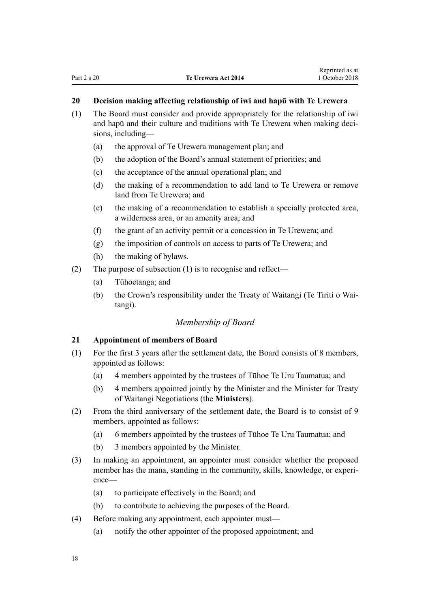# <span id="page-17-0"></span>**20 Decision making affecting relationship of iwi and hapū with Te Urewera**

- (1) The Board must consider and provide appropriately for the relationship of iwi and hapū and their culture and traditions with Te Urewera when making decisions, including—
	- (a) the approval of Te Urewera management plan; and
	- (b) the adoption of the Board's annual statement of priorities; and
	- (c) the acceptance of the annual operational plan; and
	- (d) the making of a recommendation to add land to Te Urewera or remove land from Te Urewera; and
	- (e) the making of a recommendation to establish a specially protected area, a wilderness area, or an amenity area; and
	- (f) the grant of an activity permit or a concession in Te Urewera; and
	- (g) the imposition of controls on access to parts of Te Urewera; and
	- (h) the making of bylaws.
- (2) The purpose of subsection (1) is to recognise and reflect—
	- (a) Tūhoetanga; and
	- (b) the Crown's responsibility under the Treaty of Waitangi (Te Tiriti o Waitangi).

# *Membership of Board*

# **21 Appointment of members of Board**

- (1) For the first 3 years after the settlement date, the Board consists of 8 members, appointed as follows:
	- (a) 4 members appointed by the trustees of Tūhoe Te Uru Taumatua; and
	- (b) 4 members appointed jointly by the Minister and the Minister for Treaty of Waitangi Negotiations (the **Ministers**).
- (2) From the third anniversary of the settlement date, the Board is to consist of 9 members, appointed as follows:
	- (a) 6 members appointed by the trustees of Tūhoe Te Uru Taumatua; and
	- (b) 3 members appointed by the Minister.
- (3) In making an appointment, an appointer must consider whether the proposed member has the mana, standing in the community, skills, knowledge, or experience—
	- (a) to participate effectively in the Board; and
	- (b) to contribute to achieving the purposes of the Board.
- (4) Before making any appointment, each appointer must—
	- (a) notify the other appointer of the proposed appointment; and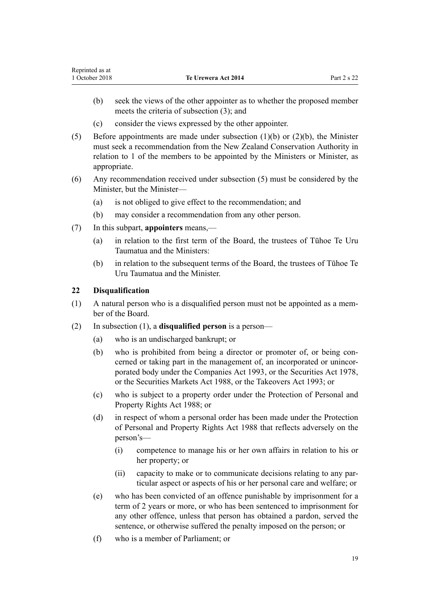- <span id="page-18-0"></span>(b) seek the views of the other appointer as to whether the proposed member meets the criteria of subsection (3); and
- (c) consider the views expressed by the other appointer.
- (5) Before appointments are made under subsection (1)(b) or (2)(b), the Minister must seek a recommendation from the New Zealand Conservation Authority in relation to 1 of the members to be appointed by the Ministers or Minister, as appropriate.
- (6) Any recommendation received under subsection (5) must be considered by the Minister, but the Minister—
	- (a) is not obliged to give effect to the recommendation; and
	- (b) may consider a recommendation from any other person.
- (7) In this subpart, **appointers** means,—
	- (a) in relation to the first term of the Board, the trustees of Tūhoe Te Uru Taumatua and the Ministers:
	- (b) in relation to the subsequent terms of the Board, the trustees of Tūhoe Te Uru Taumatua and the Minister.

## **22 Disqualification**

- (1) A natural person who is a disqualified person must not be appointed as a member of the Board.
- (2) In subsection (1), a **disqualified person** is a person—
	- (a) who is an undischarged bankrupt; or
	- (b) who is prohibited from being a director or promoter of, or being concerned or taking part in the management of, an incorporated or unincorporated body under the [Companies Act 1993,](http://prd-lgnz-nlb.prd.pco.net.nz/pdflink.aspx?id=DLM319569) or the [Securities Act 1978](http://prd-lgnz-nlb.prd.pco.net.nz/pdflink.aspx?id=DLM25999), or the [Securities Markets Act 1988,](http://prd-lgnz-nlb.prd.pco.net.nz/pdflink.aspx?id=DLM139726) or the [Takeovers Act 1993](http://prd-lgnz-nlb.prd.pco.net.nz/pdflink.aspx?id=DLM325508); or
	- (c) who is subject to a property order under the [Protection of Personal and](http://prd-lgnz-nlb.prd.pco.net.nz/pdflink.aspx?id=DLM126527) [Property Rights Act 1988](http://prd-lgnz-nlb.prd.pco.net.nz/pdflink.aspx?id=DLM126527); or
	- (d) in respect of whom a personal order has been made under the [Protection](http://prd-lgnz-nlb.prd.pco.net.nz/pdflink.aspx?id=DLM126527) [of Personal and Property Rights Act 1988](http://prd-lgnz-nlb.prd.pco.net.nz/pdflink.aspx?id=DLM126527) that reflects adversely on the person's—
		- (i) competence to manage his or her own affairs in relation to his or her property; or
		- (ii) capacity to make or to communicate decisions relating to any particular aspect or aspects of his or her personal care and welfare; or
	- (e) who has been convicted of an offence punishable by imprisonment for a term of 2 years or more, or who has been sentenced to imprisonment for any other offence, unless that person has obtained a pardon, served the sentence, or otherwise suffered the penalty imposed on the person; or
	- (f) who is a member of Parliament; or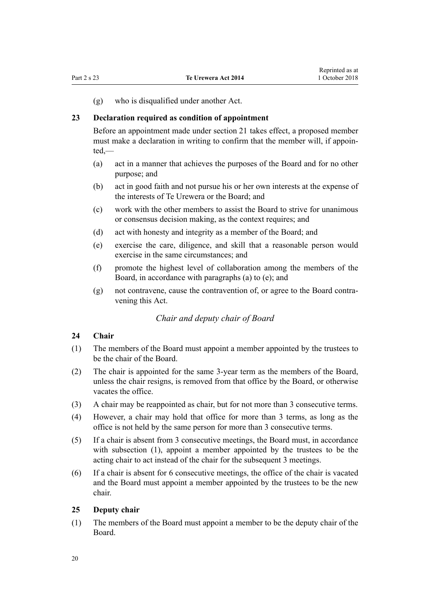<span id="page-19-0"></span>(g) who is disqualified under another Act.

#### **23 Declaration required as condition of appointment**

Before an appointment made under [section 21](#page-17-0) takes effect, a proposed member must make a declaration in writing to confirm that the member will, if appointed,—

- (a) act in a manner that achieves the purposes of the Board and for no other purpose; and
- (b) act in good faith and not pursue his or her own interests at the expense of the interests of Te Urewera or the Board; and
- (c) work with the other members to assist the Board to strive for unanimous or consensus decision making, as the context requires; and
- (d) act with honesty and integrity as a member of the Board; and
- (e) exercise the care, diligence, and skill that a reasonable person would exercise in the same circumstances; and
- (f) promote the highest level of collaboration among the members of the Board, in accordance with paragraphs (a) to (e); and
- (g) not contravene, cause the contravention of, or agree to the Board contravening this Act.

### *Chair and deputy chair of Board*

### **24 Chair**

- (1) The members of the Board must appoint a member appointed by the trustees to be the chair of the Board.
- (2) The chair is appointed for the same 3-year term as the members of the Board, unless the chair resigns, is removed from that office by the Board, or otherwise vacates the office.
- (3) A chair may be reappointed as chair, but for not more than 3 consecutive terms.
- (4) However, a chair may hold that office for more than 3 terms, as long as the office is not held by the same person for more than 3 consecutive terms.
- (5) If a chair is absent from 3 consecutive meetings, the Board must, in accordance with subsection (1), appoint a member appointed by the trustees to be the acting chair to act instead of the chair for the subsequent 3 meetings.
- (6) If a chair is absent for 6 consecutive meetings, the office of the chair is vacated and the Board must appoint a member appointed by the trustees to be the new chair.

### **25 Deputy chair**

(1) The members of the Board must appoint a member to be the deputy chair of the Board.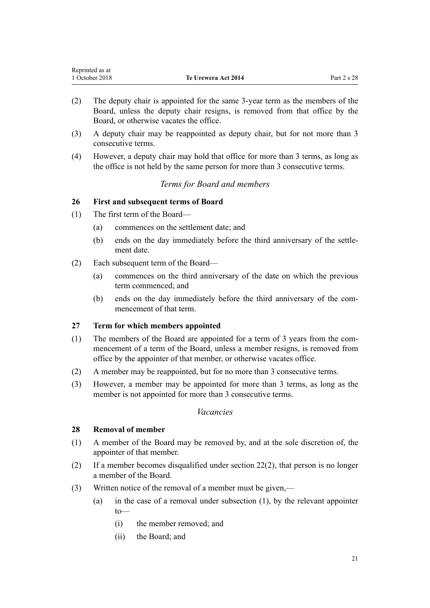<span id="page-20-0"></span>

| Reprinted as at |                            |             |
|-----------------|----------------------------|-------------|
| 1 October 2018  | <b>Te Urewera Act 2014</b> | Part 2 s 28 |

- (2) The deputy chair is appointed for the same 3-year term as the members of the Board, unless the deputy chair resigns, is removed from that office by the Board, or otherwise vacates the office.
- (3) A deputy chair may be reappointed as deputy chair, but for not more than 3 consecutive terms.
- (4) However, a deputy chair may hold that office for more than 3 terms, as long as the office is not held by the same person for more than 3 consecutive terms.

# *Terms for Board and members*

# **26 First and subsequent terms of Board**

- (1) The first term of the Board—
	- (a) commences on the settlement date; and
	- (b) ends on the day immediately before the third anniversary of the settlement date.
- (2) Each subsequent term of the Board—
	- (a) commences on the third anniversary of the date on which the previous term commenced; and
	- (b) ends on the day immediately before the third anniversary of the commencement of that term.

#### **27 Term for which members appointed**

- (1) The members of the Board are appointed for a term of 3 years from the commencement of a term of the Board, unless a member resigns, is removed from office by the appointer of that member, or otherwise vacates office.
- (2) A member may be reappointed, but for no more than 3 consecutive terms.
- (3) However, a member may be appointed for more than 3 terms, as long as the member is not appointed for more than 3 consecutive terms.

#### *Vacancies*

### **28 Removal of member**

- (1) A member of the Board may be removed by, and at the sole discretion of, the appointer of that member.
- (2) If a member becomes disqualified under [section 22\(2\),](#page-18-0) that person is no longer a member of the Board.
- (3) Written notice of the removal of a member must be given,—
	- (a) in the case of a removal under subsection (1), by the relevant appointer to—
		- (i) the member removed; and
		- (ii) the Board; and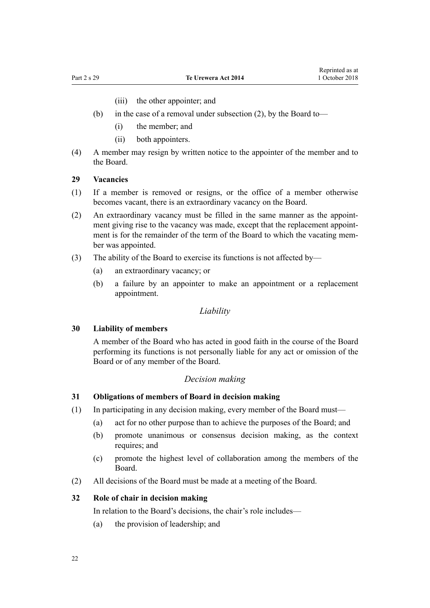(iii) the other appointer; and

- <span id="page-21-0"></span>(b) in the case of a removal under subsection (2), by the Board to—
	- (i) the member; and
	- (ii) both appointers.
- (4) A member may resign by written notice to the appointer of the member and to the Board.

### **29 Vacancies**

- (1) If a member is removed or resigns, or the office of a member otherwise becomes vacant, there is an extraordinary vacancy on the Board.
- (2) An extraordinary vacancy must be filled in the same manner as the appointment giving rise to the vacancy was made, except that the replacement appointment is for the remainder of the term of the Board to which the vacating member was appointed.
- (3) The ability of the Board to exercise its functions is not affected by—
	- (a) an extraordinary vacancy; or
	- (b) a failure by an appointer to make an appointment or a replacement appointment.

#### *Liability*

#### **30 Liability of members**

A member of the Board who has acted in good faith in the course of the Board performing its functions is not personally liable for any act or omission of the Board or of any member of the Board.

#### *Decision making*

#### **31 Obligations of members of Board in decision making**

- (1) In participating in any decision making, every member of the Board must—
	- (a) act for no other purpose than to achieve the purposes of the Board; and
	- (b) promote unanimous or consensus decision making, as the context requires; and
	- (c) promote the highest level of collaboration among the members of the Board.
- (2) All decisions of the Board must be made at a meeting of the Board.

### **32 Role of chair in decision making**

In relation to the Board's decisions, the chair's role includes—

(a) the provision of leadership; and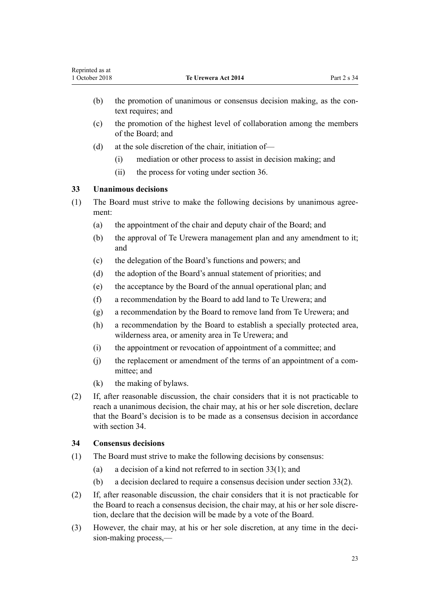- <span id="page-22-0"></span>(b) the promotion of unanimous or consensus decision making, as the context requires; and
- (c) the promotion of the highest level of collaboration among the members of the Board; and
- (d) at the sole discretion of the chair, initiation of—
	- (i) mediation or other process to assist in decision making; and
	- (ii) the process for voting under [section 36](#page-23-0).

# **33 Unanimous decisions**

- (1) The Board must strive to make the following decisions by unanimous agreement:
	- (a) the appointment of the chair and deputy chair of the Board; and
	- (b) the approval of Te Urewera management plan and any amendment to it; and
	- (c) the delegation of the Board's functions and powers; and
	- (d) the adoption of the Board's annual statement of priorities; and
	- (e) the acceptance by the Board of the annual operational plan; and
	- (f) a recommendation by the Board to add land to Te Urewera; and
	- (g) a recommendation by the Board to remove land from Te Urewera; and
	- (h) a recommendation by the Board to establish a specially protected area, wilderness area, or amenity area in Te Urewera; and
	- (i) the appointment or revocation of appointment of a committee; and
	- (j) the replacement or amendment of the terms of an appointment of a committee; and
	- (k) the making of bylaws.
- (2) If, after reasonable discussion, the chair considers that it is not practicable to reach a unanimous decision, the chair may, at his or her sole discretion, declare that the Board's decision is to be made as a consensus decision in accordance with section 34.

# **34 Consensus decisions**

- (1) The Board must strive to make the following decisions by consensus:
	- (a) a decision of a kind not referred to in section  $33(1)$ ; and
	- (b) a decision declared to require a consensus decision under section 33(2).
- (2) If, after reasonable discussion, the chair considers that it is not practicable for the Board to reach a consensus decision, the chair may, at his or her sole discretion, declare that the decision will be made by a vote of the Board.
- (3) However, the chair may, at his or her sole discretion, at any time in the decision-making process,—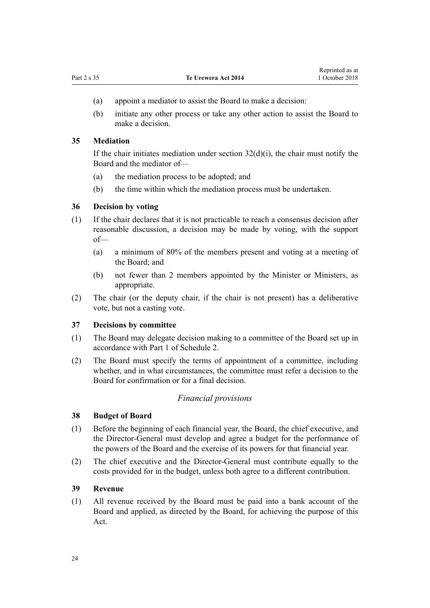- <span id="page-23-0"></span>(a) appoint a mediator to assist the Board to make a decision:
- (b) initiate any other process or take any other action to assist the Board to make a decision.

#### **35 Mediation**

If the chair initiates mediation under section  $32(d)(i)$ , the chair must notify the Board and the mediator of—

- (a) the mediation process to be adopted; and
- (b) the time within which the mediation process must be undertaken.

#### **36 Decision by voting**

- (1) If the chair declares that it is not practicable to reach a consensus decision after reasonable discussion, a decision may be made by voting, with the support of—
	- (a) a minimum of 80% of the members present and voting at a meeting of the Board; and
	- (b) not fewer than 2 members appointed by the Minister or Ministers, as appropriate.
- (2) The chair (or the deputy chair, if the chair is not present) has a deliberative vote, but not a casting vote.

### **37 Decisions by committee**

- (1) The Board may delegate decision making to a committee of the Board set up in accordance with [Part 1](#page-70-0) of Schedule 2.
- (2) The Board must specify the terms of appointment of a committee, including whether, and in what circumstances, the committee must refer a decision to the Board for confirmation or for a final decision.

### *Financial provisions*

## **38 Budget of Board**

- (1) Before the beginning of each financial year, the Board, the chief executive, and the Director-General must develop and agree a budget for the performance of the powers of the Board and the exercise of its powers for that financial year.
- (2) The chief executive and the Director-General must contribute equally to the costs provided for in the budget, unless both agree to a different contribution.

#### **39 Revenue**

(1) All revenue received by the Board must be paid into a bank account of the Board and applied, as directed by the Board, for achieving the purpose of this Act.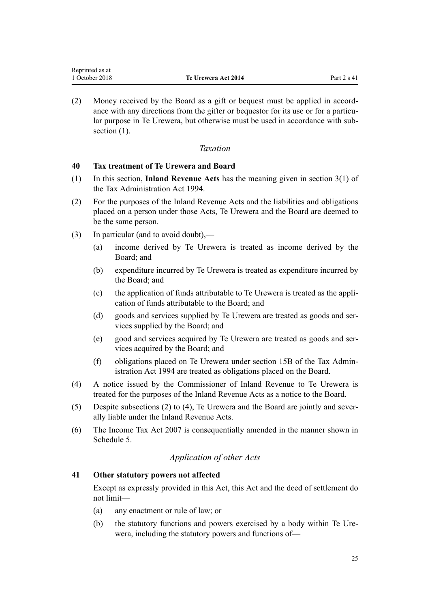<span id="page-24-0"></span>(2) Money received by the Board as a gift or bequest must be applied in accordance with any directions from the gifter or bequestor for its use or for a particular purpose in Te Urewera, but otherwise must be used in accordance with subsection  $(1)$ .

# *Taxation*

# **40 Tax treatment of Te Urewera and Board**

- (1) In this section, **Inland Revenue Acts** has the meaning given in [section 3\(1\)](http://prd-lgnz-nlb.prd.pco.net.nz/pdflink.aspx?id=DLM348353) of the Tax Administration Act 1994.
- (2) For the purposes of the Inland Revenue Acts and the liabilities and obligations placed on a person under those Acts, Te Urewera and the Board are deemed to be the same person.
- (3) In particular (and to avoid doubt),—
	- (a) income derived by Te Urewera is treated as income derived by the Board; and
	- (b) expenditure incurred by Te Urewera is treated as expenditure incurred by the Board; and
	- (c) the application of funds attributable to Te Urewera is treated as the application of funds attributable to the Board; and
	- (d) goods and services supplied by Te Urewera are treated as goods and services supplied by the Board; and
	- (e) good and services acquired by Te Urewera are treated as goods and services acquired by the Board; and
	- (f) obligations placed on Te Urewera under [section 15B](http://prd-lgnz-nlb.prd.pco.net.nz/pdflink.aspx?id=DLM350173) of the Tax Administration Act 1994 are treated as obligations placed on the Board.
- (4) A notice issued by the Commissioner of Inland Revenue to Te Urewera is treated for the purposes of the Inland Revenue Acts as a notice to the Board.
- (5) Despite subsections (2) to (4), Te Urewera and the Board are jointly and severally liable under the Inland Revenue Acts.
- (6) The [Income Tax Act 2007](http://prd-lgnz-nlb.prd.pco.net.nz/pdflink.aspx?id=DLM1512300) is consequentially amended in the manner shown in [Schedule 5.](#page-112-0)

# *Application of other Acts*

# **41 Other statutory powers not affected**

Except as expressly provided in this Act, this Act and the deed of settlement do not limit—

- (a) any enactment or rule of law; or
- (b) the statutory functions and powers exercised by a body within Te Urewera, including the statutory powers and functions of—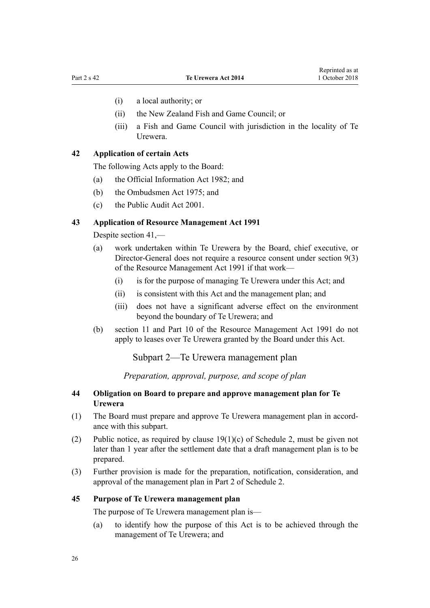- <span id="page-25-0"></span>(i) a local authority; or
- (ii) the New Zealand Fish and Game Council; or
- (iii) a Fish and Game Council with jurisdiction in the locality of Te Urewera.

# **42 Application of certain Acts**

The following Acts apply to the Board:

- (a) the [Official Information Act 1982;](http://prd-lgnz-nlb.prd.pco.net.nz/pdflink.aspx?id=DLM64784) and
- (b) the [Ombudsmen Act 1975](http://prd-lgnz-nlb.prd.pco.net.nz/pdflink.aspx?id=DLM430983); and
- (c) the [Public Audit Act 2001.](http://prd-lgnz-nlb.prd.pco.net.nz/pdflink.aspx?id=DLM88540)

#### **43 Application of Resource Management Act 1991**

Despite [section 41](#page-24-0),—

- (a) work undertaken within Te Urewera by the Board, chief executive, or Director-General does not require a resource consent under [section 9\(3\)](http://prd-lgnz-nlb.prd.pco.net.nz/pdflink.aspx?id=DLM231918) of the Resource Management Act 1991 if that work—
	- (i) is for the purpose of managing Te Urewera under this Act; and
	- (ii) is consistent with this Act and the management plan; and
	- (iii) does not have a significant adverse effect on the environment beyond the boundary of Te Urewera; and
- (b) [section 11](http://prd-lgnz-nlb.prd.pco.net.nz/pdflink.aspx?id=DLM231942) and [Part 10](http://prd-lgnz-nlb.prd.pco.net.nz/pdflink.aspx?id=DLM236786) of the Resource Management Act 1991 do not apply to leases over Te Urewera granted by the Board under this Act.

Subpart 2—Te Urewera management plan

*Preparation, approval, purpose, and scope of plan*

### **44 Obligation on Board to prepare and approve management plan for Te Urewera**

- (1) The Board must prepare and approve Te Urewera management plan in accordance with this subpart.
- (2) Public notice, as required by clause  $19(1)(c)$  of Schedule 2, must be given not later than 1 year after the settlement date that a draft management plan is to be prepared.
- (3) Further provision is made for the preparation, notification, consideration, and approval of the management plan in [Part 2](#page-76-0) of Schedule 2.

#### **45 Purpose of Te Urewera management plan**

The purpose of Te Urewera management plan is—

(a) to identify how the purpose of this Act is to be achieved through the management of Te Urewera; and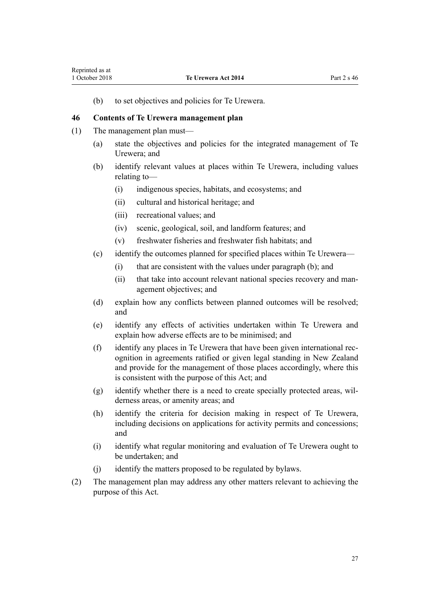<span id="page-26-0"></span>(b) to set objectives and policies for Te Urewera.

#### **46 Contents of Te Urewera management plan**

- (1) The management plan must—
	- (a) state the objectives and policies for the integrated management of Te Urewera; and
	- (b) identify relevant values at places within Te Urewera, including values relating to—
		- (i) indigenous species, habitats, and ecosystems; and
		- (ii) cultural and historical heritage; and
		- (iii) recreational values; and
		- (iv) scenic, geological, soil, and landform features; and
		- (v) freshwater fisheries and freshwater fish habitats; and
	- (c) identify the outcomes planned for specified places within Te Urewera—
		- (i) that are consistent with the values under paragraph (b); and
		- (ii) that take into account relevant national species recovery and management objectives; and
	- (d) explain how any conflicts between planned outcomes will be resolved; and
	- (e) identify any effects of activities undertaken within Te Urewera and explain how adverse effects are to be minimised; and
	- (f) identify any places in Te Urewera that have been given international recognition in agreements ratified or given legal standing in New Zealand and provide for the management of those places accordingly, where this is consistent with the purpose of this Act; and
	- (g) identify whether there is a need to create specially protected areas, wilderness areas, or amenity areas; and
	- (h) identify the criteria for decision making in respect of Te Urewera, including decisions on applications for activity permits and concessions; and
	- (i) identify what regular monitoring and evaluation of Te Urewera ought to be undertaken; and
	- (j) identify the matters proposed to be regulated by bylaws.
- (2) The management plan may address any other matters relevant to achieving the purpose of this Act.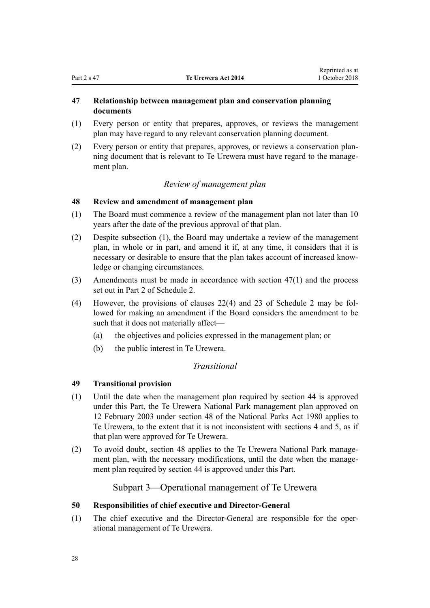# <span id="page-27-0"></span>**47 Relationship between management plan and conservation planning documents**

- (1) Every person or entity that prepares, approves, or reviews the management plan may have regard to any relevant conservation planning document.
- (2) Every person or entity that prepares, approves, or reviews a conservation planning document that is relevant to Te Urewera must have regard to the management plan.

# *Review of management plan*

# **48 Review and amendment of management plan**

- (1) The Board must commence a review of the management plan not later than 10 years after the date of the previous approval of that plan.
- (2) Despite subsection (1), the Board may undertake a review of the management plan, in whole or in part, and amend it if, at any time, it considers that it is necessary or desirable to ensure that the plan takes account of increased knowledge or changing circumstances.
- (3) Amendments must be made in accordance with section 47(1) and the process set out in [Part 2](#page-76-0) of Schedule 2.
- (4) However, the provisions of [clauses 22\(4\)](#page-77-0) and [23](#page-78-0) of Schedule 2 may be followed for making an amendment if the Board considers the amendment to be such that it does not materially affect—
	- (a) the objectives and policies expressed in the management plan; or
	- (b) the public interest in Te Urewera.

# *Transitional*

# **49 Transitional provision**

- (1) Until the date when the management plan required by [section 44](#page-25-0) is approved under this Part, the Te Urewera National Park management plan approved on 12 February 2003 under [section 48](http://prd-lgnz-nlb.prd.pco.net.nz/pdflink.aspx?id=DLM38214) of the National Parks Act 1980 applies to Te Urewera, to the extent that it is not inconsistent with [sections 4](#page-8-0) and [5,](#page-8-0) as if that plan were approved for Te Urewera.
- (2) To avoid doubt, section 48 applies to the Te Urewera National Park management plan, with the necessary modifications, until the date when the management plan required by [section 44](#page-25-0) is approved under this Part.

# Subpart 3—Operational management of Te Urewera

# **50 Responsibilities of chief executive and Director-General**

(1) The chief executive and the Director-General are responsible for the operational management of Te Urewera.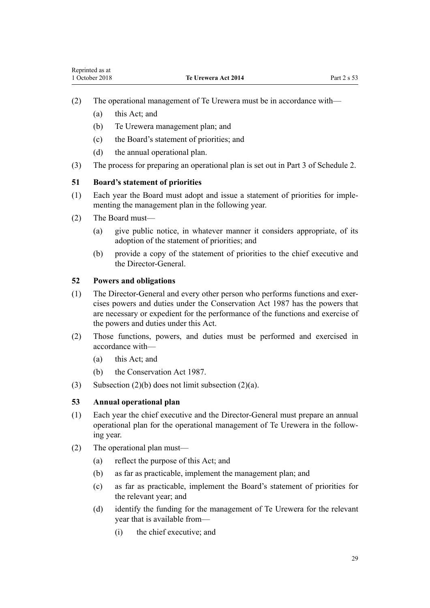- <span id="page-28-0"></span>(2) The operational management of Te Urewera must be in accordance with—
	- (a) this Act; and
	- (b) Te Urewera management plan; and
	- (c) the Board's statement of priorities; and
	- (d) the annual operational plan.
- (3) The process for preparing an operational plan is set out in [Part 3](#page-79-0) of Schedule 2.

# **51 Board's statement of priorities**

- (1) Each year the Board must adopt and issue a statement of priorities for implementing the management plan in the following year.
- (2) The Board must—
	- (a) give public notice, in whatever manner it considers appropriate, of its adoption of the statement of priorities; and
	- (b) provide a copy of the statement of priorities to the chief executive and the Director-General.

# **52 Powers and obligations**

- (1) The Director-General and every other person who performs functions and exercises powers and duties under the [Conservation Act 1987](http://prd-lgnz-nlb.prd.pco.net.nz/pdflink.aspx?id=DLM103609) has the powers that are necessary or expedient for the performance of the functions and exercise of the powers and duties under this Act.
- (2) Those functions, powers, and duties must be performed and exercised in accordance with—
	- (a) this Act; and
	- (b) the [Conservation Act 1987.](http://prd-lgnz-nlb.prd.pco.net.nz/pdflink.aspx?id=DLM103609)
- (3) Subsection  $(2)(b)$  does not limit subsection  $(2)(a)$ .

# **53 Annual operational plan**

- (1) Each year the chief executive and the Director-General must prepare an annual operational plan for the operational management of Te Urewera in the following year.
- (2) The operational plan must—
	- (a) reflect the purpose of this Act; and
	- (b) as far as practicable, implement the management plan; and
	- (c) as far as practicable, implement the Board's statement of priorities for the relevant year; and
	- (d) identify the funding for the management of Te Urewera for the relevant year that is available from—
		- (i) the chief executive; and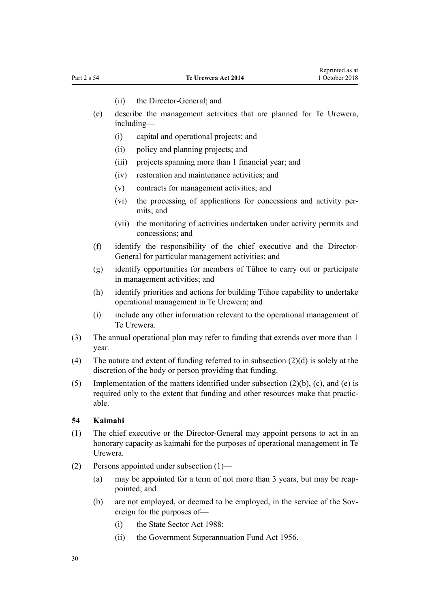- (ii) the Director-General; and
- <span id="page-29-0"></span>(e) describe the management activities that are planned for Te Urewera, including—
	- (i) capital and operational projects; and
	- (ii) policy and planning projects; and
	- (iii) projects spanning more than 1 financial year; and
	- (iv) restoration and maintenance activities; and
	- (v) contracts for management activities; and
	- (vi) the processing of applications for concessions and activity permits; and
	- (vii) the monitoring of activities undertaken under activity permits and concessions; and
- (f) identify the responsibility of the chief executive and the Director-General for particular management activities; and
- (g) identify opportunities for members of Tūhoe to carry out or participate in management activities; and
- (h) identify priorities and actions for building Tūhoe capability to undertake operational management in Te Urewera; and
- (i) include any other information relevant to the operational management of Te Urewera.
- (3) The annual operational plan may refer to funding that extends over more than 1 year.
- (4) The nature and extent of funding referred to in subsection (2)(d) is solely at the discretion of the body or person providing that funding.
- (5) Implementation of the matters identified under subsection (2)(b), (c), and (e) is required only to the extent that funding and other resources make that practicable.

### **54 Kaimahi**

- (1) The chief executive or the Director-General may appoint persons to act in an honorary capacity as kaimahi for the purposes of operational management in Te Urewera.
- (2) Persons appointed under subsection (1)—
	- (a) may be appointed for a term of not more than 3 years, but may be reappointed; and
	- (b) are not employed, or deemed to be employed, in the service of the Sovereign for the purposes of—
		- (i) the [State Sector Act 1988:](http://prd-lgnz-nlb.prd.pco.net.nz/pdflink.aspx?id=DLM129109)
		- (ii) the [Government Superannuation Fund Act 1956.](http://prd-lgnz-nlb.prd.pco.net.nz/pdflink.aspx?id=DLM446000)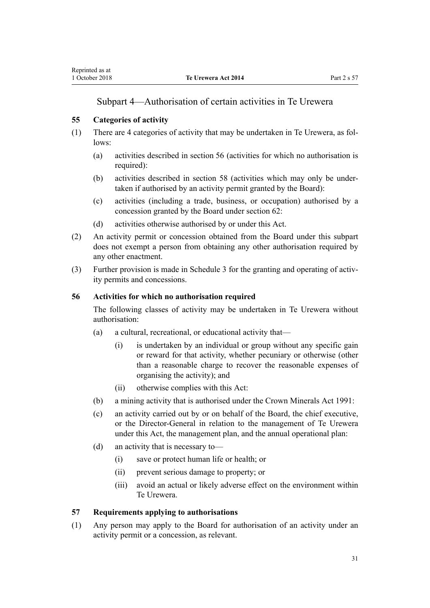# Subpart 4—Authorisation of certain activities in Te Urewera

# <span id="page-30-0"></span>**55 Categories of activity**

- (1) There are 4 categories of activity that may be undertaken in Te Urewera, as follows:
	- (a) activities described in section 56 (activities for which no authorisation is required):
	- (b) activities described in [section 58](#page-31-0) (activities which may only be undertaken if authorised by an activity permit granted by the Board):
	- (c) activities (including a trade, business, or occupation) authorised by a concession granted by the Board under [section 62](#page-32-0):
	- (d) activities otherwise authorised by or under this Act.
- (2) An activity permit or concession obtained from the Board under this subpart does not exempt a person from obtaining any other authorisation required by any other enactment.
- (3) Further provision is made in [Schedule 3](#page-80-0) for the granting and operating of activity permits and concessions.

## **56 Activities for which no authorisation required**

The following classes of activity may be undertaken in Te Urewera without authorisation:

- (a) a cultural, recreational, or educational activity that—
	- (i) is undertaken by an individual or group without any specific gain or reward for that activity, whether pecuniary or otherwise (other than a reasonable charge to recover the reasonable expenses of organising the activity); and
	- (ii) otherwise complies with this Act:
- (b) a mining activity that is authorised under the [Crown Minerals Act 1991:](http://prd-lgnz-nlb.prd.pco.net.nz/pdflink.aspx?id=DLM242535)
- (c) an activity carried out by or on behalf of the Board, the chief executive, or the Director-General in relation to the management of Te Urewera under this Act, the management plan, and the annual operational plan:
- (d) an activity that is necessary to—
	- (i) save or protect human life or health; or
	- (ii) prevent serious damage to property; or
	- (iii) avoid an actual or likely adverse effect on the environment within Te Urewera.

### **57 Requirements applying to authorisations**

(1) Any person may apply to the Board for authorisation of an activity under an activity permit or a concession, as relevant.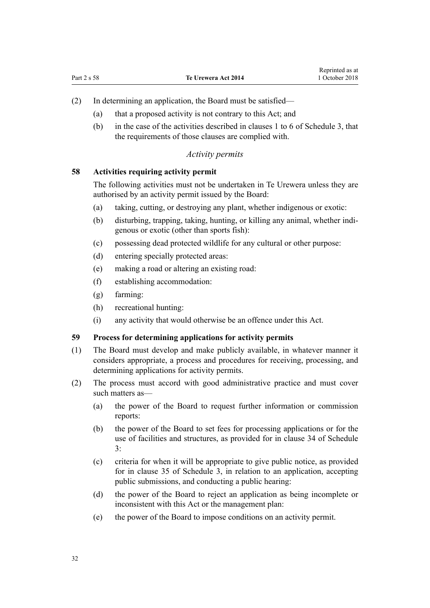- <span id="page-31-0"></span>(2) In determining an application, the Board must be satisfied—
	- (a) that a proposed activity is not contrary to this Act; and
	- (b) in the case of the activities described in [clauses 1 to 6](#page-81-0) of Schedule 3, that the requirements of those clauses are complied with.

#### *Activity permits*

#### **58 Activities requiring activity permit**

The following activities must not be undertaken in Te Urewera unless they are authorised by an activity permit issued by the Board:

- (a) taking, cutting, or destroying any plant, whether indigenous or exotic:
- (b) disturbing, trapping, taking, hunting, or killing any animal, whether indigenous or exotic (other than sports fish):
- (c) possessing dead protected wildlife for any cultural or other purpose:
- (d) entering specially protected areas:
- (e) making a road or altering an existing road:
- (f) establishing accommodation:
- (g) farming:
- (h) recreational hunting:
- (i) any activity that would otherwise be an offence under this Act.

### **59 Process for determining applications for activity permits**

- (1) The Board must develop and make publicly available, in whatever manner it considers appropriate, a process and procedures for receiving, processing, and determining applications for activity permits.
- (2) The process must accord with good administrative practice and must cover such matters as—
	- (a) the power of the Board to request further information or commission reports:
	- (b) the power of the Board to set fees for processing applications or for the use of facilities and structures, as provided for in [clause 34](#page-97-0) of Schedule 3:
	- (c) criteria for when it will be appropriate to give public notice, as provided for in [clause 35](#page-98-0) of Schedule 3, in relation to an application, accepting public submissions, and conducting a public hearing:
	- (d) the power of the Board to reject an application as being incomplete or inconsistent with this Act or the management plan:
	- (e) the power of the Board to impose conditions on an activity permit.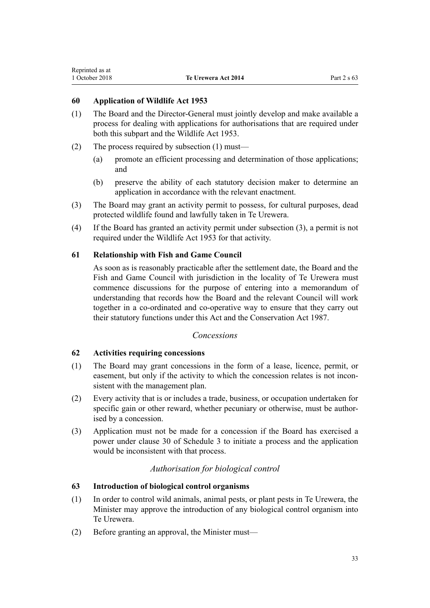# <span id="page-32-0"></span>**60 Application of Wildlife Act 1953**

- (1) The Board and the Director-General must jointly develop and make available a process for dealing with applications for authorisations that are required under both this subpart and the [Wildlife Act 1953](http://prd-lgnz-nlb.prd.pco.net.nz/pdflink.aspx?id=DLM276813).
- (2) The process required by subsection (1) must—
	- (a) promote an efficient processing and determination of those applications; and
	- (b) preserve the ability of each statutory decision maker to determine an application in accordance with the relevant enactment.
- (3) The Board may grant an activity permit to possess, for cultural purposes, dead protected wildlife found and lawfully taken in Te Urewera.
- (4) If the Board has granted an activity permit under subsection (3), a permit is not required under the [Wildlife Act 1953](http://prd-lgnz-nlb.prd.pco.net.nz/pdflink.aspx?id=DLM276813) for that activity.

# **61 Relationship with Fish and Game Council**

As soon as is reasonably practicable after the settlement date, the Board and the Fish and Game Council with jurisdiction in the locality of Te Urewera must commence discussions for the purpose of entering into a memorandum of understanding that records how the Board and the relevant Council will work together in a co-ordinated and co-operative way to ensure that they carry out their statutory functions under this Act and the [Conservation Act 1987](http://prd-lgnz-nlb.prd.pco.net.nz/pdflink.aspx?id=DLM103609).

# *Concessions*

# **62 Activities requiring concessions**

- (1) The Board may grant concessions in the form of a lease, licence, permit, or easement, but only if the activity to which the concession relates is not inconsistent with the management plan.
- (2) Every activity that is or includes a trade, business, or occupation undertaken for specific gain or other reward, whether pecuniary or otherwise, must be authorised by a concession.
- (3) Application must not be made for a concession if the Board has exercised a power under [clause 30](#page-95-0) of Schedule 3 to initiate a process and the application would be inconsistent with that process.

# *Authorisation for biological control*

# **63 Introduction of biological control organisms**

- (1) In order to control wild animals, animal pests, or plant pests in Te Urewera, the Minister may approve the introduction of any biological control organism into Te Urewera.
- (2) Before granting an approval, the Minister must—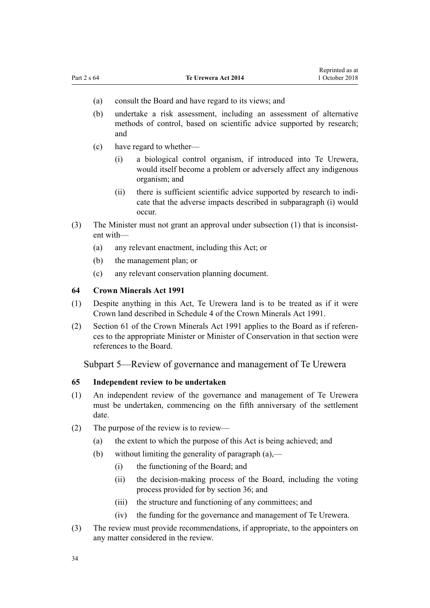- <span id="page-33-0"></span>(a) consult the Board and have regard to its views; and
- (b) undertake a risk assessment, including an assessment of alternative methods of control, based on scientific advice supported by research; and
- (c) have regard to whether—
	- (i) a biological control organism, if introduced into Te Urewera, would itself become a problem or adversely affect any indigenous organism; and
	- (ii) there is sufficient scientific advice supported by research to indicate that the adverse impacts described in subparagraph (i) would occur.
- (3) The Minister must not grant an approval under subsection (1) that is inconsistent with—
	- (a) any relevant enactment, including this Act; or
	- (b) the management plan; or
	- (c) any relevant conservation planning document.

### **64 Crown Minerals Act 1991**

- (1) Despite anything in this Act, Te Urewera land is to be treated as if it were Crown land described in [Schedule 4](http://prd-lgnz-nlb.prd.pco.net.nz/pdflink.aspx?id=DLM247378) of the Crown Minerals Act 1991.
- (2) [Section 61](http://prd-lgnz-nlb.prd.pco.net.nz/pdflink.aspx?id=DLM246714) of the Crown Minerals Act 1991 applies to the Board as if references to the appropriate Minister or Minister of Conservation in that section were references to the Board.

Subpart 5—Review of governance and management of Te Urewera

#### **65 Independent review to be undertaken**

- (1) An independent review of the governance and management of Te Urewera must be undertaken, commencing on the fifth anniversary of the settlement date.
- (2) The purpose of the review is to review—
	- (a) the extent to which the purpose of this Act is being achieved; and
	- (b) without limiting the generality of paragraph  $(a)$ ,—
		- (i) the functioning of the Board; and
		- (ii) the decision-making process of the Board, including the voting process provided for by [section 36;](#page-23-0) and
		- (iii) the structure and functioning of any committees; and
		- (iv) the funding for the governance and management of Te Urewera.
- (3) The review must provide recommendations, if appropriate, to the appointers on any matter considered in the review.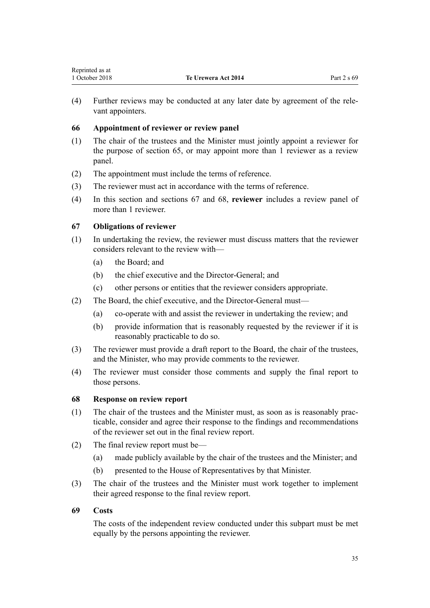<span id="page-34-0"></span>(4) Further reviews may be conducted at any later date by agreement of the relevant appointers.

# **66 Appointment of reviewer or review panel**

- (1) The chair of the trustees and the Minister must jointly appoint a reviewer for the purpose of [section 65,](#page-33-0) or may appoint more than 1 reviewer as a review panel.
- (2) The appointment must include the terms of reference.
- (3) The reviewer must act in accordance with the terms of reference.
- (4) In this section and sections 67 and 68, **reviewer** includes a review panel of more than 1 reviewer.

# **67 Obligations of reviewer**

- (1) In undertaking the review, the reviewer must discuss matters that the reviewer considers relevant to the review with—
	- (a) the Board; and
	- (b) the chief executive and the Director-General; and
	- (c) other persons or entities that the reviewer considers appropriate.
- (2) The Board, the chief executive, and the Director-General must—
	- (a) co-operate with and assist the reviewer in undertaking the review; and
	- (b) provide information that is reasonably requested by the reviewer if it is reasonably practicable to do so.
- (3) The reviewer must provide a draft report to the Board, the chair of the trustees, and the Minister, who may provide comments to the reviewer.
- (4) The reviewer must consider those comments and supply the final report to those persons.

# **68 Response on review report**

- (1) The chair of the trustees and the Minister must, as soon as is reasonably practicable, consider and agree their response to the findings and recommendations of the reviewer set out in the final review report.
- (2) The final review report must be—
	- (a) made publicly available by the chair of the trustees and the Minister; and
	- (b) presented to the House of Representatives by that Minister.
- (3) The chair of the trustees and the Minister must work together to implement their agreed response to the final review report.

# **69 Costs**

The costs of the independent review conducted under this subpart must be met equally by the persons appointing the reviewer.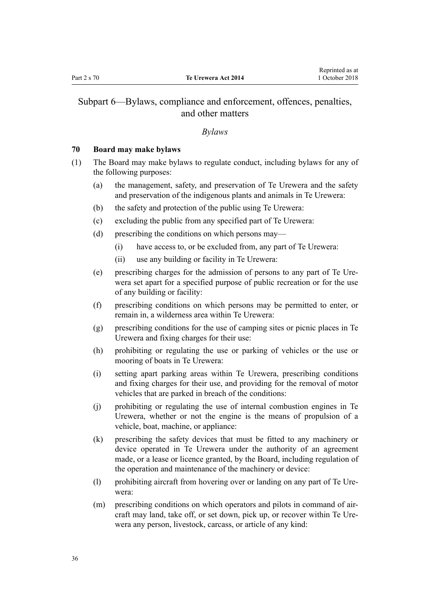# <span id="page-35-0"></span>Subpart 6—Bylaws, compliance and enforcement, offences, penalties, and other matters

#### *Bylaws*

# **70 Board may make bylaws**

- (1) The Board may make bylaws to regulate conduct, including bylaws for any of the following purposes:
	- (a) the management, safety, and preservation of Te Urewera and the safety and preservation of the indigenous plants and animals in Te Urewera:
	- (b) the safety and protection of the public using Te Urewera:
	- (c) excluding the public from any specified part of Te Urewera:
	- (d) prescribing the conditions on which persons may—
		- (i) have access to, or be excluded from, any part of Te Urewera:
		- (ii) use any building or facility in Te Urewera:
	- (e) prescribing charges for the admission of persons to any part of Te Urewera set apart for a specified purpose of public recreation or for the use of any building or facility:
	- (f) prescribing conditions on which persons may be permitted to enter, or remain in, a wilderness area within Te Urewera:
	- (g) prescribing conditions for the use of camping sites or picnic places in Te Urewera and fixing charges for their use:
	- (h) prohibiting or regulating the use or parking of vehicles or the use or mooring of boats in Te Urewera:
	- (i) setting apart parking areas within Te Urewera, prescribing conditions and fixing charges for their use, and providing for the removal of motor vehicles that are parked in breach of the conditions:
	- (j) prohibiting or regulating the use of internal combustion engines in Te Urewera, whether or not the engine is the means of propulsion of a vehicle, boat, machine, or appliance:
	- (k) prescribing the safety devices that must be fitted to any machinery or device operated in Te Urewera under the authority of an agreement made, or a lease or licence granted, by the Board, including regulation of the operation and maintenance of the machinery or device:
	- (l) prohibiting aircraft from hovering over or landing on any part of Te Urewera:
	- (m) prescribing conditions on which operators and pilots in command of aircraft may land, take off, or set down, pick up, or recover within Te Urewera any person, livestock, carcass, or article of any kind: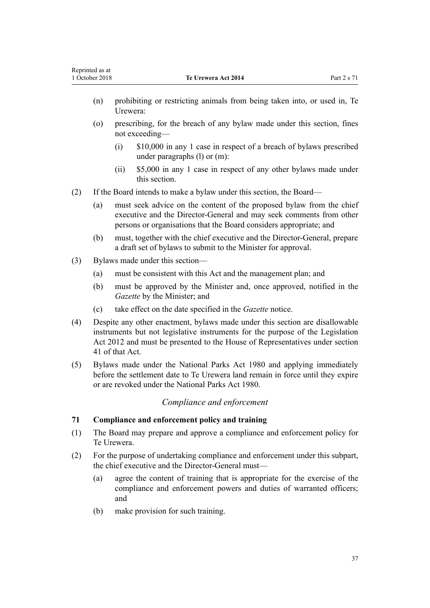- (n) prohibiting or restricting animals from being taken into, or used in, Te Urewera:
- (o) prescribing, for the breach of any bylaw made under this section, fines not exceeding—
	- (i) \$10,000 in any 1 case in respect of a breach of bylaws prescribed under paragraphs (l) or (m):
	- (ii) \$5,000 in any 1 case in respect of any other bylaws made under this section.
- (2) If the Board intends to make a bylaw under this section, the Board—
	- (a) must seek advice on the content of the proposed bylaw from the chief executive and the Director-General and may seek comments from other persons or organisations that the Board considers appropriate; and
	- (b) must, together with the chief executive and the Director-General, prepare a draft set of bylaws to submit to the Minister for approval.
- (3) Bylaws made under this section—
	- (a) must be consistent with this Act and the management plan; and
	- (b) must be approved by the Minister and, once approved, notified in the *Gazette* by the Minister; and
	- (c) take effect on the date specified in the *Gazette* notice.
- (4) Despite any other enactment, bylaws made under this section are disallowable instruments but not legislative instruments for the purpose of the [Legislation](http://prd-lgnz-nlb.prd.pco.net.nz/pdflink.aspx?id=DLM2997643) [Act 2012](http://prd-lgnz-nlb.prd.pco.net.nz/pdflink.aspx?id=DLM2997643) and must be presented to the House of Representatives under [section](http://prd-lgnz-nlb.prd.pco.net.nz/pdflink.aspx?id=DLM2998573) [41](http://prd-lgnz-nlb.prd.pco.net.nz/pdflink.aspx?id=DLM2998573) of that Act.
- (5) Bylaws made under the [National Parks Act 1980](http://prd-lgnz-nlb.prd.pco.net.nz/pdflink.aspx?id=DLM36962) and applying immediately before the settlement date to Te Urewera land remain in force until they expire or are revoked under the National Parks Act 1980.

## *Compliance and enforcement*

#### **71 Compliance and enforcement policy and training**

- (1) The Board may prepare and approve a compliance and enforcement policy for Te Urewera.
- (2) For the purpose of undertaking compliance and enforcement under this subpart, the chief executive and the Director-General must—
	- (a) agree the content of training that is appropriate for the exercise of the compliance and enforcement powers and duties of warranted officers; and
	- (b) make provision for such training.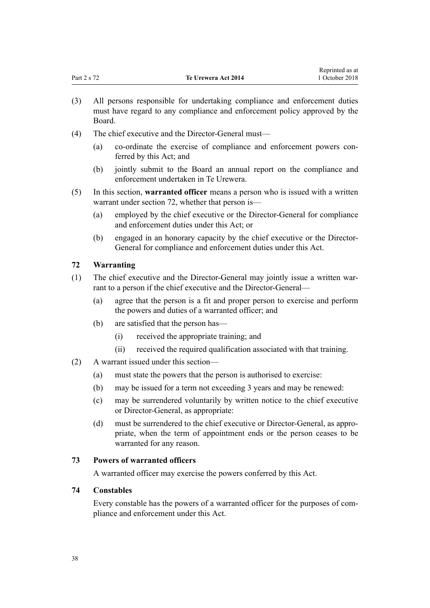|             |                            | reprinted as at |
|-------------|----------------------------|-----------------|
| Part 2 s 72 | <b>Te Urewera Act 2014</b> | 1 October 2018  |

Reprinted as at

- (3) All persons responsible for undertaking compliance and enforcement duties must have regard to any compliance and enforcement policy approved by the Board.
- (4) The chief executive and the Director-General must—
	- (a) co-ordinate the exercise of compliance and enforcement powers conferred by this Act; and
	- (b) jointly submit to the Board an annual report on the compliance and enforcement undertaken in Te Urewera.
- (5) In this section, **warranted officer** means a person who is issued with a written warrant under section 72, whether that person is—
	- (a) employed by the chief executive or the Director-General for compliance and enforcement duties under this Act; or
	- (b) engaged in an honorary capacity by the chief executive or the Director-General for compliance and enforcement duties under this Act.

## **72 Warranting**

- (1) The chief executive and the Director-General may jointly issue a written warrant to a person if the chief executive and the Director-General—
	- (a) agree that the person is a fit and proper person to exercise and perform the powers and duties of a warranted officer; and
	- (b) are satisfied that the person has—
		- (i) received the appropriate training; and
		- (ii) received the required qualification associated with that training.
- (2) A warrant issued under this section—
	- (a) must state the powers that the person is authorised to exercise:
	- (b) may be issued for a term not exceeding 3 years and may be renewed:
	- (c) may be surrendered voluntarily by written notice to the chief executive or Director-General, as appropriate:
	- (d) must be surrendered to the chief executive or Director-General, as appropriate, when the term of appointment ends or the person ceases to be warranted for any reason.

## **73 Powers of warranted officers**

A warranted officer may exercise the powers conferred by this Act.

## **74 Constables**

Every constable has the powers of a warranted officer for the purposes of compliance and enforcement under this Act.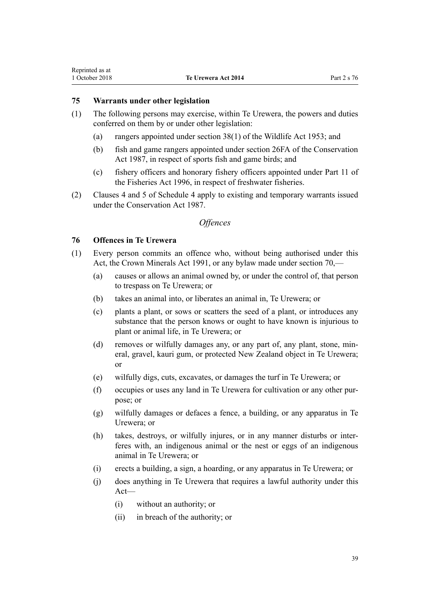#### **75 Warrants under other legislation**

<span id="page-38-0"></span>Reprinted as at

- (1) The following persons may exercise, within Te Urewera, the powers and duties conferred on them by or under other legislation:
	- (a) rangers appointed under [section 38\(1\)](http://prd-lgnz-nlb.prd.pco.net.nz/pdflink.aspx?id=DLM277803) of the Wildlife Act 1953; and
	- (b) fish and game rangers appointed under [section 26FA](http://prd-lgnz-nlb.prd.pco.net.nz/pdflink.aspx?id=DLM104989) of the Conservation Act 1987, in respect of sports fish and game birds; and
	- (c) fishery officers and honorary fishery officers appointed under [Part 11](http://prd-lgnz-nlb.prd.pco.net.nz/pdflink.aspx?id=DLM398399) of the Fisheries Act 1996, in respect of freshwater fisheries.
- (2) [Clauses 4](#page-101-0) and [5](#page-101-0) of Schedule 4 apply to existing and temporary warrants issued under the [Conservation Act 1987.](http://prd-lgnz-nlb.prd.pco.net.nz/pdflink.aspx?id=DLM103609)

#### *Offences*

#### **76 Offences in Te Urewera**

- (1) Every person commits an offence who, without being authorised under this Act, the [Crown Minerals Act 1991,](http://prd-lgnz-nlb.prd.pco.net.nz/pdflink.aspx?id=DLM242535) or any bylaw made under [section 70](#page-35-0),—
	- (a) causes or allows an animal owned by, or under the control of, that person to trespass on Te Urewera; or
	- (b) takes an animal into, or liberates an animal in, Te Urewera; or
	- (c) plants a plant, or sows or scatters the seed of a plant, or introduces any substance that the person knows or ought to have known is injurious to plant or animal life, in Te Urewera; or
	- (d) removes or wilfully damages any, or any part of, any plant, stone, mineral, gravel, kauri gum, or protected New Zealand object in Te Urewera; or
	- (e) wilfully digs, cuts, excavates, or damages the turf in Te Urewera; or
	- (f) occupies or uses any land in Te Urewera for cultivation or any other purpose; or
	- (g) wilfully damages or defaces a fence, a building, or any apparatus in Te Urewera; or
	- (h) takes, destroys, or wilfully injures, or in any manner disturbs or interferes with, an indigenous animal or the nest or eggs of an indigenous animal in Te Urewera; or
	- (i) erects a building, a sign, a hoarding, or any apparatus in Te Urewera; or
	- (j) does anything in Te Urewera that requires a lawful authority under this Act—
		- (i) without an authority; or
		- (ii) in breach of the authority; or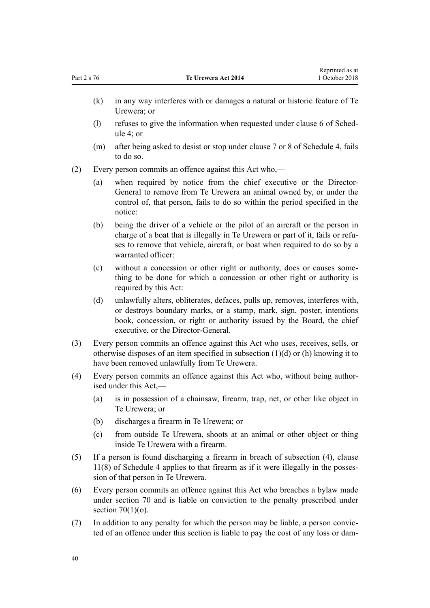- (k) in any way interferes with or damages a natural or historic feature of Te Urewera; or
- (l) refuses to give the information when requested under [clause 6](#page-101-0) of Schedule 4; or
- (m) after being asked to desist or stop under [clause 7](#page-101-0) or [8](#page-102-0) of Schedule 4, fails to do so.
- (2) Every person commits an offence against this Act who,—
	- (a) when required by notice from the chief executive or the Director-General to remove from Te Urewera an animal owned by, or under the control of, that person, fails to do so within the period specified in the notice:
	- (b) being the driver of a vehicle or the pilot of an aircraft or the person in charge of a boat that is illegally in Te Urewera or part of it, fails or refuses to remove that vehicle, aircraft, or boat when required to do so by a warranted officer:
	- (c) without a concession or other right or authority, does or causes something to be done for which a concession or other right or authority is required by this Act:
	- (d) unlawfully alters, obliterates, defaces, pulls up, removes, interferes with, or destroys boundary marks, or a stamp, mark, sign, poster, intentions book, concession, or right or authority issued by the Board, the chief executive, or the Director-General.
- (3) Every person commits an offence against this Act who uses, receives, sells, or otherwise disposes of an item specified in subsection (1)(d) or (h) knowing it to have been removed unlawfully from Te Urewera.
- (4) Every person commits an offence against this Act who, without being authorised under this Act,—
	- (a) is in possession of a chainsaw, firearm, trap, net, or other like object in Te Urewera; or
	- (b) discharges a firearm in Te Urewera; or
	- (c) from outside Te Urewera, shoots at an animal or other object or thing inside Te Urewera with a firearm.
- (5) If a person is found discharging a firearm in breach of subsection (4), [clause](#page-102-0) [11\(8\)](#page-102-0) of Schedule 4 applies to that firearm as if it were illegally in the possession of that person in Te Urewera.
- (6) Every person commits an offence against this Act who breaches a bylaw made under [section 70](#page-35-0) and is liable on conviction to the penalty prescribed under section  $70(1)(o)$ .
- (7) In addition to any penalty for which the person may be liable, a person convicted of an offence under this section is liable to pay the cost of any loss or dam-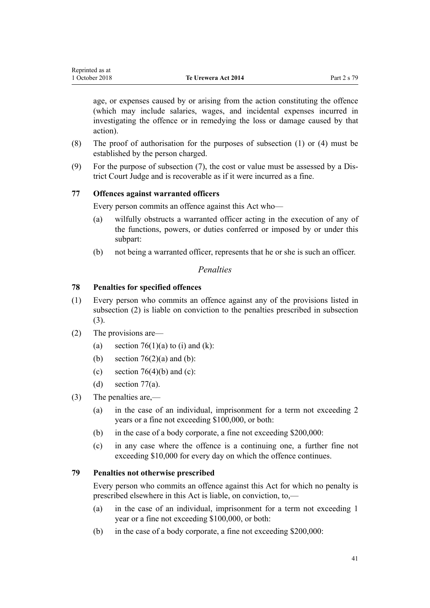<span id="page-40-0"></span>age, or expenses caused by or arising from the action constituting the offence (which may include salaries, wages, and incidental expenses incurred in investigating the offence or in remedying the loss or damage caused by that action).

- (8) The proof of authorisation for the purposes of subsection (1) or (4) must be established by the person charged.
- (9) For the purpose of subsection (7), the cost or value must be assessed by a District Court Judge and is recoverable as if it were incurred as a fine.

## **77 Offences against warranted officers**

Every person commits an offence against this Act who—

- (a) wilfully obstructs a warranted officer acting in the execution of any of the functions, powers, or duties conferred or imposed by or under this subpart:
- (b) not being a warranted officer, represents that he or she is such an officer.

### *Penalties*

## **78 Penalties for specified offences**

- (1) Every person who commits an offence against any of the provisions listed in subsection (2) is liable on conviction to the penalties prescribed in subsection (3).
- (2) The provisions are—
	- (a) section  $76(1)(a)$  to (i) and (k):
	- (b) section  $76(2)(a)$  and (b):
	- (c) section  $76(4)(b)$  and (c):
	- (d) section  $77(a)$ .
- (3) The penalties are,—
	- (a) in the case of an individual, imprisonment for a term not exceeding 2 years or a fine not exceeding \$100,000, or both:
	- (b) in the case of a body corporate, a fine not exceeding \$200,000:
	- (c) in any case where the offence is a continuing one, a further fine not exceeding \$10,000 for every day on which the offence continues.

#### **79 Penalties not otherwise prescribed**

Every person who commits an offence against this Act for which no penalty is prescribed elsewhere in this Act is liable, on conviction, to,—

- (a) in the case of an individual, imprisonment for a term not exceeding 1 year or a fine not exceeding \$100,000, or both:
- (b) in the case of a body corporate, a fine not exceeding \$200,000: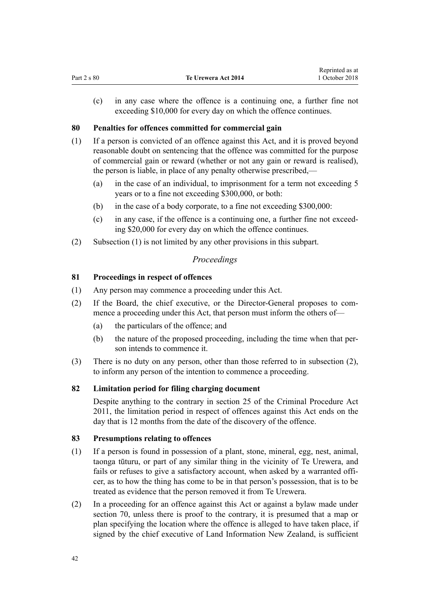(c) in any case where the offence is a continuing one, a further fine not exceeding \$10,000 for every day on which the offence continues.

## **80 Penalties for offences committed for commercial gain**

- (1) If a person is convicted of an offence against this Act, and it is proved beyond reasonable doubt on sentencing that the offence was committed for the purpose of commercial gain or reward (whether or not any gain or reward is realised), the person is liable, in place of any penalty otherwise prescribed,—
	- (a) in the case of an individual, to imprisonment for a term not exceeding 5 years or to a fine not exceeding \$300,000, or both:
	- (b) in the case of a body corporate, to a fine not exceeding \$300,000:
	- (c) in any case, if the offence is a continuing one, a further fine not exceeding \$20,000 for every day on which the offence continues.
- (2) Subsection (1) is not limited by any other provisions in this subpart.

## *Proceedings*

## **81 Proceedings in respect of offences**

- (1) Any person may commence a proceeding under this Act.
- (2) If the Board, the chief executive, or the Director-General proposes to commence a proceeding under this Act, that person must inform the others of—
	- (a) the particulars of the offence; and
	- (b) the nature of the proposed proceeding, including the time when that person intends to commence it.
- (3) There is no duty on any person, other than those referred to in subsection (2), to inform any person of the intention to commence a proceeding.

## **82 Limitation period for filing charging document**

Despite anything to the contrary in section 25 of the Criminal Procedure Act 2011, the limitation period in respect of offences against this Act ends on the day that is 12 months from the date of the discovery of the offence.

## **83 Presumptions relating to offences**

- (1) If a person is found in possession of a plant, stone, mineral, egg, nest, animal, taonga tūturu, or part of any similar thing in the vicinity of Te Urewera, and fails or refuses to give a satisfactory account, when asked by a warranted officer, as to how the thing has come to be in that person's possession, that is to be treated as evidence that the person removed it from Te Urewera.
- (2) In a proceeding for an offence against this Act or against a bylaw made under [section 70](#page-35-0), unless there is proof to the contrary, it is presumed that a map or plan specifying the location where the offence is alleged to have taken place, if signed by the chief executive of Land Information New Zealand, is sufficient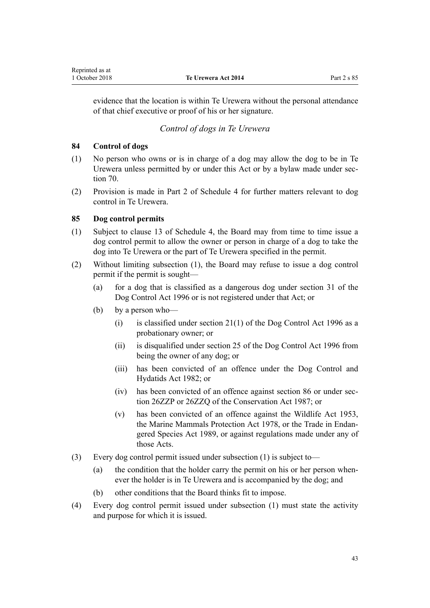<span id="page-42-0"></span>evidence that the location is within Te Urewera without the personal attendance of that chief executive or proof of his or her signature.

### *Control of dogs in Te Urewera*

#### **84 Control of dogs**

- (1) No person who owns or is in charge of a dog may allow the dog to be in Te Urewera unless permitted by or under this Act or by a bylaw made under [sec](#page-35-0)[tion 70](#page-35-0).
- (2) Provision is made in [Part 2](#page-107-0) of Schedule 4 for further matters relevant to dog control in Te Urewera.

#### **85 Dog control permits**

- (1) Subject to [clause 13](#page-104-0) of Schedule 4, the Board may from time to time issue a dog control permit to allow the owner or person in charge of a dog to take the dog into Te Urewera or the part of Te Urewera specified in the permit.
- (2) Without limiting subsection (1), the Board may refuse to issue a dog control permit if the permit is sought—
	- (a) for a dog that is classified as a dangerous dog under [section 31](http://prd-lgnz-nlb.prd.pco.net.nz/pdflink.aspx?id=DLM374887) of the Dog Control Act 1996 or is not registered under that Act; or
	- (b) by a person who—
		- (i) is classified under section  $21(1)$  of the Dog Control Act 1996 as a probationary owner; or
		- (ii) is disqualified under [section 25](http://prd-lgnz-nlb.prd.pco.net.nz/pdflink.aspx?id=DLM374853) of the Dog Control Act 1996 from being the owner of any dog; or
		- (iii) has been convicted of an offence under the Dog Control and Hydatids Act 1982; or
		- (iv) has been convicted of an offence against [section 86](#page-43-0) or under [sec](http://prd-lgnz-nlb.prd.pco.net.nz/pdflink.aspx?id=DLM106092)[tion 26ZZP](http://prd-lgnz-nlb.prd.pco.net.nz/pdflink.aspx?id=DLM106092) or [26ZZQ](http://prd-lgnz-nlb.prd.pco.net.nz/pdflink.aspx?id=DLM106094) of the Conservation Act 1987; or
		- (v) has been convicted of an offence against the [Wildlife Act 1953](http://prd-lgnz-nlb.prd.pco.net.nz/pdflink.aspx?id=DLM276813), the [Marine Mammals Protection Act 1978](http://prd-lgnz-nlb.prd.pco.net.nz/pdflink.aspx?id=DLM25110), or the [Trade in Endan](http://prd-lgnz-nlb.prd.pco.net.nz/pdflink.aspx?id=DLM145965)[gered Species Act 1989](http://prd-lgnz-nlb.prd.pco.net.nz/pdflink.aspx?id=DLM145965), or against regulations made under any of those Acts.
- (3) Every dog control permit issued under subsection (1) is subject to—
	- (a) the condition that the holder carry the permit on his or her person whenever the holder is in Te Urewera and is accompanied by the dog; and
	- (b) other conditions that the Board thinks fit to impose.
- (4) Every dog control permit issued under subsection (1) must state the activity and purpose for which it is issued.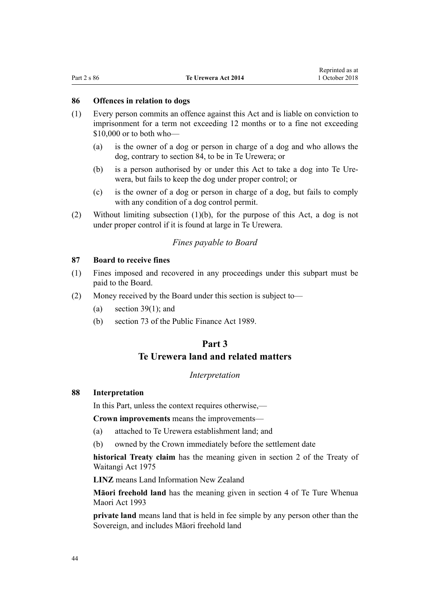#### <span id="page-43-0"></span>**86 Offences in relation to dogs**

- (1) Every person commits an offence against this Act and is liable on conviction to imprisonment for a term not exceeding 12 months or to a fine not exceeding \$10,000 or to both who—
	- (a) is the owner of a dog or person in charge of a dog and who allows the dog, contrary to [section 84](#page-42-0), to be in Te Urewera; or
	- (b) is a person authorised by or under this Act to take a dog into Te Urewera, but fails to keep the dog under proper control; or
	- (c) is the owner of a dog or person in charge of a dog, but fails to comply with any condition of a dog control permit.
- (2) Without limiting subsection (1)(b), for the purpose of this Act, a dog is not under proper control if it is found at large in Te Urewera.

### *Fines payable to Board*

#### **87 Board to receive fines**

- (1) Fines imposed and recovered in any proceedings under this subpart must be paid to the Board.
- (2) Money received by the Board under this section is subject to—
	- (a) section  $39(1)$ ; and
	- (b) [section 73](http://prd-lgnz-nlb.prd.pco.net.nz/pdflink.aspx?id=DLM163137) of the Public Finance Act 1989.

# **Part 3 Te Urewera land and related matters**

#### *Interpretation*

#### **88 Interpretation**

In this Part, unless the context requires otherwise,—

**Crown improvements** means the improvements—

- (a) attached to Te Urewera establishment land; and
- (b) owned by the Crown immediately before the settlement date

**historical Treaty claim** has the meaning given in [section 2](http://prd-lgnz-nlb.prd.pco.net.nz/pdflink.aspx?id=DLM435375) of the Treaty of Waitangi Act 1975

**LINZ** means Land Information New Zealand

**Māori freehold land** has the meaning given in [section 4](http://prd-lgnz-nlb.prd.pco.net.nz/pdflink.aspx?id=DLM289897) of Te Ture Whenua Maori Act 1993

**private land** means land that is held in fee simple by any person other than the Sovereign, and includes Māori freehold land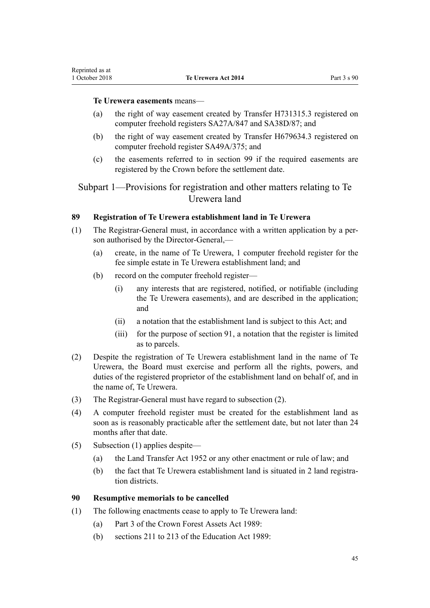#### **Te Urewera easements** means—

- (a) the right of way easement created by Transfer H731315.3 registered on computer freehold registers SA27A/847 and SA38D/87; and
- (b) the right of way easement created by Transfer H679634.3 registered on computer freehold register SA49A/375; and
- (c) the easements referred to in [section 99](#page-48-0) if the required easements are registered by the Crown before the settlement date.

Subpart 1—Provisions for registration and other matters relating to Te Urewera land

#### **89 Registration of Te Urewera establishment land in Te Urewera**

- (1) The Registrar-General must, in accordance with a written application by a person authorised by the Director-General,—
	- (a) create, in the name of Te Urewera, 1 computer freehold register for the fee simple estate in Te Urewera establishment land; and
	- (b) record on the computer freehold register—
		- (i) any interests that are registered, notified, or notifiable (including the Te Urewera easements), and are described in the application; and
		- (ii) a notation that the establishment land is subject to this Act; and
		- (iii) for the purpose of [section 91](#page-45-0), a notation that the register is limited as to parcels.
- (2) Despite the registration of Te Urewera establishment land in the name of Te Urewera, the Board must exercise and perform all the rights, powers, and duties of the registered proprietor of the establishment land on behalf of, and in the name of, Te Urewera.
- (3) The Registrar-General must have regard to subsection (2).
- (4) A computer freehold register must be created for the establishment land as soon as is reasonably practicable after the settlement date, but not later than 24 months after that date.
- (5) Subsection (1) applies despite—
	- (a) the [Land Transfer Act 1952](http://prd-lgnz-nlb.prd.pco.net.nz/pdflink.aspx?id=DLM269031) or any other enactment or rule of law; and
	- (b) the fact that Te Urewera establishment land is situated in 2 land registration districts.

#### **90 Resumptive memorials to be cancelled**

- (1) The following enactments cease to apply to Te Urewera land:
	- (a) [Part 3](http://prd-lgnz-nlb.prd.pco.net.nz/pdflink.aspx?id=DLM192356) of the Crown Forest Assets Act 1989:
	- (b) [sections 211 to 213](http://prd-lgnz-nlb.prd.pco.net.nz/pdflink.aspx?id=DLM184658) of the Education Act 1989: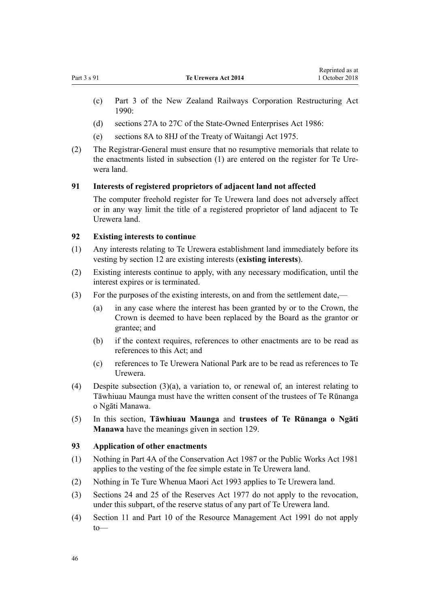- <span id="page-45-0"></span>(c) [Part 3](http://prd-lgnz-nlb.prd.pco.net.nz/pdflink.aspx?id=DLM223144) of the New Zealand Railways Corporation Restructuring Act  $1990$
- (d) [sections 27A to 27C](http://prd-lgnz-nlb.prd.pco.net.nz/pdflink.aspx?id=DLM98097) of the State-Owned Enterprises Act 1986:
- (e) [sections 8A to 8HJ](http://prd-lgnz-nlb.prd.pco.net.nz/pdflink.aspx?id=DLM435544) of the Treaty of Waitangi Act 1975.
- (2) The Registrar-General must ensure that no resumptive memorials that relate to the enactments listed in subsection (1) are entered on the register for Te Urewera land.

#### **91 Interests of registered proprietors of adjacent land not affected**

The computer freehold register for Te Urewera land does not adversely affect or in any way limit the title of a registered proprietor of land adjacent to Te Urewera land.

## **92 Existing interests to continue**

- (1) Any interests relating to Te Urewera establishment land immediately before its vesting by [section 12](#page-14-0) are existing interests (**existing interests**).
- (2) Existing interests continue to apply, with any necessary modification, until the interest expires or is terminated.
- (3) For the purposes of the existing interests, on and from the settlement date,—
	- (a) in any case where the interest has been granted by or to the Crown, the Crown is deemed to have been replaced by the Board as the grantor or grantee; and
	- (b) if the context requires, references to other enactments are to be read as references to this Act; and
	- (c) references to Te Urewera National Park are to be read as references to Te Urewera.
- (4) Despite subsection (3)(a), a variation to, or renewal of, an interest relating to Tāwhiuau Maunga must have the written consent of the trustees of Te Rūnanga o Ngāti Manawa.
- (5) In this section, **Tāwhiuau Maunga** and **trustees of Te Rūnanga o Ngāti Manawa** have the meanings given in [section 129](#page-63-0).

#### **93 Application of other enactments**

- (1) Nothing in [Part 4A](http://prd-lgnz-nlb.prd.pco.net.nz/pdflink.aspx?id=DLM104697) of the Conservation Act 1987 or the [Public Works Act 1981](http://prd-lgnz-nlb.prd.pco.net.nz/pdflink.aspx?id=DLM45426) applies to the vesting of the fee simple estate in Te Urewera land.
- (2) Nothing in [Te Ture Whenua Maori Act 1993](http://prd-lgnz-nlb.prd.pco.net.nz/pdflink.aspx?id=DLM289881) applies to Te Urewera land.
- (3) [Sections 24](http://prd-lgnz-nlb.prd.pco.net.nz/pdflink.aspx?id=DLM444632) and [25](http://prd-lgnz-nlb.prd.pco.net.nz/pdflink.aspx?id=DLM444648) of the Reserves Act 1977 do not apply to the revocation, under this subpart, of the reserve status of any part of Te Urewera land.
- (4) [Section 11](http://prd-lgnz-nlb.prd.pco.net.nz/pdflink.aspx?id=DLM231942) and [Part 10](http://prd-lgnz-nlb.prd.pco.net.nz/pdflink.aspx?id=DLM236786) of the Resource Management Act 1991 do not apply  $to$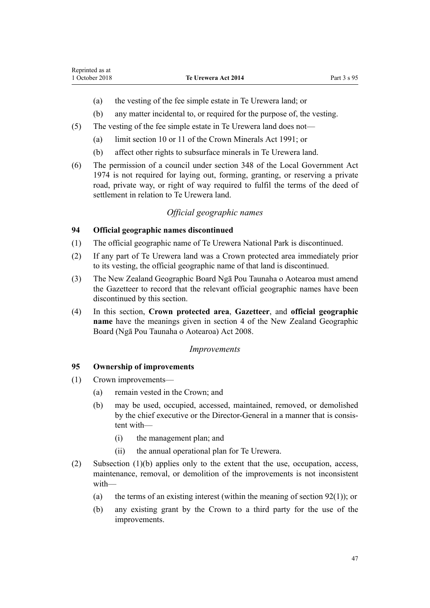<span id="page-46-0"></span>Reprinted as at

- (a) the vesting of the fee simple estate in Te Urewera land; or
- (b) any matter incidental to, or required for the purpose of, the vesting.
- (5) The vesting of the fee simple estate in Te Urewera land does not—
	- (a) limit [section 10](http://prd-lgnz-nlb.prd.pco.net.nz/pdflink.aspx?id=DLM246310) or [11](http://prd-lgnz-nlb.prd.pco.net.nz/pdflink.aspx?id=DLM246311) of the Crown Minerals Act 1991; or
	- (b) affect other rights to subsurface minerals in Te Urewera land.
- (6) The permission of a council under [section 348](http://prd-lgnz-nlb.prd.pco.net.nz/pdflink.aspx?id=DLM420676) of the Local Government Act 1974 is not required for laying out, forming, granting, or reserving a private road, private way, or right of way required to fulfil the terms of the deed of settlement in relation to Te Urewera land.

### *Official geographic names*

## **94 Official geographic names discontinued**

- (1) The official geographic name of Te Urewera National Park is discontinued.
- (2) If any part of Te Urewera land was a Crown protected area immediately prior to its vesting, the official geographic name of that land is discontinued.
- (3) The New Zealand Geographic Board Ngā Pou Taunaha o Aotearoa must amend the Gazetteer to record that the relevant official geographic names have been discontinued by this section.
- (4) In this section, **Crown protected area**, **Gazetteer**, and **official geographic name** have the meanings given in [section 4](http://prd-lgnz-nlb.prd.pco.net.nz/pdflink.aspx?id=DLM1065420) of the New Zealand Geographic Board (Ngā Pou Taunaha o Aotearoa) Act 2008.

#### *Improvements*

### **95 Ownership of improvements**

- (1) Crown improvements—
	- (a) remain vested in the Crown; and
	- (b) may be used, occupied, accessed, maintained, removed, or demolished by the chief executive or the Director-General in a manner that is consistent with—
		- (i) the management plan; and
		- (ii) the annual operational plan for Te Urewera.
- (2) Subsection  $(1)(b)$  applies only to the extent that the use, occupation, access, maintenance, removal, or demolition of the improvements is not inconsistent with—
	- (a) the terms of an existing interest (within the meaning of section  $92(1)$ ); or
	- (b) any existing grant by the Crown to a third party for the use of the improvements.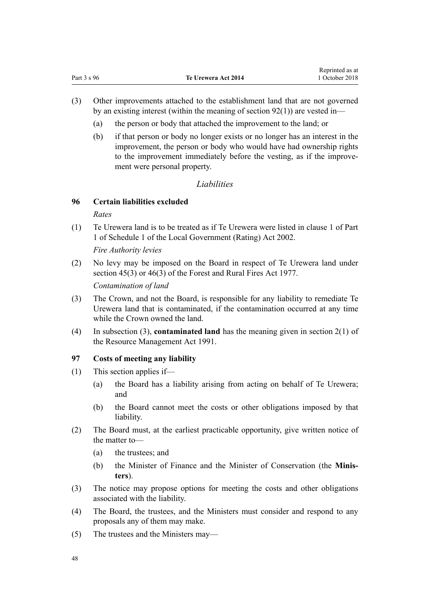- <span id="page-47-0"></span>(3) Other improvements attached to the establishment land that are not governed by an existing interest (within the meaning of [section 92\(1\)\)](#page-45-0) are vested in—
	- (a) the person or body that attached the improvement to the land; or
	- (b) if that person or body no longer exists or no longer has an interest in the improvement, the person or body who would have had ownership rights to the improvement immediately before the vesting, as if the improvement were personal property.

## *Liabilities*

## **96 Certain liabilities excluded**

## *Rates*

(1) Te Urewera land is to be treated as if Te Urewera were listed in [clause 1](http://prd-lgnz-nlb.prd.pco.net.nz/pdflink.aspx?id=DLM1733703) of Part 1 of Schedule 1 of the Local Government (Rating) Act 2002.

*Fire Authority levies*

(2) No levy may be imposed on the Board in respect of Te Urewera land under [section 45\(3\)](http://prd-lgnz-nlb.prd.pco.net.nz/pdflink.aspx?id=DLM443520) or [46\(3\)](http://prd-lgnz-nlb.prd.pco.net.nz/pdflink.aspx?id=DLM443524) of the Forest and Rural Fires Act 1977.

*Contamination of land*

- (3) The Crown, and not the Board, is responsible for any liability to remediate Te Urewera land that is contaminated, if the contamination occurred at any time while the Crown owned the land.
- (4) In subsection (3), **contaminated land** has the meaning given in [section 2\(1\)](http://prd-lgnz-nlb.prd.pco.net.nz/pdflink.aspx?id=DLM230272) of the Resource Management Act 1991.

## **97 Costs of meeting any liability**

- (1) This section applies if—
	- (a) the Board has a liability arising from acting on behalf of Te Urewera; and
	- (b) the Board cannot meet the costs or other obligations imposed by that liability.
- (2) The Board must, at the earliest practicable opportunity, give written notice of the matter to—
	- (a) the trustees; and
	- (b) the Minister of Finance and the Minister of Conservation (the **Ministers**).
- (3) The notice may propose options for meeting the costs and other obligations associated with the liability.
- (4) The Board, the trustees, and the Ministers must consider and respond to any proposals any of them may make.
- (5) The trustees and the Ministers may—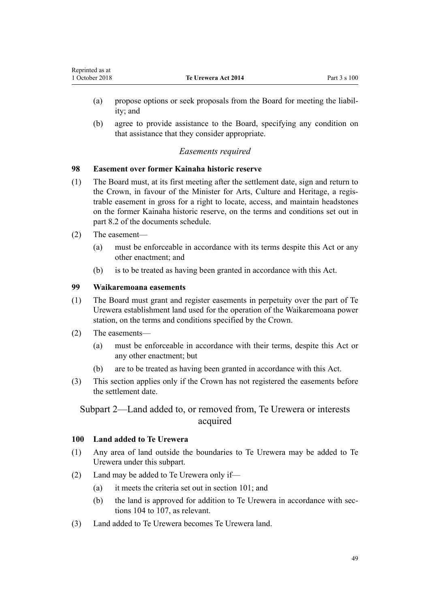- <span id="page-48-0"></span>(a) propose options or seek proposals from the Board for meeting the liability; and
- (b) agree to provide assistance to the Board, specifying any condition on that assistance that they consider appropriate.

## *Easements required*

## **98 Easement over former Kainaha historic reserve**

- (1) The Board must, at its first meeting after the settlement date, sign and return to the Crown, in favour of the Minister for Arts, Culture and Heritage, a registrable easement in gross for a right to locate, access, and maintain headstones on the former Kainaha historic reserve, on the terms and conditions set out in part 8.2 of the documents schedule.
- (2) The easement—
	- (a) must be enforceable in accordance with its terms despite this Act or any other enactment; and
	- (b) is to be treated as having been granted in accordance with this Act.

### **99 Waikaremoana easements**

- (1) The Board must grant and register easements in perpetuity over the part of Te Urewera establishment land used for the operation of the Waikaremoana power station, on the terms and conditions specified by the Crown.
- (2) The easements—
	- (a) must be enforceable in accordance with their terms, despite this Act or any other enactment; but
	- (b) are to be treated as having been granted in accordance with this Act.
- (3) This section applies only if the Crown has not registered the easements before the settlement date.

## Subpart 2—Land added to, or removed from, Te Urewera or interests acquired

## **100 Land added to Te Urewera**

- (1) Any area of land outside the boundaries to Te Urewera may be added to Te Urewera under this subpart.
- (2) Land may be added to Te Urewera only if—
	- (a) it meets the criteria set out in [section 101](#page-49-0); and
	- (b) the land is approved for addition to Te Urewera in accordance with [sec](#page-50-0)[tions 104 to 107,](#page-50-0) as relevant.
- (3) Land added to Te Urewera becomes Te Urewera land.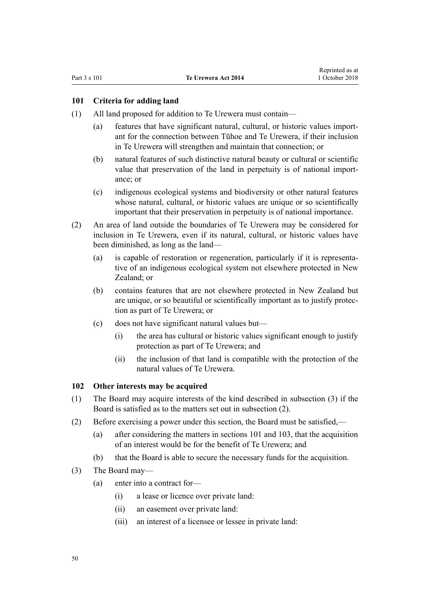#### <span id="page-49-0"></span>**101 Criteria for adding land**

- (1) All land proposed for addition to Te Urewera must contain—
	- (a) features that have significant natural, cultural, or historic values important for the connection between Tūhoe and Te Urewera, if their inclusion in Te Urewera will strengthen and maintain that connection; or
	- (b) natural features of such distinctive natural beauty or cultural or scientific value that preservation of the land in perpetuity is of national importance; or
	- (c) indigenous ecological systems and biodiversity or other natural features whose natural, cultural, or historic values are unique or so scientifically important that their preservation in perpetuity is of national importance.
- (2) An area of land outside the boundaries of Te Urewera may be considered for inclusion in Te Urewera, even if its natural, cultural, or historic values have been diminished, as long as the land—
	- (a) is capable of restoration or regeneration, particularly if it is representative of an indigenous ecological system not elsewhere protected in New Zealand; or
	- (b) contains features that are not elsewhere protected in New Zealand but are unique, or so beautiful or scientifically important as to justify protection as part of Te Urewera; or
	- (c) does not have significant natural values but—
		- (i) the area has cultural or historic values significant enough to justify protection as part of Te Urewera; and
		- (ii) the inclusion of that land is compatible with the protection of the natural values of Te Urewera.

#### **102 Other interests may be acquired**

- (1) The Board may acquire interests of the kind described in subsection (3) if the Board is satisfied as to the matters set out in subsection (2).
- (2) Before exercising a power under this section, the Board must be satisfied,—
	- (a) after considering the matters in sections 101 and [103,](#page-50-0) that the acquisition of an interest would be for the benefit of Te Urewera; and
	- (b) that the Board is able to secure the necessary funds for the acquisition.
- (3) The Board may—
	- (a) enter into a contract for—
		- (i) a lease or licence over private land:
		- (ii) an easement over private land:
		- (iii) an interest of a licensee or lessee in private land: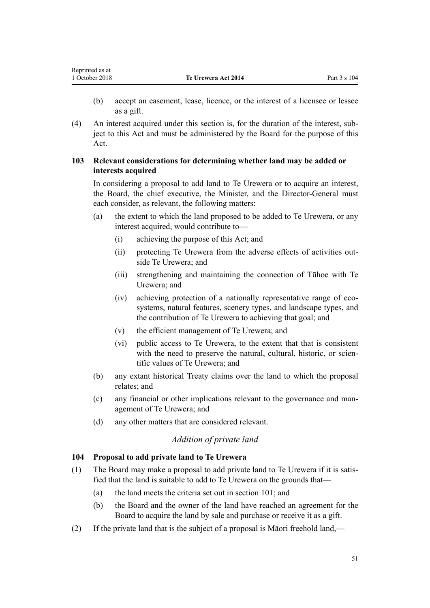- <span id="page-50-0"></span>(b) accept an easement, lease, licence, or the interest of a licensee or lessee as a gift.
- (4) An interest acquired under this section is, for the duration of the interest, subject to this Act and must be administered by the Board for the purpose of this Act.

## **103 Relevant considerations for determining whether land may be added or interests acquired**

In considering a proposal to add land to Te Urewera or to acquire an interest, the Board, the chief executive, the Minister, and the Director-General must each consider, as relevant, the following matters:

- (a) the extent to which the land proposed to be added to Te Urewera, or any interest acquired, would contribute to—
	- (i) achieving the purpose of this Act; and
	- (ii) protecting Te Urewera from the adverse effects of activities outside Te Urewera; and
	- (iii) strengthening and maintaining the connection of Tūhoe with Te Urewera; and
	- (iv) achieving protection of a nationally representative range of ecosystems, natural features, scenery types, and landscape types, and the contribution of Te Urewera to achieving that goal; and
	- (v) the efficient management of Te Urewera; and
	- (vi) public access to Te Urewera, to the extent that that is consistent with the need to preserve the natural, cultural, historic, or scientific values of Te Urewera; and
- (b) any extant historical Treaty claims over the land to which the proposal relates; and
- (c) any financial or other implications relevant to the governance and management of Te Urewera; and
- (d) any other matters that are considered relevant.

## *Addition of private land*

## **104 Proposal to add private land to Te Urewera**

- (1) The Board may make a proposal to add private land to Te Urewera if it is satisfied that the land is suitable to add to Te Urewera on the grounds that—
	- (a) the land meets the criteria set out in [section 101;](#page-49-0) and
	- (b) the Board and the owner of the land have reached an agreement for the Board to acquire the land by sale and purchase or receive it as a gift.
- (2) If the private land that is the subject of a proposal is Māori freehold land,—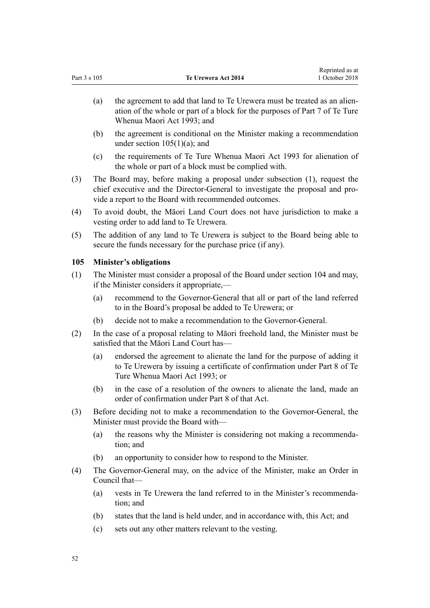- <span id="page-51-0"></span>(a) the agreement to add that land to Te Urewera must be treated as an alienation of the whole or part of a block for the purposes of [Part 7](http://prd-lgnz-nlb.prd.pco.net.nz/pdflink.aspx?id=DLM291510) of Te Ture Whenua Maori Act 1993; and
- (b) the agreement is conditional on the Minister making a recommendation under section  $105(1)(a)$ ; and
- (c) the requirements of [Te Ture Whenua Maori Act 1993](http://prd-lgnz-nlb.prd.pco.net.nz/pdflink.aspx?id=DLM289881) for alienation of the whole or part of a block must be complied with.
- (3) The Board may, before making a proposal under subsection (1), request the chief executive and the Director-General to investigate the proposal and provide a report to the Board with recommended outcomes.
- (4) To avoid doubt, the Māori Land Court does not have jurisdiction to make a vesting order to add land to Te Urewera.
- (5) The addition of any land to Te Urewera is subject to the Board being able to secure the funds necessary for the purchase price (if any).

### **105 Minister's obligations**

- (1) The Minister must consider a proposal of the Board under [section 104](#page-50-0) and may, if the Minister considers it appropriate,—
	- (a) recommend to the Governor-General that all or part of the land referred to in the Board's proposal be added to Te Urewera; or
	- (b) decide not to make a recommendation to the Governor-General.
- (2) In the case of a proposal relating to Māori freehold land, the Minister must be satisfied that the Māori Land Court has—
	- (a) endorsed the agreement to alienate the land for the purpose of adding it to Te Urewera by issuing a certificate of confirmation under [Part 8](http://prd-lgnz-nlb.prd.pco.net.nz/pdflink.aspx?id=DLM291539) of Te Ture Whenua Maori Act 1993; or
	- (b) in the case of a resolution of the owners to alienate the land, made an order of confirmation under [Part 8](http://prd-lgnz-nlb.prd.pco.net.nz/pdflink.aspx?id=DLM291539) of that Act.
- (3) Before deciding not to make a recommendation to the Governor-General, the Minister must provide the Board with—
	- (a) the reasons why the Minister is considering not making a recommendation; and
	- (b) an opportunity to consider how to respond to the Minister.
- (4) The Governor-General may, on the advice of the Minister, make an Order in Council that—
	- (a) vests in Te Urewera the land referred to in the Minister's recommendation; and
	- (b) states that the land is held under, and in accordance with, this Act; and
	- (c) sets out any other matters relevant to the vesting.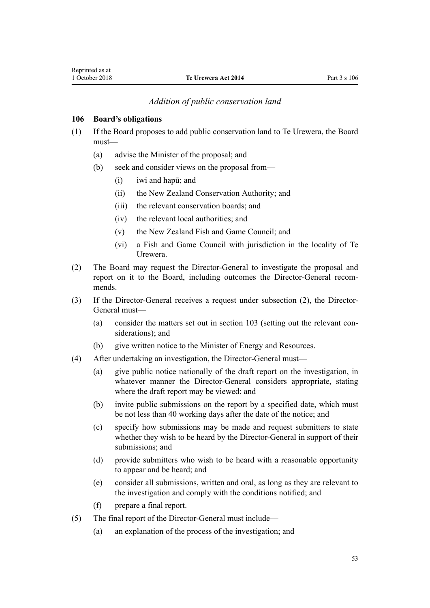#### *Addition of public conservation land*

#### <span id="page-52-0"></span>**106 Board's obligations**

- (1) If the Board proposes to add public conservation land to Te Urewera, the Board must—
	- (a) advise the Minister of the proposal; and
	- (b) seek and consider views on the proposal from—
		- (i) iwi and hapū; and
		- (ii) the New Zealand Conservation Authority; and
		- (iii) the relevant conservation boards; and
		- (iv) the relevant local authorities; and
		- (v) the New Zealand Fish and Game Council; and
		- (vi) a Fish and Game Council with jurisdiction in the locality of Te Urewera.
- (2) The Board may request the Director-General to investigate the proposal and report on it to the Board, including outcomes the Director-General recommends.
- (3) If the Director-General receives a request under subsection (2), the Director-General must—
	- (a) consider the matters set out in [section 103](#page-50-0) (setting out the relevant considerations); and
	- (b) give written notice to the Minister of Energy and Resources.
- (4) After undertaking an investigation, the Director-General must—
	- (a) give public notice nationally of the draft report on the investigation, in whatever manner the Director-General considers appropriate, stating where the draft report may be viewed; and
	- (b) invite public submissions on the report by a specified date, which must be not less than 40 working days after the date of the notice; and
	- (c) specify how submissions may be made and request submitters to state whether they wish to be heard by the Director-General in support of their submissions; and
	- (d) provide submitters who wish to be heard with a reasonable opportunity to appear and be heard; and
	- (e) consider all submissions, written and oral, as long as they are relevant to the investigation and comply with the conditions notified; and
	- (f) prepare a final report.
- (5) The final report of the Director-General must include—
	- (a) an explanation of the process of the investigation; and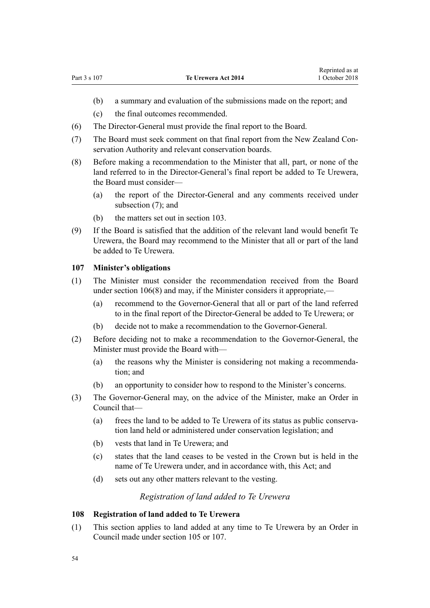- <span id="page-53-0"></span>(b) a summary and evaluation of the submissions made on the report; and
- (c) the final outcomes recommended.
- (6) The Director-General must provide the final report to the Board.
- (7) The Board must seek comment on that final report from the New Zealand Conservation Authority and relevant conservation boards.
- (8) Before making a recommendation to the Minister that all, part, or none of the land referred to in the Director-General's final report be added to Te Urewera, the Board must consider—
	- (a) the report of the Director-General and any comments received under subsection  $(7)$ ; and
	- (b) the matters set out in [section 103.](#page-50-0)
- (9) If the Board is satisfied that the addition of the relevant land would benefit Te Urewera, the Board may recommend to the Minister that all or part of the land be added to Te Urewera.

#### **107 Minister's obligations**

- (1) The Minister must consider the recommendation received from the Board under [section 106\(8\)](#page-52-0) and may, if the Minister considers it appropriate,—
	- (a) recommend to the Governor-General that all or part of the land referred to in the final report of the Director-General be added to Te Urewera; or
	- (b) decide not to make a recommendation to the Governor-General.
- (2) Before deciding not to make a recommendation to the Governor-General, the Minister must provide the Board with—
	- (a) the reasons why the Minister is considering not making a recommendation; and
	- (b) an opportunity to consider how to respond to the Minister's concerns.
- (3) The Governor-General may, on the advice of the Minister, make an Order in Council that—
	- (a) frees the land to be added to Te Urewera of its status as public conservation land held or administered under conservation legislation; and
	- (b) vests that land in Te Urewera; and
	- (c) states that the land ceases to be vested in the Crown but is held in the name of Te Urewera under, and in accordance with, this Act; and
	- (d) sets out any other matters relevant to the vesting.

#### *Registration of land added to Te Urewera*

### **108 Registration of land added to Te Urewera**

(1) This section applies to land added at any time to Te Urewera by an Order in Council made under [section 105](#page-51-0) or 107.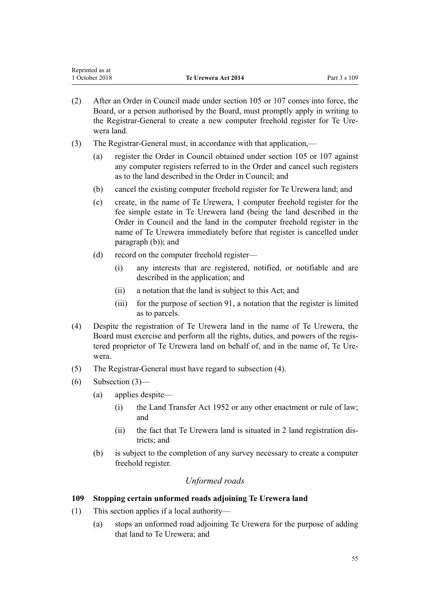| Reprinted as at |                            |              |
|-----------------|----------------------------|--------------|
| 1 October 2018  | <b>Te Urewera Act 2014</b> | Part 3 s 109 |

- (2) After an Order in Council made under [section 105](#page-51-0) or [107](#page-53-0) comes into force, the Board, or a person authorised by the Board, must promptly apply in writing to the Registrar-General to create a new computer freehold register for Te Urewera land.
- (3) The Registrar-General must, in accordance with that application,—
	- (a) register the Order in Council obtained under [section 105](#page-51-0) or [107](#page-53-0) against any computer registers referred to in the Order and cancel such registers as to the land described in the Order in Council; and
	- (b) cancel the existing computer freehold register for Te Urewera land; and
	- (c) create, in the name of Te Urewera, 1 computer freehold register for the fee simple estate in Te Urewera land (being the land described in the Order in Council and the land in the computer freehold register in the name of Te Urewera immediately before that register is cancelled under paragraph (b)); and
	- (d) record on the computer freehold register—
		- (i) any interests that are registered, notified, or notifiable and are described in the application; and
		- (ii) a notation that the land is subject to this Act; and
		- (iii) for the purpose of [section 91](#page-45-0), a notation that the register is limited as to parcels.
- (4) Despite the registration of Te Urewera land in the name of Te Urewera, the Board must exercise and perform all the rights, duties, and powers of the registered proprietor of Te Urewera land on behalf of, and in the name of, Te Urewera.
- (5) The Registrar-General must have regard to subsection (4).
- $(6)$  Subsection  $(3)$ —

Representative as a set of the set of the set of the set of the set of the set of the set of the set of the set of the set of the set of the set of the set of the set of the set of the set of the set of the set of the set

- (a) applies despite—
	- (i) the [Land Transfer Act 1952](http://prd-lgnz-nlb.prd.pco.net.nz/pdflink.aspx?id=DLM269031) or any other enactment or rule of law; and
	- (ii) the fact that Te Urewera land is situated in 2 land registration districts; and
- (b) is subject to the completion of any survey necessary to create a computer freehold register.

## *Unformed roads*

#### **109 Stopping certain unformed roads adjoining Te Urewera land**

- (1) This section applies if a local authority—
	- (a) stops an unformed road adjoining Te Urewera for the purpose of adding that land to Te Urewera; and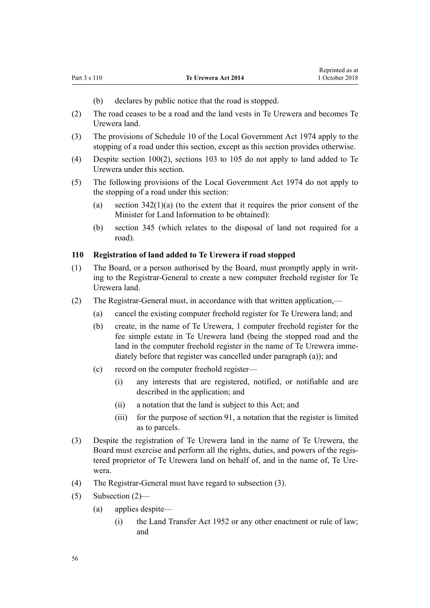- (b) declares by public notice that the road is stopped.
- (2) The road ceases to be a road and the land vests in Te Urewera and becomes Te Urewera land.
- (3) The provisions of [Schedule 10](http://prd-lgnz-nlb.prd.pco.net.nz/pdflink.aspx?id=DLM425592) of the Local Government Act 1974 apply to the stopping of a road under this section, except as this section provides otherwise.
- (4) Despite [section 100\(2\),](#page-48-0) [sections 103 to 105](#page-50-0) do not apply to land added to Te Urewera under this section.
- (5) The following provisions of the [Local Government Act 1974](http://prd-lgnz-nlb.prd.pco.net.nz/pdflink.aspx?id=DLM415531) do not apply to the stopping of a road under this section:
	- (a) section  $342(1)(a)$  (to the extent that it requires the prior consent of the Minister for Land Information to be obtained):
	- (b) [section 345](http://prd-lgnz-nlb.prd.pco.net.nz/pdflink.aspx?id=DLM420626) (which relates to the disposal of land not required for a road).

#### **110 Registration of land added to Te Urewera if road stopped**

- (1) The Board, or a person authorised by the Board, must promptly apply in writing to the Registrar-General to create a new computer freehold register for Te Urewera land.
- (2) The Registrar-General must, in accordance with that written application,—
	- (a) cancel the existing computer freehold register for Te Urewera land; and
	- (b) create, in the name of Te Urewera, 1 computer freehold register for the fee simple estate in Te Urewera land (being the stopped road and the land in the computer freehold register in the name of Te Urewera immediately before that register was cancelled under paragraph (a)); and
	- (c) record on the computer freehold register—
		- (i) any interests that are registered, notified, or notifiable and are described in the application; and
		- (ii) a notation that the land is subject to this Act; and
		- (iii) for the purpose of [section 91](#page-45-0), a notation that the register is limited as to parcels.
- (3) Despite the registration of Te Urewera land in the name of Te Urewera, the Board must exercise and perform all the rights, duties, and powers of the registered proprietor of Te Urewera land on behalf of, and in the name of, Te Urewera.
- (4) The Registrar-General must have regard to subsection (3).
- $(5)$  Subsection  $(2)$ 
	- (a) applies despite—
		- (i) the Land Transfer Act 1952 or any other enactment or rule of law; and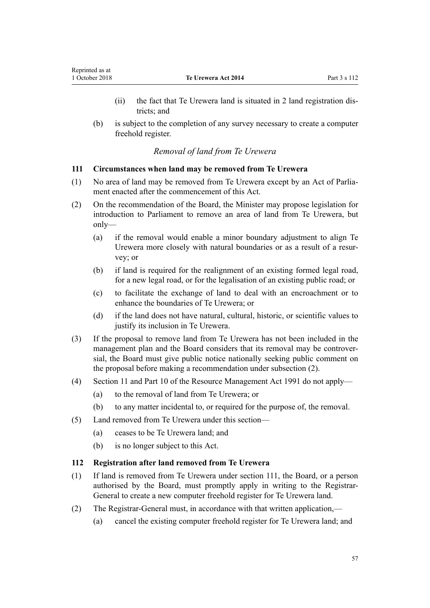- <span id="page-56-0"></span>(ii) the fact that Te Urewera land is situated in 2 land registration districts; and
- (b) is subject to the completion of any survey necessary to create a computer freehold register.

## *Removal of land from Te Urewera*

## **111 Circumstances when land may be removed from Te Urewera**

- (1) No area of land may be removed from Te Urewera except by an Act of Parliament enacted after the commencement of this Act.
- (2) On the recommendation of the Board, the Minister may propose legislation for introduction to Parliament to remove an area of land from Te Urewera, but only—
	- (a) if the removal would enable a minor boundary adjustment to align Te Urewera more closely with natural boundaries or as a result of a resurvey; or
	- (b) if land is required for the realignment of an existing formed legal road, for a new legal road, or for the legalisation of an existing public road; or
	- (c) to facilitate the exchange of land to deal with an encroachment or to enhance the boundaries of Te Urewera; or
	- (d) if the land does not have natural, cultural, historic, or scientific values to justify its inclusion in Te Urewera.
- (3) If the proposal to remove land from Te Urewera has not been included in the management plan and the Board considers that its removal may be controversial, the Board must give public notice nationally seeking public comment on the proposal before making a recommendation under subsection (2).
- (4) [Section 11](http://prd-lgnz-nlb.prd.pco.net.nz/pdflink.aspx?id=DLM231942) and [Part 10](http://prd-lgnz-nlb.prd.pco.net.nz/pdflink.aspx?id=DLM236786) of the Resource Management Act 1991 do not apply—
	- (a) to the removal of land from Te Urewera; or
	- (b) to any matter incidental to, or required for the purpose of, the removal.
- (5) Land removed from Te Urewera under this section—
	- (a) ceases to be Te Urewera land; and
	- (b) is no longer subject to this Act.

#### **112 Registration after land removed from Te Urewera**

- (1) If land is removed from Te Urewera under section 111, the Board, or a person authorised by the Board, must promptly apply in writing to the Registrar-General to create a new computer freehold register for Te Urewera land.
- (2) The Registrar-General must, in accordance with that written application,—
	- (a) cancel the existing computer freehold register for Te Urewera land; and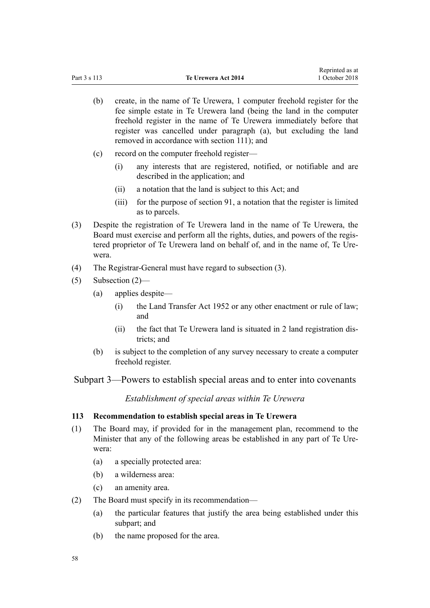- <span id="page-57-0"></span>(b) create, in the name of Te Urewera, 1 computer freehold register for the fee simple estate in Te Urewera land (being the land in the computer freehold register in the name of Te Urewera immediately before that register was cancelled under paragraph (a), but excluding the land removed in accordance with [section 111\)](#page-56-0); and
- (c) record on the computer freehold register—
	- (i) any interests that are registered, notified, or notifiable and are described in the application; and
	- (ii) a notation that the land is subject to this Act; and
	- (iii) for the purpose of [section 91](#page-45-0), a notation that the register is limited as to parcels.
- (3) Despite the registration of Te Urewera land in the name of Te Urewera, the Board must exercise and perform all the rights, duties, and powers of the registered proprietor of Te Urewera land on behalf of, and in the name of, Te Urewera.
- (4) The Registrar-General must have regard to subsection (3).
- $(5)$  Subsection  $(2)$ 
	- (a) applies despite—
		- (i) the [Land Transfer Act 1952](http://prd-lgnz-nlb.prd.pco.net.nz/pdflink.aspx?id=DLM269031) or any other enactment or rule of law; and
		- (ii) the fact that Te Urewera land is situated in 2 land registration districts; and
	- (b) is subject to the completion of any survey necessary to create a computer freehold register.

Subpart 3—Powers to establish special areas and to enter into covenants

*Establishment of special areas within Te Urewera*

## **113 Recommendation to establish special areas in Te Urewera**

- (1) The Board may, if provided for in the management plan, recommend to the Minister that any of the following areas be established in any part of Te Urewera:
	- (a) a specially protected area:
	- (b) a wilderness area:
	- (c) an amenity area.
- (2) The Board must specify in its recommendation—
	- (a) the particular features that justify the area being established under this subpart; and
	- (b) the name proposed for the area.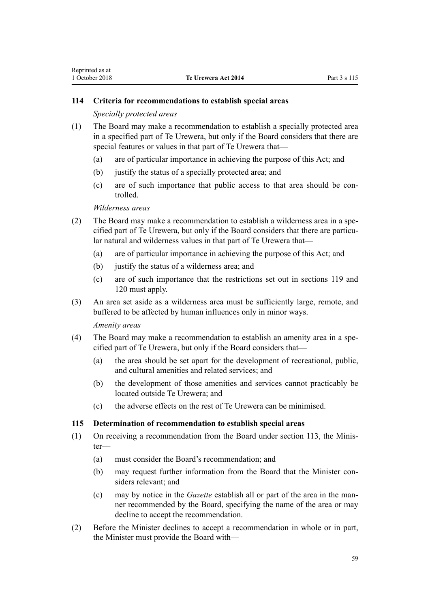*Specially protected areas*

Reprinted as at

- (1) The Board may make a recommendation to establish a specially protected area in a specified part of Te Urewera, but only if the Board considers that there are special features or values in that part of Te Urewera that—
	- (a) are of particular importance in achieving the purpose of this Act; and
	- (b) justify the status of a specially protected area; and
	- (c) are of such importance that public access to that area should be controlled.

#### *Wilderness areas*

- (2) The Board may make a recommendation to establish a wilderness area in a specified part of Te Urewera, but only if the Board considers that there are particular natural and wilderness values in that part of Te Urewera that—
	- (a) are of particular importance in achieving the purpose of this Act; and
	- (b) justify the status of a wilderness area; and
	- (c) are of such importance that the restrictions set out in [sections 119](#page-60-0) and [120](#page-60-0) must apply.
- (3) An area set aside as a wilderness area must be sufficiently large, remote, and buffered to be affected by human influences only in minor ways.

#### *Amenity areas*

- (4) The Board may make a recommendation to establish an amenity area in a specified part of Te Urewera, but only if the Board considers that—
	- (a) the area should be set apart for the development of recreational, public, and cultural amenities and related services; and
	- (b) the development of those amenities and services cannot practicably be located outside Te Urewera; and
	- (c) the adverse effects on the rest of Te Urewera can be minimised.

#### **115 Determination of recommendation to establish special areas**

- (1) On receiving a recommendation from the Board under [section 113](#page-57-0), the Minister—
	- (a) must consider the Board's recommendation; and
	- (b) may request further information from the Board that the Minister considers relevant; and
	- (c) may by notice in the *Gazette* establish all or part of the area in the manner recommended by the Board, specifying the name of the area or may decline to accept the recommendation.
- (2) Before the Minister declines to accept a recommendation in whole or in part, the Minister must provide the Board with—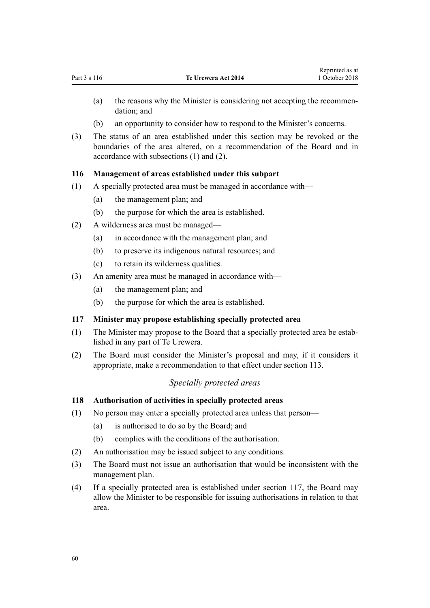- (a) the reasons why the Minister is considering not accepting the recommendation; and
- (b) an opportunity to consider how to respond to the Minister's concerns.
- (3) The status of an area established under this section may be revoked or the boundaries of the area altered, on a recommendation of the Board and in accordance with subsections (1) and (2).

#### **116 Management of areas established under this subpart**

- (1) A specially protected area must be managed in accordance with—
	- (a) the management plan; and
	- (b) the purpose for which the area is established.
- (2) A wilderness area must be managed—
	- (a) in accordance with the management plan; and
	- (b) to preserve its indigenous natural resources; and
	- (c) to retain its wilderness qualities.
- (3) An amenity area must be managed in accordance with—
	- (a) the management plan; and
	- (b) the purpose for which the area is established.

#### **117 Minister may propose establishing specially protected area**

- (1) The Minister may propose to the Board that a specially protected area be established in any part of Te Urewera.
- (2) The Board must consider the Minister's proposal and may, if it considers it appropriate, make a recommendation to that effect under [section 113](#page-57-0).

#### *Specially protected areas*

#### **118 Authorisation of activities in specially protected areas**

- (1) No person may enter a specially protected area unless that person—
	- (a) is authorised to do so by the Board; and
	- (b) complies with the conditions of the authorisation.
- (2) An authorisation may be issued subject to any conditions.
- (3) The Board must not issue an authorisation that would be inconsistent with the management plan.
- (4) If a specially protected area is established under section 117, the Board may allow the Minister to be responsible for issuing authorisations in relation to that area.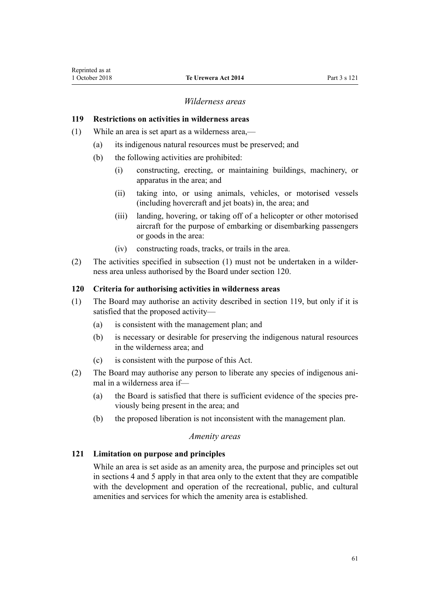#### *Wilderness areas*

#### <span id="page-60-0"></span>**119 Restrictions on activities in wilderness areas**

- (1) While an area is set apart as a wilderness area,—
	- (a) its indigenous natural resources must be preserved; and
	- (b) the following activities are prohibited:
		- (i) constructing, erecting, or maintaining buildings, machinery, or apparatus in the area; and
		- (ii) taking into, or using animals, vehicles, or motorised vessels (including hovercraft and jet boats) in, the area; and
		- (iii) landing, hovering, or taking off of a helicopter or other motorised aircraft for the purpose of embarking or disembarking passengers or goods in the area:
		- (iv) constructing roads, tracks, or trails in the area.
- (2) The activities specified in subsection (1) must not be undertaken in a wilderness area unless authorised by the Board under section 120.

#### **120 Criteria for authorising activities in wilderness areas**

- (1) The Board may authorise an activity described in section 119, but only if it is satisfied that the proposed activity—
	- (a) is consistent with the management plan; and
	- (b) is necessary or desirable for preserving the indigenous natural resources in the wilderness area; and
	- (c) is consistent with the purpose of this Act.
- (2) The Board may authorise any person to liberate any species of indigenous animal in a wilderness area if—
	- (a) the Board is satisfied that there is sufficient evidence of the species previously being present in the area; and
	- (b) the proposed liberation is not inconsistent with the management plan.

#### *Amenity areas*

## **121 Limitation on purpose and principles**

While an area is set aside as an amenity area, the purpose and principles set out in [sections 4](#page-8-0) and [5](#page-8-0) apply in that area only to the extent that they are compatible with the development and operation of the recreational, public, and cultural amenities and services for which the amenity area is established.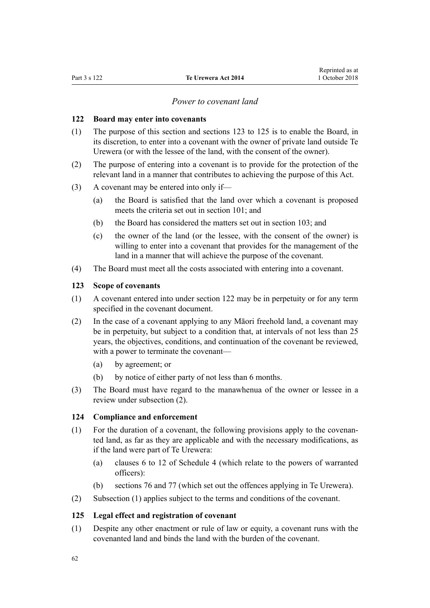#### *Power to covenant land*

#### <span id="page-61-0"></span>**122 Board may enter into covenants**

- (1) The purpose of this section and sections 123 to 125 is to enable the Board, in its discretion, to enter into a covenant with the owner of private land outside Te Urewera (or with the lessee of the land, with the consent of the owner).
- (2) The purpose of entering into a covenant is to provide for the protection of the relevant land in a manner that contributes to achieving the purpose of this Act.
- (3) A covenant may be entered into only if—
	- (a) the Board is satisfied that the land over which a covenant is proposed meets the criteria set out in [section 101](#page-49-0); and
	- (b) the Board has considered the matters set out in [section 103](#page-50-0); and
	- (c) the owner of the land (or the lessee, with the consent of the owner) is willing to enter into a covenant that provides for the management of the land in a manner that will achieve the purpose of the covenant.
- (4) The Board must meet all the costs associated with entering into a covenant.

#### **123 Scope of covenants**

- (1) A covenant entered into under section 122 may be in perpetuity or for any term specified in the covenant document.
- (2) In the case of a covenant applying to any Māori freehold land, a covenant may be in perpetuity, but subject to a condition that, at intervals of not less than 25 years, the objectives, conditions, and continuation of the covenant be reviewed, with a power to terminate the covenant—
	- (a) by agreement; or
	- (b) by notice of either party of not less than 6 months.
- (3) The Board must have regard to the manawhenua of the owner or lessee in a review under subsection (2).

#### **124 Compliance and enforcement**

- (1) For the duration of a covenant, the following provisions apply to the covenanted land, as far as they are applicable and with the necessary modifications, as if the land were part of Te Urewera:
	- (a) [clauses 6 to 12](#page-101-0) of Schedule 4 (which relate to the powers of warranted officers):
	- (b) [sections 76](#page-38-0) and [77](#page-40-0) (which set out the offences applying in Te Urewera).
- (2) Subsection (1) applies subject to the terms and conditions of the covenant.

#### **125 Legal effect and registration of covenant**

(1) Despite any other enactment or rule of law or equity, a covenant runs with the covenanted land and binds the land with the burden of the covenant.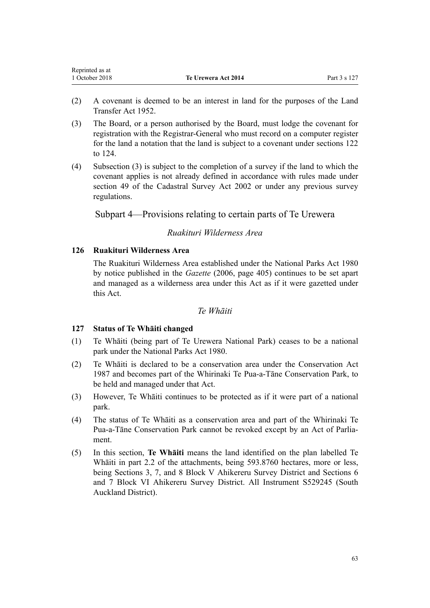- (2) A covenant is deemed to be an interest in land for the purposes of the [Land](http://prd-lgnz-nlb.prd.pco.net.nz/pdflink.aspx?id=DLM269031) [Transfer Act 1952](http://prd-lgnz-nlb.prd.pco.net.nz/pdflink.aspx?id=DLM269031).
- (3) The Board, or a person authorised by the Board, must lodge the covenant for registration with the Registrar-General who must record on a computer register for the land a notation that the land is subject to a covenant under [sections 122](#page-61-0) [to 124](#page-61-0).
- (4) Subsection (3) is subject to the completion of a survey if the land to which the covenant applies is not already defined in accordance with rules made under [section 49](http://prd-lgnz-nlb.prd.pco.net.nz/pdflink.aspx?id=DLM142600) of the Cadastral Survey Act 2002 or under any previous survey regulations.

Subpart 4—Provisions relating to certain parts of Te Urewera

## *Ruakituri Wilderness Area*

## **126 Ruakituri Wilderness Area**

The Ruakituri Wilderness Area established under the [National Parks Act 1980](http://prd-lgnz-nlb.prd.pco.net.nz/pdflink.aspx?id=DLM36962) by notice published in the *Gazette* (2006, page 405) continues to be set apart and managed as a wilderness area under this Act as if it were gazetted under this Act.

## *Te Whāiti*

## **127 Status of Te Whāiti changed**

- (1) Te Whāiti (being part of Te Urewera National Park) ceases to be a national park under the [National Parks Act 1980.](http://prd-lgnz-nlb.prd.pco.net.nz/pdflink.aspx?id=DLM36962)
- (2) Te Whāiti is declared to be a conservation area under the [Conservation Act](http://prd-lgnz-nlb.prd.pco.net.nz/pdflink.aspx?id=DLM103609) [1987](http://prd-lgnz-nlb.prd.pco.net.nz/pdflink.aspx?id=DLM103609) and becomes part of the Whirinaki Te Pua-a-Tāne Conservation Park, to be held and managed under that Act.
- (3) However, Te Whāiti continues to be protected as if it were part of a national park.
- (4) The status of Te Whāiti as a conservation area and part of the Whirinaki Te Pua-a-Tāne Conservation Park cannot be revoked except by an Act of Parliament.
- (5) In this section, **Te Whāiti** means the land identified on the plan labelled Te Whāiti in part 2.2 of the attachments, being 593.8760 hectares, more or less, being Sections 3, 7, and 8 Block V Ahikereru Survey District and Sections 6 and 7 Block VI Ahikereru Survey District. All Instrument S529245 (South Auckland District).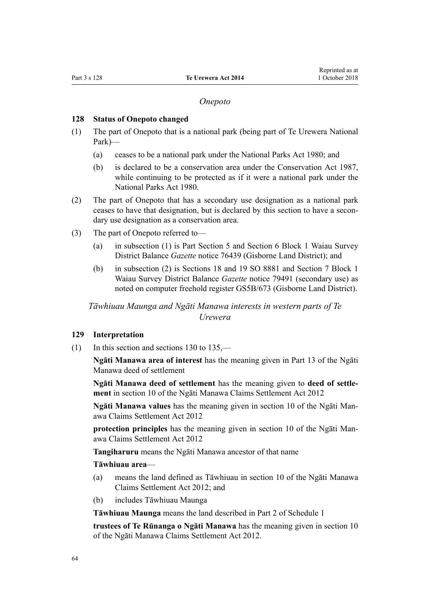#### *Onepoto*

#### <span id="page-63-0"></span>**128 Status of Onepoto changed**

- (1) The part of Onepoto that is a national park (being part of Te Urewera National Park)—
	- (a) ceases to be a national park under the [National Parks Act 1980;](http://prd-lgnz-nlb.prd.pco.net.nz/pdflink.aspx?id=DLM36962) and
	- (b) is declared to be a conservation area under the [Conservation Act 1987](http://prd-lgnz-nlb.prd.pco.net.nz/pdflink.aspx?id=DLM103609), while continuing to be protected as if it were a national park under the [National Parks Act 1980.](http://prd-lgnz-nlb.prd.pco.net.nz/pdflink.aspx?id=DLM36962)
- (2) The part of Onepoto that has a secondary use designation as a national park ceases to have that designation, but is declared by this section to have a secondary use designation as a conservation area.
- (3) The part of Onepoto referred to—
	- (a) in subsection (1) is Part Section 5 and Section 6 Block 1 Waiau Survey District Balance *Gazette* notice 76439 (Gisborne Land District); and
	- (b) in subsection (2) is Sections 18 and 19 SO 8881 and Section 7 Block 1 Waiau Survey District Balance *Gazette* notice 79491 (secondary use) as noted on computer freehold register GS5B/673 (Gisborne Land District).

*Tāwhiuau Maunga and Ngāti Manawa interests in western parts of Te Urewera*

#### **129 Interpretation**

(1) In this section and [sections 130 to 135](#page-64-0),—

**Ngāti Manawa area of interest** has the meaning given in Part 13 of the Ngāti Manawa deed of settlement

**Ngāti Manawa deed of settlement** has the meaning given to **deed of settlement** in [section 10](http://prd-lgnz-nlb.prd.pco.net.nz/pdflink.aspx?id=DLM3276821) of the Ngāti Manawa Claims Settlement Act 2012

**Ngāti Manawa values** has the meaning given in [section 10](http://prd-lgnz-nlb.prd.pco.net.nz/pdflink.aspx?id=DLM3276821) of the Ngāti Manawa Claims Settlement Act 2012

**protection principles** has the meaning given in [section 10](http://prd-lgnz-nlb.prd.pco.net.nz/pdflink.aspx?id=DLM3276821) of the Ngāti Manawa Claims Settlement Act 2012

**Tangiharuru** means the Ngāti Manawa ancestor of that name

#### **Tāwhiuau area**—

- (a) means the land defined as Tāwhiuau in [section 10](http://prd-lgnz-nlb.prd.pco.net.nz/pdflink.aspx?id=DLM3276821) of the Ngāti Manawa Claims Settlement Act 2012; and
- (b) includes Tāwhiuau Maunga

**Tāwhiuau Maunga** means the land described in [Part 2](#page-68-0) of Schedule 1

**trustees of Te Rūnanga o Ngāti Manawa** has the meaning given in [section 10](http://prd-lgnz-nlb.prd.pco.net.nz/pdflink.aspx?id=DLM3276821) of the Ngāti Manawa Claims Settlement Act 2012.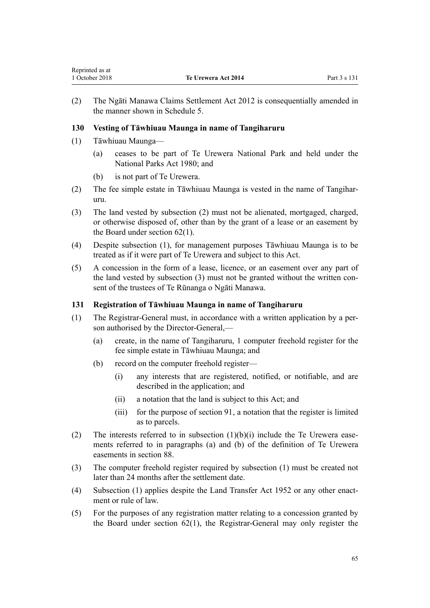<span id="page-64-0"></span>(2) The [Ngāti Manawa Claims Settlement Act 2012](http://prd-lgnz-nlb.prd.pco.net.nz/pdflink.aspx?id=DLM3276800) is consequentially amended in the manner shown in [Schedule 5](#page-112-0).

## **130 Vesting of Tāwhiuau Maunga in name of Tangiharuru**

- (1) Tāwhiuau Maunga—
	- (a) ceases to be part of Te Urewera National Park and held under the [National Parks Act 1980;](http://prd-lgnz-nlb.prd.pco.net.nz/pdflink.aspx?id=DLM36962) and
	- (b) is not part of Te Urewera.
- (2) The fee simple estate in Tāwhiuau Maunga is vested in the name of Tangiharuru.
- (3) The land vested by subsection (2) must not be alienated, mortgaged, charged, or otherwise disposed of, other than by the grant of a lease or an easement by the Board under [section 62\(1\).](#page-32-0)
- (4) Despite subsection (1), for management purposes Tāwhiuau Maunga is to be treated as if it were part of Te Urewera and subject to this Act.
- (5) A concession in the form of a lease, licence, or an easement over any part of the land vested by subsection (3) must not be granted without the written consent of the trustees of Te Rūnanga o Ngāti Manawa.

#### **131 Registration of Tāwhiuau Maunga in name of Tangiharuru**

- (1) The Registrar-General must, in accordance with a written application by a person authorised by the Director-General,—
	- (a) create, in the name of Tangiharuru, 1 computer freehold register for the fee simple estate in Tāwhiuau Maunga; and
	- (b) record on the computer freehold register—
		- (i) any interests that are registered, notified, or notifiable, and are described in the application; and
		- (ii) a notation that the land is subject to this Act; and
		- (iii) for the purpose of [section 91](#page-45-0), a notation that the register is limited as to parcels.
- (2) The interests referred to in subsection  $(1)(b)(i)$  include the Te Urewera easements referred to in paragraphs (a) and (b) of the definition of Te Urewera easements in [section 88](#page-43-0).
- (3) The computer freehold register required by subsection (1) must be created not later than 24 months after the settlement date.
- (4) Subsection (1) applies despite the Land Transfer Act 1952 or any other enactment or rule of law.
- (5) For the purposes of any registration matter relating to a concession granted by the Board under [section 62\(1\)](#page-32-0), the Registrar-General may only register the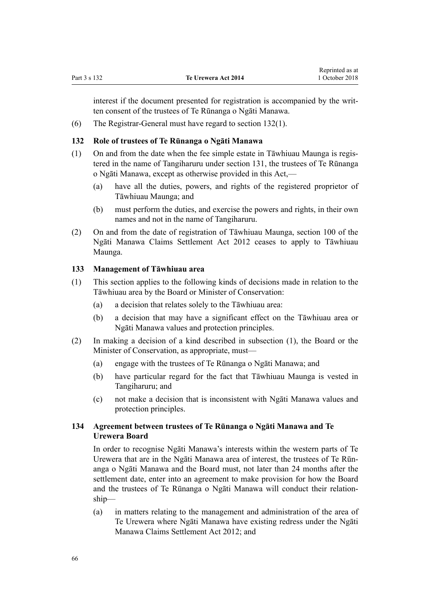interest if the document presented for registration is accompanied by the written consent of the trustees of Te Rūnanga o Ngāti Manawa.

(6) The Registrar-General must have regard to section 132(1).

#### **132 Role of trustees of Te Rūnanga o Ngāti Manawa**

- (1) On and from the date when the fee simple estate in Tāwhiuau Maunga is registered in the name of Tangiharuru under [section 131,](#page-64-0) the trustees of Te Rūnanga o Ngāti Manawa, except as otherwise provided in this Act,—
	- (a) have all the duties, powers, and rights of the registered proprietor of Tāwhiuau Maunga; and
	- (b) must perform the duties, and exercise the powers and rights, in their own names and not in the name of Tangiharuru.
- (2) On and from the date of registration of Tāwhiuau Maunga, [section 100](http://prd-lgnz-nlb.prd.pco.net.nz/pdflink.aspx?id=DLM3277079) of the Ngāti Manawa Claims Settlement Act 2012 ceases to apply to Tāwhiuau Maunga.

#### **133 Management of Tāwhiuau area**

- (1) This section applies to the following kinds of decisions made in relation to the Tāwhiuau area by the Board or Minister of Conservation:
	- (a) a decision that relates solely to the Tāwhiuau area:
	- (b) a decision that may have a significant effect on the Tāwhiuau area or Ngāti Manawa values and protection principles.
- (2) In making a decision of a kind described in subsection (1), the Board or the Minister of Conservation, as appropriate, must—
	- (a) engage with the trustees of Te Rūnanga o Ngāti Manawa; and
	- (b) have particular regard for the fact that Tāwhiuau Maunga is vested in Tangiharuru; and
	- (c) not make a decision that is inconsistent with Ngāti Manawa values and protection principles.

## **134 Agreement between trustees of Te Rūnanga o Ngāti Manawa and Te Urewera Board**

In order to recognise Ngāti Manawa's interests within the western parts of Te Urewera that are in the Ngāti Manawa area of interest, the trustees of Te Rūnanga o Ngāti Manawa and the Board must, not later than 24 months after the settlement date, enter into an agreement to make provision for how the Board and the trustees of Te Rūnanga o Ngāti Manawa will conduct their relationship—

(a) in matters relating to the management and administration of the area of Te Urewera where Ngāti Manawa have existing redress under the [Ngāti](http://prd-lgnz-nlb.prd.pco.net.nz/pdflink.aspx?id=DLM3276800) [Manawa Claims Settlement Act 2012;](http://prd-lgnz-nlb.prd.pco.net.nz/pdflink.aspx?id=DLM3276800) and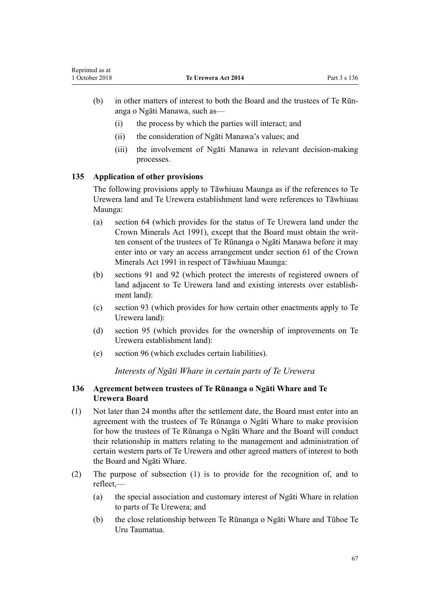- (b) in other matters of interest to both the Board and the trustees of Te Rūnanga o Ngāti Manawa, such as—
	- (i) the process by which the parties will interact; and
	- (ii) the consideration of Ngāti Manawa's values; and
	- (iii) the involvement of Ngāti Manawa in relevant decision-making processes.

## **135 Application of other provisions**

The following provisions apply to Tāwhiuau Maunga as if the references to Te Urewera land and Te Urewera establishment land were references to Tāwhiuau Maunga:

- (a) [section 64](#page-33-0) (which provides for the status of Te Urewera land under the Crown Minerals Act 1991), except that the Board must obtain the written consent of the trustees of Te Rūnanga o Ngāti Manawa before it may enter into or vary an access arrangement under [section 61](http://prd-lgnz-nlb.prd.pco.net.nz/pdflink.aspx?id=DLM246714) of the Crown Minerals Act 1991 in respect of Tāwhiuau Maunga:
- (b) [sections 91](#page-45-0) and [92](#page-45-0) (which protect the interests of registered owners of land adjacent to Te Urewera land and existing interests over establishment land):
- (c) [section 93](#page-45-0) (which provides for how certain other enactments apply to Te Urewera land):
- (d) [section 95](#page-46-0) (which provides for the ownership of improvements on Te Urewera establishment land):
- (e) [section 96](#page-47-0) (which excludes certain liabilities).

*Interests of Ngāti Whare in certain parts of Te Urewera*

## **136 Agreement between trustees of Te Rūnanga o Ngāti Whare and Te Urewera Board**

- (1) Not later than 24 months after the settlement date, the Board must enter into an agreement with the trustees of Te Rūnanga o Ngāti Whare to make provision for how the trustees of Te Rūnanga o Ngāti Whare and the Board will conduct their relationship in matters relating to the management and administration of certain western parts of Te Urewera and other agreed matters of interest to both the Board and Ngāti Whare.
- (2) The purpose of subsection (1) is to provide for the recognition of, and to reflect,—
	- (a) the special association and customary interest of Ngāti Whare in relation to parts of Te Urewera; and
	- (b) the close relationship between Te Rūnanga o Ngāti Whare and Tūhoe Te Uru Taumatua.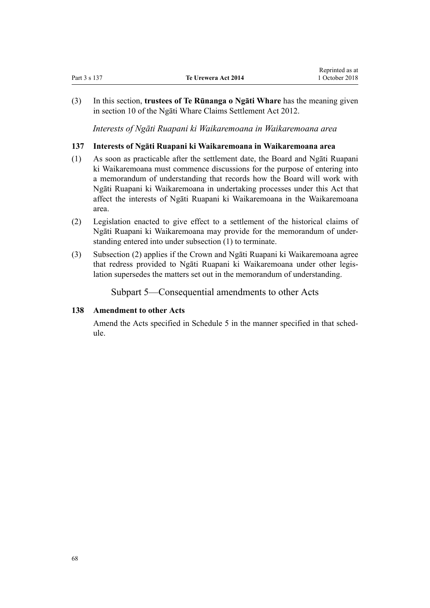(3) In this section, **trustees of Te Rūnanga o Ngāti Whare** has the meaning given in [section 10](http://prd-lgnz-nlb.prd.pco.net.nz/pdflink.aspx?id=DLM4339919) of the Ngāti Whare Claims Settlement Act 2012.

*Interests of Ngāti Ruapani ki Waikaremoana in Waikaremoana area*

#### **137 Interests of Ngāti Ruapani ki Waikaremoana in Waikaremoana area**

- (1) As soon as practicable after the settlement date, the Board and Ngāti Ruapani ki Waikaremoana must commence discussions for the purpose of entering into a memorandum of understanding that records how the Board will work with Ngāti Ruapani ki Waikaremoana in undertaking processes under this Act that affect the interests of Ngāti Ruapani ki Waikaremoana in the Waikaremoana area.
- (2) Legislation enacted to give effect to a settlement of the historical claims of Ngāti Ruapani ki Waikaremoana may provide for the memorandum of understanding entered into under subsection (1) to terminate.
- (3) Subsection (2) applies if the Crown and Ngāti Ruapani ki Waikaremoana agree that redress provided to Ngāti Ruapani ki Waikaremoana under other legislation supersedes the matters set out in the memorandum of understanding.

Subpart 5—Consequential amendments to other Acts

#### **138 Amendment to other Acts**

Amend the Acts specified in [Schedule 5](#page-112-0) in the manner specified in that schedule.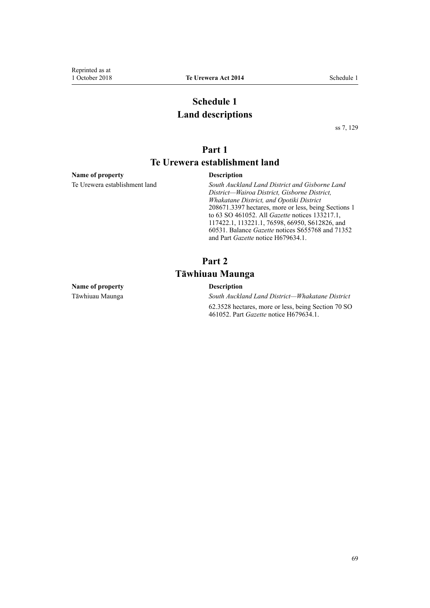# **Schedule 1 Land descriptions**

[ss 7](#page-8-0), [129](#page-63-0)

# **Part 1**

## **Te Urewera establishment land**

#### <span id="page-68-0"></span>**Name of property Description**

Te Urewera establishment land *South Auckland Land District and Gisborne Land District—Wairoa District, Gisborne District, Whakatane District, and Opotiki District* 208671.3397 hectares, more or less, being Sections 1 to 63 SO 461052. All *Gazette* notices 133217.1, 117422.1, 113221.1, 76598, 66950, S612826, and 60531. Balance *Gazette* notices S655768 and 71352 and Part *Gazette* notice H679634.1.

# **Part 2 Tāwhiuau Maunga**

#### **Name of property Description**

Tāwhiuau Maunga *South Auckland Land District—Whakatane District* 62.3528 hectares, more or less, being Section 70 SO 461052. Part *Gazette* notice H679634.1.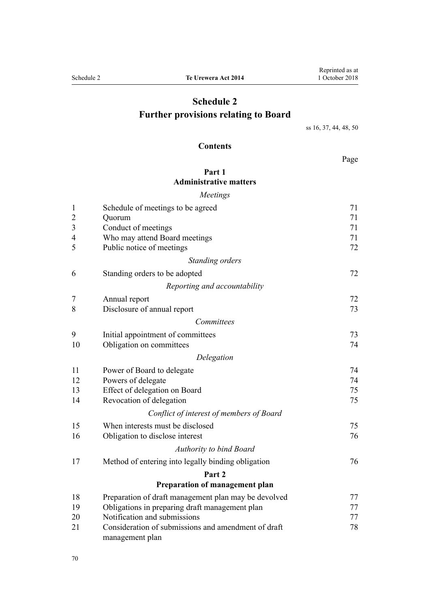# **Schedule 2 Further provisions relating to Board**

[ss 16](#page-15-0), [37,](#page-23-0) [44](#page-25-0), [48, 50](#page-27-0)

## **Contents**

Page

## **[Part 1](#page-70-0) [Administrative matters](#page-70-0)**

|                | Meetings                                             |    |
|----------------|------------------------------------------------------|----|
| $\mathbf{1}$   | Schedule of meetings to be agreed                    | 71 |
| $\overline{c}$ | Quorum                                               | 71 |
| 3              | Conduct of meetings                                  | 71 |
| 4              | Who may attend Board meetings                        | 71 |
| 5              | Public notice of meetings                            | 72 |
|                | Standing orders                                      |    |
| 6              | Standing orders to be adopted                        | 72 |
|                | Reporting and accountability                         |    |
| 7              | Annual report                                        | 72 |
| 8              | Disclosure of annual report                          | 73 |
|                | Committees                                           |    |
| 9              | Initial appointment of committees                    | 73 |
| 10             | Obligation on committees                             | 74 |
|                | Delegation                                           |    |
| 11             | Power of Board to delegate                           | 74 |
| 12             | Powers of delegate                                   | 74 |
| 13             | Effect of delegation on Board                        | 75 |
| 14             | Revocation of delegation                             | 75 |
|                | Conflict of interest of members of Board             |    |
| 15             | When interests must be disclosed                     | 75 |
| 16             | Obligation to disclose interest                      | 76 |
|                | <b>Authority to bind Board</b>                       |    |
| 17             | Method of entering into legally binding obligation   | 76 |
|                | Part 2                                               |    |
|                | Preparation of management plan                       |    |
| 18             | Preparation of draft management plan may be devolved | 77 |
| 19             | Obligations in preparing draft management plan       | 77 |
| 20             | Notification and submissions                         | 77 |
| 21             | Consideration of submissions and amendment of draft  | 78 |

[management plan](#page-77-0)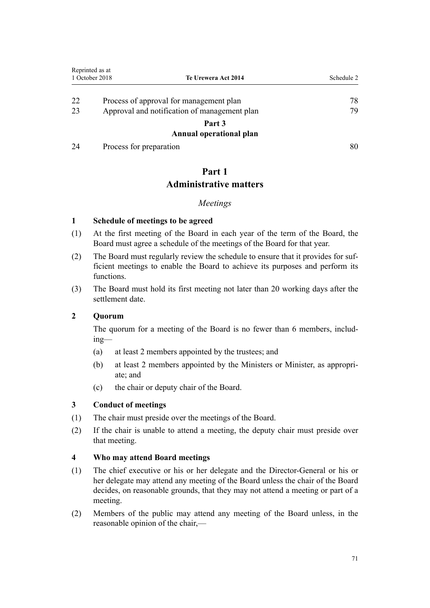<span id="page-70-0"></span>

|    | Reprinted as at                              |            |
|----|----------------------------------------------|------------|
|    | 1 October 2018<br>Te Urewera Act 2014        | Schedule 2 |
| 22 | Process of approval for management plan      | 78         |
| 23 | Approval and notification of management plan | 79         |
|    | Part 3                                       |            |
|    | Annual operational plan                      |            |
| 24 | Process for preparation                      | 80         |

## **Part 1**

## **Administrative matters**

## *Meetings*

## **1 Schedule of meetings to be agreed**

- (1) At the first meeting of the Board in each year of the term of the Board, the Board must agree a schedule of the meetings of the Board for that year.
- (2) The Board must regularly review the schedule to ensure that it provides for sufficient meetings to enable the Board to achieve its purposes and perform its functions.
- (3) The Board must hold its first meeting not later than 20 working days after the settlement date.

## **2 Quorum**

The quorum for a meeting of the Board is no fewer than 6 members, including—

- (a) at least 2 members appointed by the trustees; and
- (b) at least 2 members appointed by the Ministers or Minister, as appropriate; and
- (c) the chair or deputy chair of the Board.

## **3 Conduct of meetings**

- (1) The chair must preside over the meetings of the Board.
- (2) If the chair is unable to attend a meeting, the deputy chair must preside over that meeting.

## **4 Who may attend Board meetings**

- (1) The chief executive or his or her delegate and the Director-General or his or her delegate may attend any meeting of the Board unless the chair of the Board decides, on reasonable grounds, that they may not attend a meeting or part of a meeting.
- (2) Members of the public may attend any meeting of the Board unless, in the reasonable opinion of the chair,—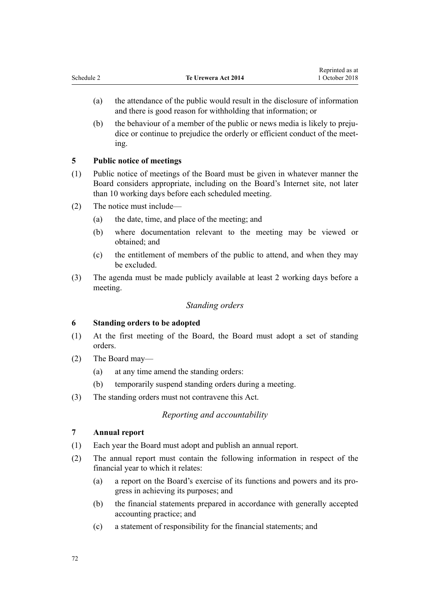- <span id="page-71-0"></span>(a) the attendance of the public would result in the disclosure of information and there is good reason for withholding that information; or
- (b) the behaviour of a member of the public or news media is likely to prejudice or continue to prejudice the orderly or efficient conduct of the meeting.

## **5 Public notice of meetings**

- (1) Public notice of meetings of the Board must be given in whatever manner the Board considers appropriate, including on the Board's Internet site, not later than 10 working days before each scheduled meeting.
- (2) The notice must include—
	- (a) the date, time, and place of the meeting; and
	- (b) where documentation relevant to the meeting may be viewed or obtained; and
	- (c) the entitlement of members of the public to attend, and when they may be excluded.
- (3) The agenda must be made publicly available at least 2 working days before a meeting.

## *Standing orders*

## **6 Standing orders to be adopted**

- (1) At the first meeting of the Board, the Board must adopt a set of standing orders.
- (2) The Board may—
	- (a) at any time amend the standing orders:
	- (b) temporarily suspend standing orders during a meeting.
- (3) The standing orders must not contravene this Act.

## *Reporting and accountability*

## **7 Annual report**

- (1) Each year the Board must adopt and publish an annual report.
- (2) The annual report must contain the following information in respect of the financial year to which it relates:
	- (a) a report on the Board's exercise of its functions and powers and its progress in achieving its purposes; and
	- (b) the financial statements prepared in accordance with generally accepted accounting practice; and
	- (c) a statement of responsibility for the financial statements; and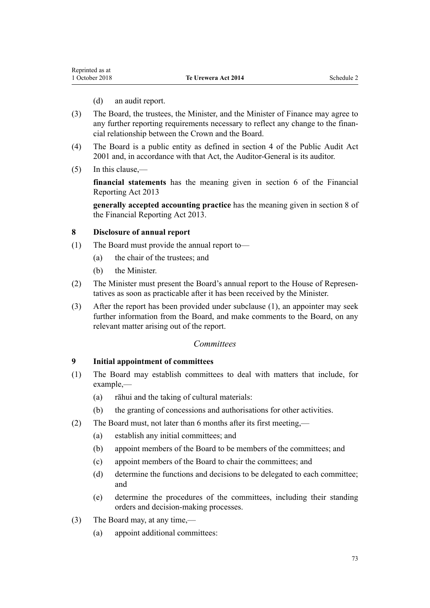- (d) an audit report.
- (3) The Board, the trustees, the Minister, and the Minister of Finance may agree to any further reporting requirements necessary to reflect any change to the financial relationship between the Crown and the Board.
- (4) The Board is a public entity as defined in [section 4](http://prd-lgnz-nlb.prd.pco.net.nz/pdflink.aspx?id=DLM88548) of the Public Audit Act 2001 and, in accordance with that Act, the Auditor-General is its auditor.
- (5) In this clause,—

**financial statements** has the meaning given in [section 6](http://prd-lgnz-nlb.prd.pco.net.nz/pdflink.aspx?id=DLM4632890) of the Financial Reporting Act 2013

**generally accepted accounting practice** has the meaning given in [section 8](http://prd-lgnz-nlb.prd.pco.net.nz/pdflink.aspx?id=DLM4632894) of the Financial Reporting Act 2013.

#### **8 Disclosure of annual report**

- (1) The Board must provide the annual report to—
	- (a) the chair of the trustees; and
	- (b) the Minister.
- (2) The Minister must present the Board's annual report to the House of Representatives as soon as practicable after it has been received by the Minister.
- (3) After the report has been provided under subclause (1), an appointer may seek further information from the Board, and make comments to the Board, on any relevant matter arising out of the report.

#### *Committees*

#### **9 Initial appointment of committees**

- (1) The Board may establish committees to deal with matters that include, for example,—
	- (a) rāhui and the taking of cultural materials:
	- (b) the granting of concessions and authorisations for other activities.
- (2) The Board must, not later than 6 months after its first meeting,—
	- (a) establish any initial committees; and
	- (b) appoint members of the Board to be members of the committees; and
	- (c) appoint members of the Board to chair the committees; and
	- (d) determine the functions and decisions to be delegated to each committee; and
	- (e) determine the procedures of the committees, including their standing orders and decision-making processes.
- (3) The Board may, at any time,—
	- (a) appoint additional committees: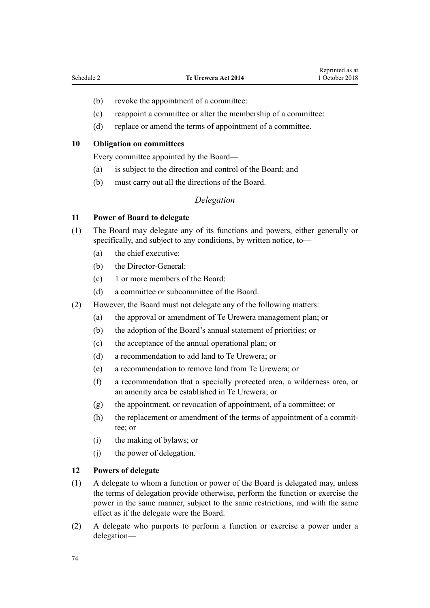- (b) revoke the appointment of a committee:
- (c) reappoint a committee or alter the membership of a committee:
- (d) replace or amend the terms of appointment of a committee.

#### **10 Obligation on committees**

Every committee appointed by the Board—

- (a) is subject to the direction and control of the Board; and
- (b) must carry out all the directions of the Board.

#### *Delegation*

#### **11 Power of Board to delegate**

- (1) The Board may delegate any of its functions and powers, either generally or specifically, and subject to any conditions, by written notice, to—
	- (a) the chief executive:
	- (b) the Director-General:
	- (c) 1 or more members of the Board:
	- (d) a committee or subcommittee of the Board.
- (2) However, the Board must not delegate any of the following matters:
	- (a) the approval or amendment of Te Urewera management plan; or
	- (b) the adoption of the Board's annual statement of priorities; or
	- (c) the acceptance of the annual operational plan; or
	- (d) a recommendation to add land to Te Urewera; or
	- (e) a recommendation to remove land from Te Urewera; or
	- (f) a recommendation that a specially protected area, a wilderness area, or an amenity area be established in Te Urewera; or
	- (g) the appointment, or revocation of appointment, of a committee; or
	- (h) the replacement or amendment of the terms of appointment of a committee; or
	- (i) the making of bylaws; or
	- (j) the power of delegation.

#### **12 Powers of delegate**

- (1) A delegate to whom a function or power of the Board is delegated may, unless the terms of delegation provide otherwise, perform the function or exercise the power in the same manner, subject to the same restrictions, and with the same effect as if the delegate were the Board.
- (2) A delegate who purports to perform a function or exercise a power under a delegation—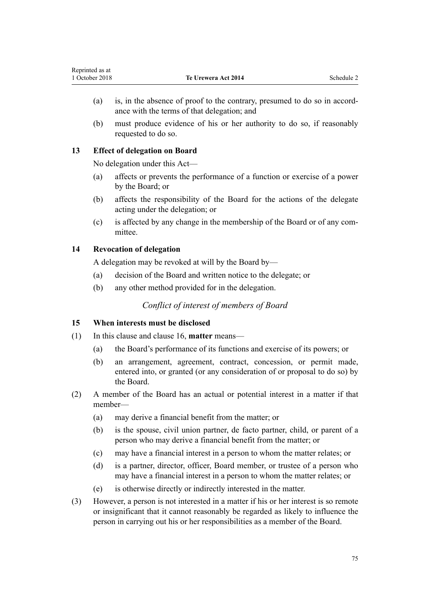- (a) is, in the absence of proof to the contrary, presumed to do so in accordance with the terms of that delegation; and
- (b) must produce evidence of his or her authority to do so, if reasonably requested to do so.

## **13 Effect of delegation on Board**

No delegation under this Act—

- (a) affects or prevents the performance of a function or exercise of a power by the Board; or
- (b) affects the responsibility of the Board for the actions of the delegate acting under the delegation; or
- (c) is affected by any change in the membership of the Board or of any committee.

## **14 Revocation of delegation**

A delegation may be revoked at will by the Board by—

- (a) decision of the Board and written notice to the delegate; or
- (b) any other method provided for in the delegation.

## *Conflict of interest of members of Board*

## **15 When interests must be disclosed**

- (1) In this clause and [clause 16](#page-75-0), **matter** means—
	- (a) the Board's performance of its functions and exercise of its powers; or
	- (b) an arrangement, agreement, contract, concession, or permit made, entered into, or granted (or any consideration of or proposal to do so) by the Board.
- (2) A member of the Board has an actual or potential interest in a matter if that member—
	- (a) may derive a financial benefit from the matter; or
	- (b) is the spouse, civil union partner, de facto partner, child, or parent of a person who may derive a financial benefit from the matter; or
	- (c) may have a financial interest in a person to whom the matter relates; or
	- (d) is a partner, director, officer, Board member, or trustee of a person who may have a financial interest in a person to whom the matter relates; or
	- (e) is otherwise directly or indirectly interested in the matter.
- (3) However, a person is not interested in a matter if his or her interest is so remote or insignificant that it cannot reasonably be regarded as likely to influence the person in carrying out his or her responsibilities as a member of the Board.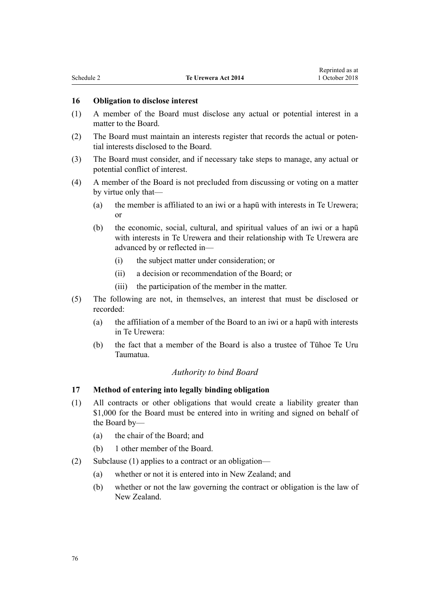#### <span id="page-75-0"></span>**16 Obligation to disclose interest**

- (1) A member of the Board must disclose any actual or potential interest in a matter to the Board.
- (2) The Board must maintain an interests register that records the actual or potential interests disclosed to the Board.
- (3) The Board must consider, and if necessary take steps to manage, any actual or potential conflict of interest.
- (4) A member of the Board is not precluded from discussing or voting on a matter by virtue only that—
	- (a) the member is affiliated to an iwi or a hapū with interests in Te Urewera; or
	- (b) the economic, social, cultural, and spiritual values of an iwi or a hapū with interests in Te Urewera and their relationship with Te Urewera are advanced by or reflected in—
		- (i) the subject matter under consideration; or
		- (ii) a decision or recommendation of the Board; or
		- (iii) the participation of the member in the matter.
- (5) The following are not, in themselves, an interest that must be disclosed or recorded:
	- (a) the affiliation of a member of the Board to an iwi or a hapū with interests in Te Urewera:
	- (b) the fact that a member of the Board is also a trustee of Tūhoe Te Uru Taumatua.

#### *Authority to bind Board*

#### **17 Method of entering into legally binding obligation**

- (1) All contracts or other obligations that would create a liability greater than \$1,000 for the Board must be entered into in writing and signed on behalf of the Board by—
	- (a) the chair of the Board; and
	- (b) 1 other member of the Board.
- (2) Subclause (1) applies to a contract or an obligation—
	- (a) whether or not it is entered into in New Zealand; and
	- (b) whether or not the law governing the contract or obligation is the law of New Zealand.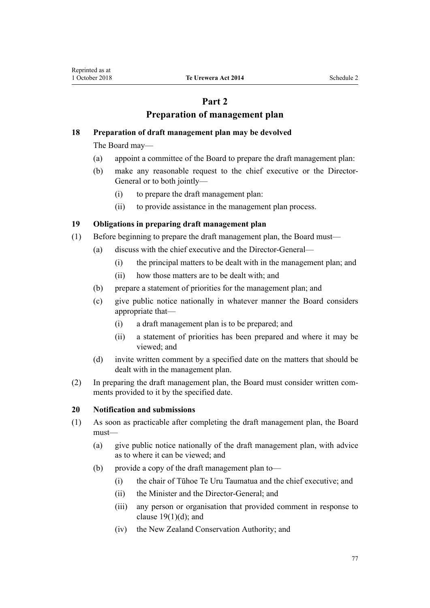## **Part 2**

## **Preparation of management plan**

### **18 Preparation of draft management plan may be devolved**

The Board may—

- (a) appoint a committee of the Board to prepare the draft management plan:
- (b) make any reasonable request to the chief executive or the Director-General or to both jointly—
	- (i) to prepare the draft management plan:
	- (ii) to provide assistance in the management plan process.

#### **19 Obligations in preparing draft management plan**

- (1) Before beginning to prepare the draft management plan, the Board must—
	- (a) discuss with the chief executive and the Director-General—
		- (i) the principal matters to be dealt with in the management plan; and
		- (ii) how those matters are to be dealt with; and
	- (b) prepare a statement of priorities for the management plan; and
	- (c) give public notice nationally in whatever manner the Board considers appropriate that—
		- (i) a draft management plan is to be prepared; and
		- (ii) a statement of priorities has been prepared and where it may be viewed; and
	- (d) invite written comment by a specified date on the matters that should be dealt with in the management plan.
- (2) In preparing the draft management plan, the Board must consider written comments provided to it by the specified date.

#### **20 Notification and submissions**

- (1) As soon as practicable after completing the draft management plan, the Board must—
	- (a) give public notice nationally of the draft management plan, with advice as to where it can be viewed; and
	- (b) provide a copy of the draft management plan to—
		- (i) the chair of Tūhoe Te Uru Taumatua and the chief executive; and
		- (ii) the Minister and the Director-General; and
		- (iii) any person or organisation that provided comment in response to clause  $19(1)(d)$ ; and
		- (iv) the New Zealand Conservation Authority; and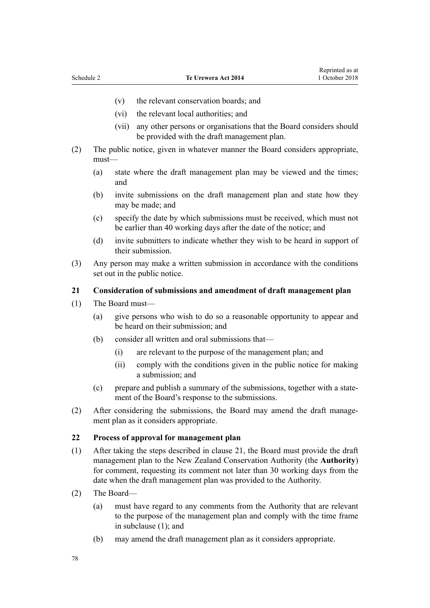- <span id="page-77-0"></span>(v) the relevant conservation boards; and
- (vi) the relevant local authorities; and
- (vii) any other persons or organisations that the Board considers should be provided with the draft management plan.
- (2) The public notice, given in whatever manner the Board considers appropriate, must—
	- (a) state where the draft management plan may be viewed and the times; and
	- (b) invite submissions on the draft management plan and state how they may be made; and
	- (c) specify the date by which submissions must be received, which must not be earlier than 40 working days after the date of the notice; and
	- (d) invite submitters to indicate whether they wish to be heard in support of their submission.
- (3) Any person may make a written submission in accordance with the conditions set out in the public notice.

#### **21 Consideration of submissions and amendment of draft management plan**

- (1) The Board must—
	- (a) give persons who wish to do so a reasonable opportunity to appear and be heard on their submission; and
	- (b) consider all written and oral submissions that—
		- (i) are relevant to the purpose of the management plan; and
		- (ii) comply with the conditions given in the public notice for making a submission; and
	- (c) prepare and publish a summary of the submissions, together with a statement of the Board's response to the submissions.
- (2) After considering the submissions, the Board may amend the draft management plan as it considers appropriate.

#### **22 Process of approval for management plan**

- (1) After taking the steps described in clause 21, the Board must provide the draft management plan to the New Zealand Conservation Authority (the **Authority**) for comment, requesting its comment not later than 30 working days from the date when the draft management plan was provided to the Authority.
- (2) The Board—
	- (a) must have regard to any comments from the Authority that are relevant to the purpose of the management plan and comply with the time frame in subclause (1); and
	- (b) may amend the draft management plan as it considers appropriate.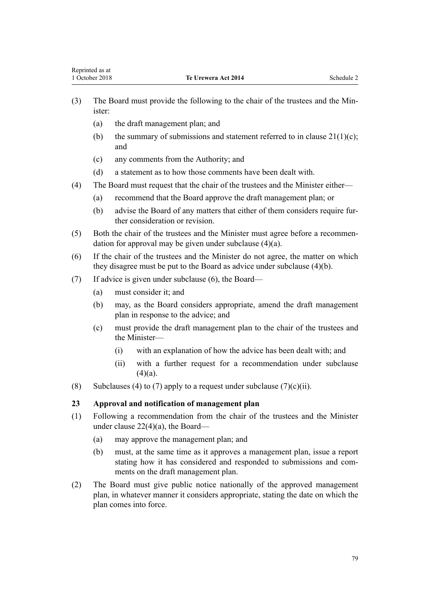- (3) The Board must provide the following to the chair of the trustees and the Minister:
	- (a) the draft management plan; and
	- (b) the summary of submissions and statement referred to in clause  $21(1)(c)$ ; and
	- (c) any comments from the Authority; and
	- (d) a statement as to how those comments have been dealt with.
- (4) The Board must request that the chair of the trustees and the Minister either—
	- (a) recommend that the Board approve the draft management plan; or
	- (b) advise the Board of any matters that either of them considers require further consideration or revision.
- (5) Both the chair of the trustees and the Minister must agree before a recommendation for approval may be given under subclause (4)(a).
- (6) If the chair of the trustees and the Minister do not agree, the matter on which they disagree must be put to the Board as advice under subclause (4)(b).
- (7) If advice is given under subclause (6), the Board—
	- (a) must consider it; and
	- (b) may, as the Board considers appropriate, amend the draft management plan in response to the advice; and
	- (c) must provide the draft management plan to the chair of the trustees and the Minister—
		- (i) with an explanation of how the advice has been dealt with; and
		- (ii) with a further request for a recommendation under subclause  $(4)(a)$ .
- (8) Subclauses (4) to (7) apply to a request under subclause (7)(c)(ii).

## **23 Approval and notification of management plan**

- (1) Following a recommendation from the chair of the trustees and the Minister under [clause 22\(4\)\(a\),](#page-77-0) the Board—
	- (a) may approve the management plan; and
	- (b) must, at the same time as it approves a management plan, issue a report stating how it has considered and responded to submissions and comments on the draft management plan.
- (2) The Board must give public notice nationally of the approved management plan, in whatever manner it considers appropriate, stating the date on which the plan comes into force.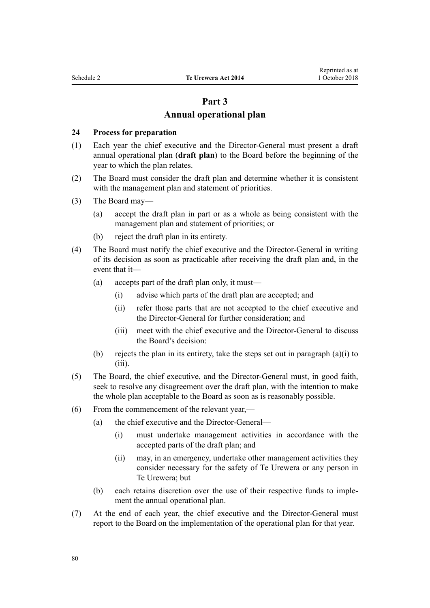## **Part 3 Annual operational plan**

#### **24 Process for preparation**

- (1) Each year the chief executive and the Director-General must present a draft annual operational plan (**draft plan**) to the Board before the beginning of the year to which the plan relates.
- (2) The Board must consider the draft plan and determine whether it is consistent with the management plan and statement of priorities.
- (3) The Board may—
	- (a) accept the draft plan in part or as a whole as being consistent with the management plan and statement of priorities; or
	- (b) reject the draft plan in its entirety.
- (4) The Board must notify the chief executive and the Director-General in writing of its decision as soon as practicable after receiving the draft plan and, in the event that it—
	- (a) accepts part of the draft plan only, it must—
		- (i) advise which parts of the draft plan are accepted; and
		- (ii) refer those parts that are not accepted to the chief executive and the Director-General for further consideration; and
		- (iii) meet with the chief executive and the Director-General to discuss the Board's decision:
	- (b) rejects the plan in its entirety, take the steps set out in paragraph (a)(i) to (iii).
- (5) The Board, the chief executive, and the Director-General must, in good faith, seek to resolve any disagreement over the draft plan, with the intention to make the whole plan acceptable to the Board as soon as is reasonably possible.
- (6) From the commencement of the relevant year,—
	- (a) the chief executive and the Director-General—
		- (i) must undertake management activities in accordance with the accepted parts of the draft plan; and
		- (ii) may, in an emergency, undertake other management activities they consider necessary for the safety of Te Urewera or any person in Te Urewera; but
	- (b) each retains discretion over the use of their respective funds to implement the annual operational plan.
- (7) At the end of each year, the chief executive and the Director-General must report to the Board on the implementation of the operational plan for that year.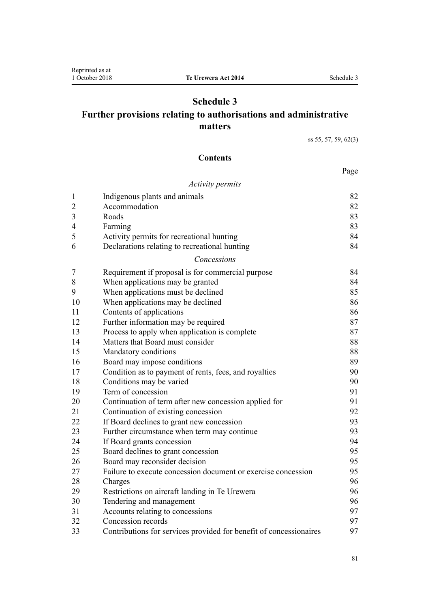## **Schedule 3**

## **Further provisions relating to authorisations and administrative matters**

[ss 55](#page-30-0), [57,](#page-30-0) [59](#page-31-0), [62\(3\)](#page-32-0)

## **Contents**

#### Page

#### *[Activity permits](#page-81-0)*

| 1              | Indigenous plants and animals                                      | 82 |
|----------------|--------------------------------------------------------------------|----|
| $\overline{2}$ | Accommodation                                                      | 82 |
| $\overline{3}$ | Roads                                                              | 83 |
| $\overline{4}$ | Farming                                                            | 83 |
| 5              | Activity permits for recreational hunting                          | 84 |
| 6              | Declarations relating to recreational hunting                      | 84 |
|                | Concessions                                                        |    |
| 7              | Requirement if proposal is for commercial purpose                  | 84 |
| 8              | When applications may be granted                                   | 84 |
| 9              | When applications must be declined                                 | 85 |
| 10             | When applications may be declined                                  | 86 |
| 11             | Contents of applications                                           | 86 |
| 12             | Further information may be required                                | 87 |
| 13             | Process to apply when application is complete                      | 87 |
| 14             | Matters that Board must consider                                   | 88 |
| 15             | Mandatory conditions                                               | 88 |
| 16             | Board may impose conditions                                        | 89 |
| 17             | Condition as to payment of rents, fees, and royalties              | 90 |
| 18             | Conditions may be varied                                           | 90 |
| 19             | Term of concession                                                 | 91 |
| 20             | Continuation of term after new concession applied for              | 91 |
| 21             | Continuation of existing concession                                | 92 |
| 22             | If Board declines to grant new concession                          | 93 |
| 23             | Further circumstance when term may continue                        | 93 |
| 24             | If Board grants concession                                         | 94 |
| 25             | Board declines to grant concession                                 | 95 |
| 26             | Board may reconsider decision                                      | 95 |
| 27             | Failure to execute concession document or exercise concession      | 95 |
| 28             | Charges                                                            | 96 |
| 29             | Restrictions on aircraft landing in Te Urewera                     | 96 |
| 30             | Tendering and management                                           | 96 |
| 31             | Accounts relating to concessions                                   | 97 |
| 32             | Concession records                                                 | 97 |
| 33             | Contributions for services provided for benefit of concessionaires | 97 |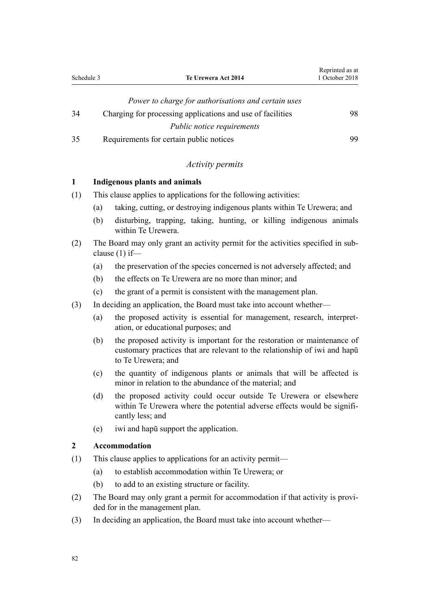Reprinted as at

| Public notice requirements |  |
|----------------------------|--|
|----------------------------|--|

<span id="page-81-0"></span>[35](#page-98-0) [Requirements for certain public notices](#page-98-0) [99](#page-98-0)

### *Activity permits*

#### **1 Indigenous plants and animals**

- (1) This clause applies to applications for the following activities:
	- (a) taking, cutting, or destroying indigenous plants within Te Urewera; and
	- (b) disturbing, trapping, taking, hunting, or killing indigenous animals within Te Urewera.
- (2) The Board may only grant an activity permit for the activities specified in subclause (1) if—
	- (a) the preservation of the species concerned is not adversely affected; and
	- (b) the effects on Te Urewera are no more than minor; and
	- (c) the grant of a permit is consistent with the management plan.
- (3) In deciding an application, the Board must take into account whether—
	- (a) the proposed activity is essential for management, research, interpretation, or educational purposes; and
	- (b) the proposed activity is important for the restoration or maintenance of customary practices that are relevant to the relationship of iwi and hapū to Te Urewera; and
	- (c) the quantity of indigenous plants or animals that will be affected is minor in relation to the abundance of the material; and
	- (d) the proposed activity could occur outside Te Urewera or elsewhere within Te Urewera where the potential adverse effects would be significantly less; and
	- (e) iwi and hapū support the application.

#### **2 Accommodation**

- (1) This clause applies to applications for an activity permit—
	- (a) to establish accommodation within Te Urewera; or
	- (b) to add to an existing structure or facility.
- (2) The Board may only grant a permit for accommodation if that activity is provided for in the management plan.
- (3) In deciding an application, the Board must take into account whether—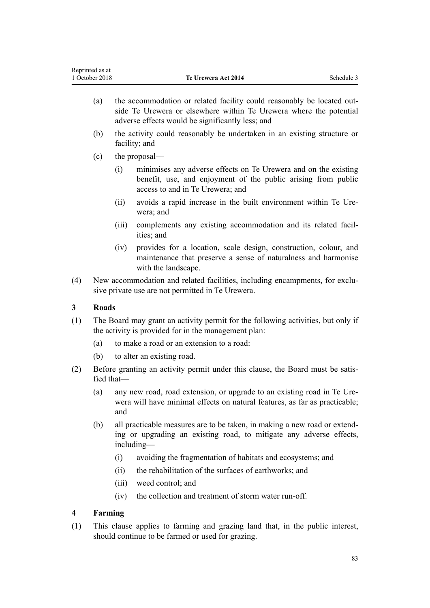<span id="page-82-0"></span>

|                                                                                                                                                 |              |            | side Te Urewera or elsewhere within Te Urewera where the potential<br>adverse effects would be significantly less; and                                               |
|-------------------------------------------------------------------------------------------------------------------------------------------------|--------------|------------|----------------------------------------------------------------------------------------------------------------------------------------------------------------------|
|                                                                                                                                                 | (b)          |            | the activity could reasonably be undertaken in an existing structure or<br>facility; and                                                                             |
|                                                                                                                                                 | (c)          |            | the proposal—                                                                                                                                                        |
|                                                                                                                                                 |              | (i)        | minimises any adverse effects on Te Urewera and on the existing<br>benefit, use, and enjoyment of the public arising from public<br>access to and in Te Urewera; and |
|                                                                                                                                                 |              | (ii)       | avoids a rapid increase in the built environment within Te Ure-<br>wera; and                                                                                         |
|                                                                                                                                                 |              | (iii)      | complements any existing accommodation and its related facil-<br>ities; and                                                                                          |
|                                                                                                                                                 |              | (iv)       | provides for a location, scale design, construction, colour, and<br>maintenance that preserve a sense of naturalness and harmonise<br>with the landscape.            |
| (4)                                                                                                                                             |              |            | New accommodation and related facilities, including encampments, for exclu-<br>sive private use are not permitted in Te Urewera.                                     |
| $\overline{\mathbf{3}}$                                                                                                                         | <b>Roads</b> |            |                                                                                                                                                                      |
| The Board may grant an activity permit for the following activities, but only if<br>(1)<br>the activity is provided for in the management plan: |              |            |                                                                                                                                                                      |
|                                                                                                                                                 | (a)          |            | to make a road or an extension to a road:                                                                                                                            |
|                                                                                                                                                 | (b)          |            | to alter an existing road.                                                                                                                                           |
| (2)                                                                                                                                             |              | fied that- | Before granting an activity permit under this clause, the Board must be satis-                                                                                       |
|                                                                                                                                                 | (a)          | and        | any new road, road extension, or upgrade to an existing road in Te Ure-<br>wera will have minimal effects on natural features, as far as practicable;                |
|                                                                                                                                                 | (b)          |            | all practicable measures are to be taken, in making a new road or extend-<br>ing or upgrading an existing road, to mitigate any adverse effects,<br>including-       |
|                                                                                                                                                 |              | (i)        | avoiding the fragmentation of habitats and ecosystems; and                                                                                                           |
|                                                                                                                                                 |              | (ii)       | the rehabilitation of the surfaces of earthworks; and                                                                                                                |
|                                                                                                                                                 |              | (iii)      | weed control; and                                                                                                                                                    |
|                                                                                                                                                 |              | (iv)       | the collection and treatment of storm water run-off.                                                                                                                 |
| 4                                                                                                                                               | Farming      |            |                                                                                                                                                                      |
| (1)                                                                                                                                             |              |            | This clause applies to farming and grazing land that, in the public interest,<br>should continue to be farmed or used for grazing.                                   |
|                                                                                                                                                 |              |            |                                                                                                                                                                      |

(a) the accommodation or related facility could reasonably be located out-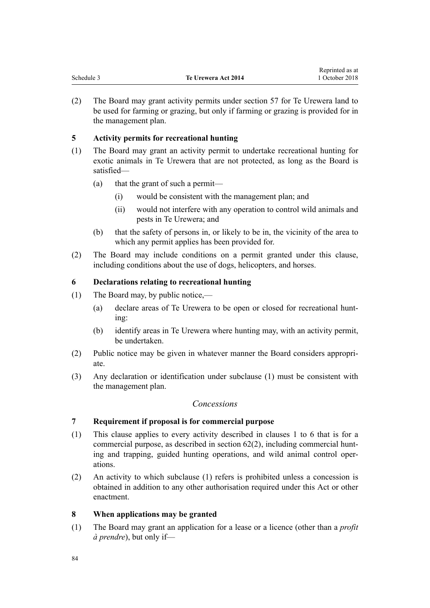<span id="page-83-0"></span>

|            |                     | Reprinted as at |
|------------|---------------------|-----------------|
| Schedule 3 | Te Urewera Act 2014 | 1 October 2018  |

(2) The Board may grant activity permits under [section 57](#page-30-0) for Te Urewera land to be used for farming or grazing, but only if farming or grazing is provided for in the management plan.

## **5 Activity permits for recreational hunting**

- (1) The Board may grant an activity permit to undertake recreational hunting for exotic animals in Te Urewera that are not protected, as long as the Board is satisfied—
	- (a) that the grant of such a permit—
		- (i) would be consistent with the management plan; and
		- (ii) would not interfere with any operation to control wild animals and pests in Te Urewera; and
	- (b) that the safety of persons in, or likely to be in, the vicinity of the area to which any permit applies has been provided for.
- (2) The Board may include conditions on a permit granted under this clause, including conditions about the use of dogs, helicopters, and horses.

## **6 Declarations relating to recreational hunting**

- (1) The Board may, by public notice,—
	- (a) declare areas of Te Urewera to be open or closed for recreational hunting:
	- (b) identify areas in Te Urewera where hunting may, with an activity permit, be undertaken.
- (2) Public notice may be given in whatever manner the Board considers appropriate.
- (3) Any declaration or identification under subclause (1) must be consistent with the management plan.

## *Concessions*

## **7 Requirement if proposal is for commercial purpose**

- (1) This clause applies to every activity described in [clauses 1 to 6](#page-81-0) that is for a commercial purpose, as described in [section 62\(2\),](#page-32-0) including commercial hunting and trapping, guided hunting operations, and wild animal control operations.
- (2) An activity to which subclause (1) refers is prohibited unless a concession is obtained in addition to any other authorisation required under this Act or other enactment.

## **8 When applications may be granted**

(1) The Board may grant an application for a lease or a licence (other than a *profit à prendre*), but only if—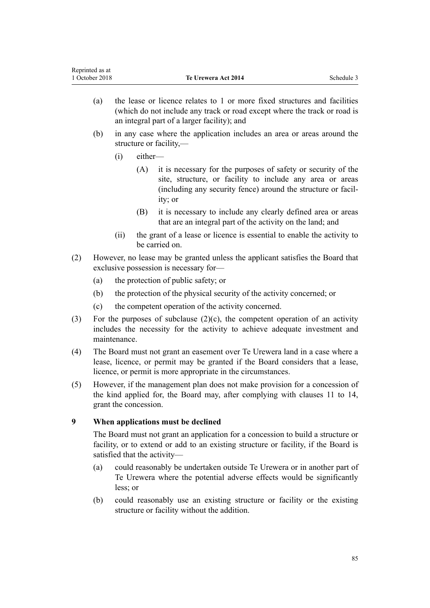- <span id="page-84-0"></span>(a) the lease or licence relates to 1 or more fixed structures and facilities (which do not include any track or road except where the track or road is an integral part of a larger facility); and
- (b) in any case where the application includes an area or areas around the structure or facility,—
	- (i) either—
		- (A) it is necessary for the purposes of safety or security of the site, structure, or facility to include any area or areas (including any security fence) around the structure or facility; or
		- (B) it is necessary to include any clearly defined area or areas that are an integral part of the activity on the land; and
	- (ii) the grant of a lease or licence is essential to enable the activity to be carried on.
- (2) However, no lease may be granted unless the applicant satisfies the Board that exclusive possession is necessary for—
	- (a) the protection of public safety; or
	- (b) the protection of the physical security of the activity concerned; or
	- (c) the competent operation of the activity concerned.
- (3) For the purposes of subclause  $(2)(c)$ , the competent operation of an activity includes the necessity for the activity to achieve adequate investment and maintenance.
- (4) The Board must not grant an easement over Te Urewera land in a case where a lease, licence, or permit may be granted if the Board considers that a lease, licence, or permit is more appropriate in the circumstances.
- (5) However, if the management plan does not make provision for a concession of the kind applied for, the Board may, after complying with [clauses 11 to 14](#page-85-0), grant the concession.

## **9 When applications must be declined**

The Board must not grant an application for a concession to build a structure or facility, or to extend or add to an existing structure or facility, if the Board is satisfied that the activity—

- (a) could reasonably be undertaken outside Te Urewera or in another part of Te Urewera where the potential adverse effects would be significantly less; or
- (b) could reasonably use an existing structure or facility or the existing structure or facility without the addition.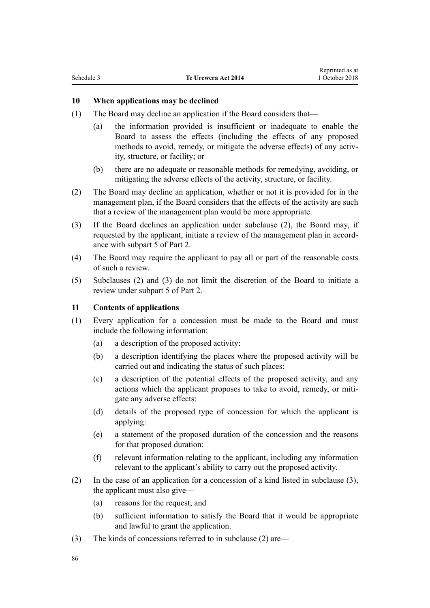## <span id="page-85-0"></span>**10 When applications may be declined**

- (1) The Board may decline an application if the Board considers that—
	- (a) the information provided is insufficient or inadequate to enable the Board to assess the effects (including the effects of any proposed methods to avoid, remedy, or mitigate the adverse effects) of any activity, structure, or facility; or
	- (b) there are no adequate or reasonable methods for remedying, avoiding, or mitigating the adverse effects of the activity, structure, or facility.
- (2) The Board may decline an application, whether or not it is provided for in the management plan, if the Board considers that the effects of the activity are such that a review of the management plan would be more appropriate.
- (3) If the Board declines an application under subclause (2), the Board may, if requested by the applicant, initiate a review of the management plan in accordance with [subpart 5](#page-33-0) of Part 2.
- (4) The Board may require the applicant to pay all or part of the reasonable costs of such a review.
- (5) Subclauses (2) and (3) do not limit the discretion of the Board to initiate a review under [subpart 5](#page-33-0) of Part 2.

## **11 Contents of applications**

- (1) Every application for a concession must be made to the Board and must include the following information:
	- (a) a description of the proposed activity:
	- (b) a description identifying the places where the proposed activity will be carried out and indicating the status of such places:
	- (c) a description of the potential effects of the proposed activity, and any actions which the applicant proposes to take to avoid, remedy, or mitigate any adverse effects:
	- (d) details of the proposed type of concession for which the applicant is applying:
	- (e) a statement of the proposed duration of the concession and the reasons for that proposed duration:
	- (f) relevant information relating to the applicant, including any information relevant to the applicant's ability to carry out the proposed activity.
- (2) In the case of an application for a concession of a kind listed in subclause (3), the applicant must also give—
	- (a) reasons for the request; and
	- (b) sufficient information to satisfy the Board that it would be appropriate and lawful to grant the application.
- (3) The kinds of concessions referred to in subclause (2) are—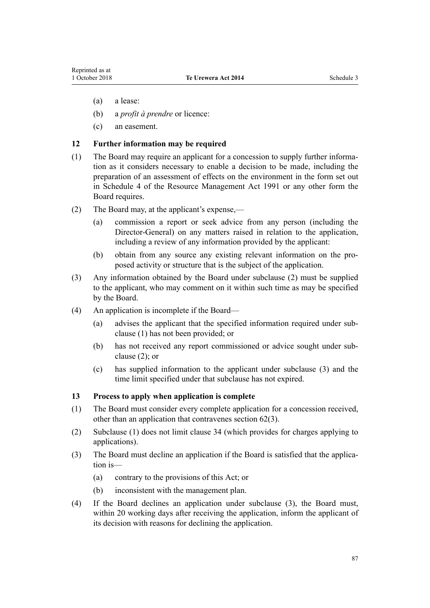- <span id="page-86-0"></span>(a) a lease:
- (b) a *profit à prendre* or licence:
- (c) an easement.

#### **12 Further information may be required**

- (1) The Board may require an applicant for a concession to supply further information as it considers necessary to enable a decision to be made, including the preparation of an assessment of effects on the environment in the form set out in Schedule 4 of the Resource Management Act 1991 or any other form the Board requires.
- (2) The Board may, at the applicant's expense,—
	- (a) commission a report or seek advice from any person (including the Director-General) on any matters raised in relation to the application, including a review of any information provided by the applicant:
	- (b) obtain from any source any existing relevant information on the proposed activity or structure that is the subject of the application.
- (3) Any information obtained by the Board under subclause (2) must be supplied to the applicant, who may comment on it within such time as may be specified by the Board.
- (4) An application is incomplete if the Board—
	- (a) advises the applicant that the specified information required under subclause (1) has not been provided; or
	- (b) has not received any report commissioned or advice sought under subclause (2); or
	- (c) has supplied information to the applicant under subclause (3) and the time limit specified under that subclause has not expired.

#### **13 Process to apply when application is complete**

- (1) The Board must consider every complete application for a concession received, other than an application that contravenes [section 62\(3\)](#page-32-0).
- (2) Subclause (1) does not limit [clause 34](#page-97-0) (which provides for charges applying to applications).
- (3) The Board must decline an application if the Board is satisfied that the application is—
	- (a) contrary to the provisions of this Act; or
	- (b) inconsistent with the management plan.
- (4) If the Board declines an application under subclause (3), the Board must, within 20 working days after receiving the application, inform the applicant of its decision with reasons for declining the application.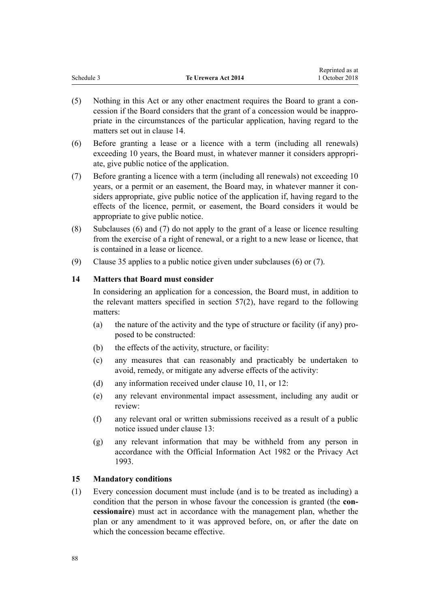<span id="page-87-0"></span>

| nephinted as at<br>Schedule 3<br>Te Urewera Act 2014<br>1 October 2018 |  |
|------------------------------------------------------------------------|--|
|------------------------------------------------------------------------|--|

Reprinted as at

- (5) Nothing in this Act or any other enactment requires the Board to grant a concession if the Board considers that the grant of a concession would be inappropriate in the circumstances of the particular application, having regard to the matters set out in clause 14.
- (6) Before granting a lease or a licence with a term (including all renewals) exceeding 10 years, the Board must, in whatever manner it considers appropriate, give public notice of the application.
- (7) Before granting a licence with a term (including all renewals) not exceeding 10 years, or a permit or an easement, the Board may, in whatever manner it considers appropriate, give public notice of the application if, having regard to the effects of the licence, permit, or easement, the Board considers it would be appropriate to give public notice.
- (8) Subclauses (6) and (7) do not apply to the grant of a lease or licence resulting from the exercise of a right of renewal, or a right to a new lease or licence, that is contained in a lease or licence.
- (9) [Clause 35](#page-98-0) applies to a public notice given under subclauses (6) or (7).

#### **14 Matters that Board must consider**

In considering an application for a concession, the Board must, in addition to the relevant matters specified in [section 57\(2\),](#page-30-0) have regard to the following matters:

- (a) the nature of the activity and the type of structure or facility (if any) proposed to be constructed:
- (b) the effects of the activity, structure, or facility:
- (c) any measures that can reasonably and practicably be undertaken to avoid, remedy, or mitigate any adverse effects of the activity:
- (d) any information received under [clause 10,](#page-85-0) [11,](#page-85-0) or [12](#page-86-0):
- (e) any relevant environmental impact assessment, including any audit or review:
- (f) any relevant oral or written submissions received as a result of a public notice issued under [clause 13:](#page-86-0)
- (g) any relevant information that may be withheld from any person in accordance with the Official Information Act 1982 or the Privacy Act 1993.

#### **15 Mandatory conditions**

(1) Every concession document must include (and is to be treated as including) a condition that the person in whose favour the concession is granted (the **concessionaire**) must act in accordance with the management plan, whether the plan or any amendment to it was approved before, on, or after the date on which the concession became effective.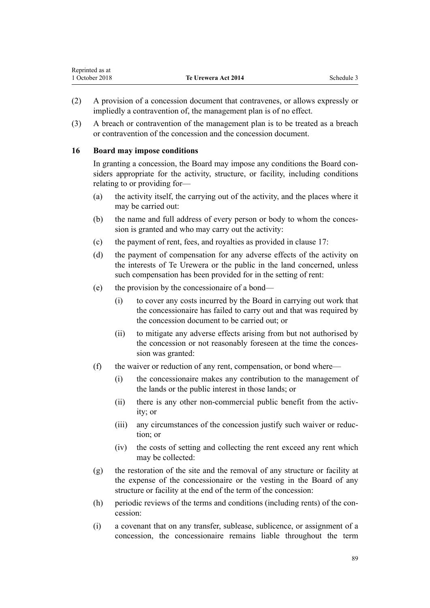| Reprinted as at |                     |            |
|-----------------|---------------------|------------|
| 1 October 2018  | Te Urewera Act 2014 | Schedule 3 |

- (2) A provision of a concession document that contravenes, or allows expressly or impliedly a contravention of, the management plan is of no effect.
- (3) A breach or contravention of the management plan is to be treated as a breach or contravention of the concession and the concession document.

#### **16 Board may impose conditions**

<span id="page-88-0"></span>Representative as a set of the set of the set of the set of the set of the set of the set of the set of the set of the set of the set of the set of the set of the set of the set of the set of the set of the set of the set

In granting a concession, the Board may impose any conditions the Board considers appropriate for the activity, structure, or facility, including conditions relating to or providing for—

- (a) the activity itself, the carrying out of the activity, and the places where it may be carried out:
- (b) the name and full address of every person or body to whom the concession is granted and who may carry out the activity:
- (c) the payment of rent, fees, and royalties as provided in [clause 17](#page-89-0):
- (d) the payment of compensation for any adverse effects of the activity on the interests of Te Urewera or the public in the land concerned, unless such compensation has been provided for in the setting of rent:
- (e) the provision by the concessionaire of a bond—
	- (i) to cover any costs incurred by the Board in carrying out work that the concessionaire has failed to carry out and that was required by the concession document to be carried out; or
	- (ii) to mitigate any adverse effects arising from but not authorised by the concession or not reasonably foreseen at the time the concession was granted:
- (f) the waiver or reduction of any rent, compensation, or bond where—
	- (i) the concessionaire makes any contribution to the management of the lands or the public interest in those lands; or
	- (ii) there is any other non-commercial public benefit from the activity; or
	- (iii) any circumstances of the concession justify such waiver or reduction; or
	- (iv) the costs of setting and collecting the rent exceed any rent which may be collected:
- (g) the restoration of the site and the removal of any structure or facility at the expense of the concessionaire or the vesting in the Board of any structure or facility at the end of the term of the concession:
- (h) periodic reviews of the terms and conditions (including rents) of the concession:
- (i) a covenant that on any transfer, sublease, sublicence, or assignment of a concession, the concessionaire remains liable throughout the term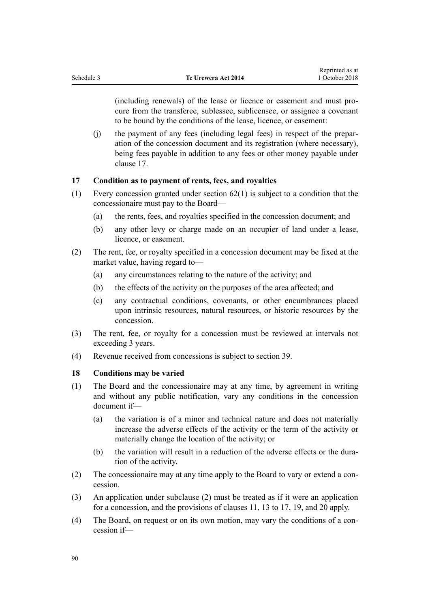<span id="page-89-0"></span>(including renewals) of the lease or licence or easement and must procure from the transferee, sublessee, sublicensee, or assignee a covenant to be bound by the conditions of the lease, licence, or easement:

(j) the payment of any fees (including legal fees) in respect of the preparation of the concession document and its registration (where necessary), being fees payable in addition to any fees or other money payable under clause 17.

### **17 Condition as to payment of rents, fees, and royalties**

- (1) Every concession granted under [section 62\(1\)](#page-32-0) is subject to a condition that the concessionaire must pay to the Board—
	- (a) the rents, fees, and royalties specified in the concession document; and
	- (b) any other levy or charge made on an occupier of land under a lease, licence, or easement.
- (2) The rent, fee, or royalty specified in a concession document may be fixed at the market value, having regard to—
	- (a) any circumstances relating to the nature of the activity; and
	- (b) the effects of the activity on the purposes of the area affected; and
	- (c) any contractual conditions, covenants, or other encumbrances placed upon intrinsic resources, natural resources, or historic resources by the concession.
- (3) The rent, fee, or royalty for a concession must be reviewed at intervals not exceeding 3 years.
- (4) Revenue received from concessions is subject to [section 39.](#page-23-0)

#### **18 Conditions may be varied**

- (1) The Board and the concessionaire may at any time, by agreement in writing and without any public notification, vary any conditions in the concession document if—
	- (a) the variation is of a minor and technical nature and does not materially increase the adverse effects of the activity or the term of the activity or materially change the location of the activity; or
	- (b) the variation will result in a reduction of the adverse effects or the duration of the activity.
- (2) The concessionaire may at any time apply to the Board to vary or extend a concession.
- (3) An application under subclause (2) must be treated as if it were an application for a concession, and the provisions of [clauses 11](#page-85-0), [13](#page-86-0) to 17, [19](#page-90-0), and [20](#page-90-0) apply.
- (4) The Board, on request or on its own motion, may vary the conditions of a concession if—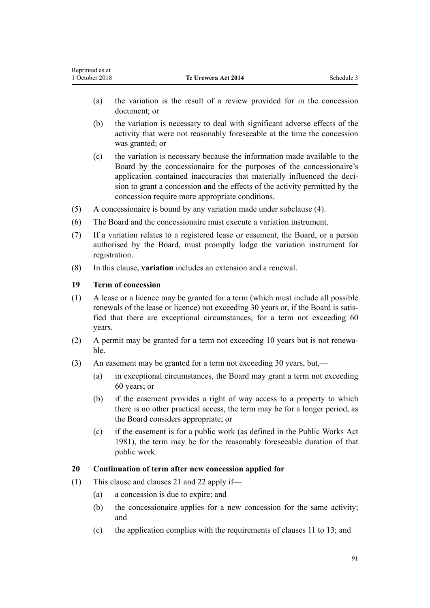- <span id="page-90-0"></span>(a) the variation is the result of a review provided for in the concession document; or
- (b) the variation is necessary to deal with significant adverse effects of the activity that were not reasonably foreseeable at the time the concession was granted; or
- (c) the variation is necessary because the information made available to the Board by the concessionaire for the purposes of the concessionaire's application contained inaccuracies that materially influenced the decision to grant a concession and the effects of the activity permitted by the concession require more appropriate conditions.
- (5) A concessionaire is bound by any variation made under subclause (4).
- (6) The Board and the concessionaire must execute a variation instrument.
- (7) If a variation relates to a registered lease or easement, the Board, or a person authorised by the Board, must promptly lodge the variation instrument for registration.
- (8) In this clause, **variation** includes an extension and a renewal.

#### **19 Term of concession**

- (1) A lease or a licence may be granted for a term (which must include all possible renewals of the lease or licence) not exceeding 30 years or, if the Board is satisfied that there are exceptional circumstances, for a term not exceeding 60 years.
- (2) A permit may be granted for a term not exceeding 10 years but is not renewable.
- (3) An easement may be granted for a term not exceeding 30 years, but,—
	- (a) in exceptional circumstances, the Board may grant a term not exceeding 60 years; or
	- (b) if the easement provides a right of way access to a property to which there is no other practical access, the term may be for a longer period, as the Board considers appropriate; or
	- (c) if the easement is for a public work (as defined in the [Public Works Act](http://prd-lgnz-nlb.prd.pco.net.nz/pdflink.aspx?id=DLM45426) [1981](http://prd-lgnz-nlb.prd.pco.net.nz/pdflink.aspx?id=DLM45426)), the term may be for the reasonably foreseeable duration of that public work.

## **20 Continuation of term after new concession applied for**

- (1) This clause and [clauses 21](#page-91-0) and [22](#page-92-0) apply if—
	- (a) a concession is due to expire; and
	- (b) the concessionaire applies for a new concession for the same activity; and
	- (c) the application complies with the requirements of [clauses 11 to 13](#page-85-0); and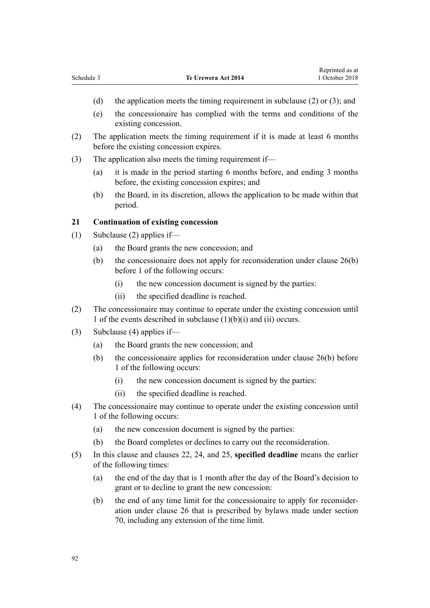- <span id="page-91-0"></span>(d) the application meets the timing requirement in subclause (2) or (3); and
- (e) the concessionaire has complied with the terms and conditions of the existing concession.
- (2) The application meets the timing requirement if it is made at least 6 months before the existing concession expires.
- (3) The application also meets the timing requirement if—
	- (a) it is made in the period starting 6 months before, and ending 3 months before, the existing concession expires; and
	- (b) the Board, in its discretion, allows the application to be made within that period.

#### **21 Continuation of existing concession**

- (1) Subclause (2) applies if—
	- (a) the Board grants the new concession; and
	- (b) the concessionaire does not apply for reconsideration under [clause 26\(b\)](#page-94-0) before 1 of the following occurs:
		- (i) the new concession document is signed by the parties:
		- (ii) the specified deadline is reached.
- (2) The concessionaire may continue to operate under the existing concession until 1 of the events described in subclause  $(1)(b)(i)$  and  $(ii)$  occurs.
- (3) Subclause (4) applies if—
	- (a) the Board grants the new concession; and
	- (b) the concessionaire applies for reconsideration under [clause 26\(b\)](#page-94-0) before 1 of the following occurs:
		- (i) the new concession document is signed by the parties:
		- (ii) the specified deadline is reached.
- (4) The concessionaire may continue to operate under the existing concession until 1 of the following occurs:
	- (a) the new concession document is signed by the parties:
	- (b) the Board completes or declines to carry out the reconsideration.
- (5) In this clause and [clauses 22,](#page-92-0) [24,](#page-93-0) and [25,](#page-94-0) **specified deadline** means the earlier of the following times:
	- (a) the end of the day that is 1 month after the day of the Board's decision to grant or to decline to grant the new concession:
	- (b) the end of any time limit for the concessionaire to apply for reconsideration under [clause 26](#page-94-0) that is prescribed by bylaws made under [section](#page-35-0) [70,](#page-35-0) including any extension of the time limit.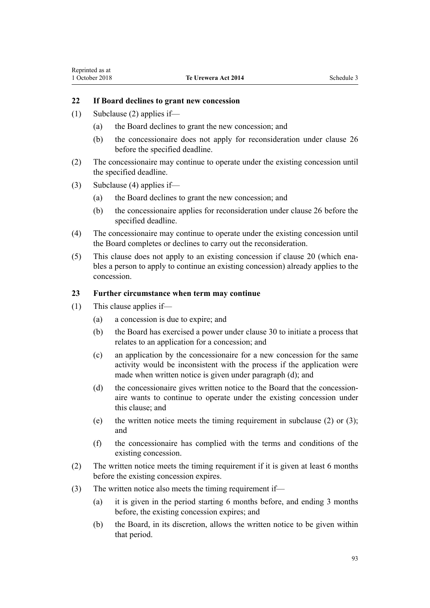## <span id="page-92-0"></span>**22 If Board declines to grant new concession**

- (1) Subclause (2) applies if—
	- (a) the Board declines to grant the new concession; and
	- (b) the concessionaire does not apply for reconsideration under [clause 26](#page-94-0) before the specified deadline.
- (2) The concessionaire may continue to operate under the existing concession until the specified deadline.
- (3) Subclause (4) applies if—
	- (a) the Board declines to grant the new concession; and
	- (b) the concessionaire applies for reconsideration under [clause 26](#page-94-0) before the specified deadline.
- (4) The concessionaire may continue to operate under the existing concession until the Board completes or declines to carry out the reconsideration.
- (5) This clause does not apply to an existing concession if [clause 20](#page-90-0) (which enables a person to apply to continue an existing concession) already applies to the concession.

#### **23 Further circumstance when term may continue**

- (1) This clause applies if—
	- (a) a concession is due to expire; and
	- (b) the Board has exercised a power under [clause 30](#page-95-0) to initiate a process that relates to an application for a concession; and
	- (c) an application by the concessionaire for a new concession for the same activity would be inconsistent with the process if the application were made when written notice is given under paragraph (d); and
	- (d) the concessionaire gives written notice to the Board that the concessionaire wants to continue to operate under the existing concession under this clause; and
	- (e) the written notice meets the timing requirement in subclause (2) or (3); and
	- (f) the concessionaire has complied with the terms and conditions of the existing concession.
- (2) The written notice meets the timing requirement if it is given at least 6 months before the existing concession expires.
- (3) The written notice also meets the timing requirement if—
	- (a) it is given in the period starting 6 months before, and ending 3 months before, the existing concession expires; and
	- (b) the Board, in its discretion, allows the written notice to be given within that period.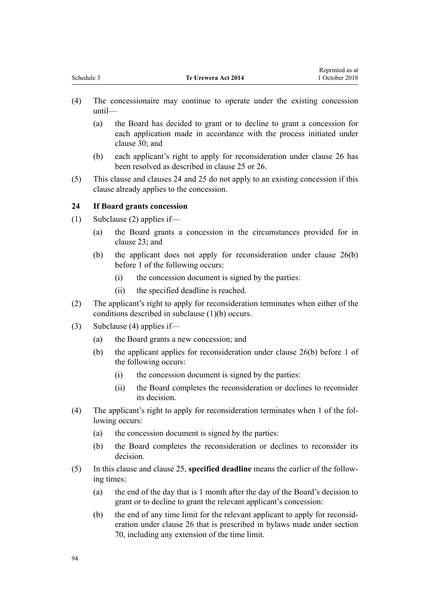- <span id="page-93-0"></span>(4) The concessionaire may continue to operate under the existing concession until—
	- (a) the Board has decided to grant or to decline to grant a concession for each application made in accordance with the process initiated under [clause 30](#page-95-0); and

Reprinted as at

- (b) each applicant's right to apply for reconsideration under [clause 26](#page-94-0) has been resolved as described in [clause 25](#page-94-0) or [26.](#page-94-0)
- (5) This clause and clauses 24 and [25](#page-94-0) do not apply to an existing concession if this clause already applies to the concession.

#### **24 If Board grants concession**

- (1) Subclause (2) applies if—
	- (a) the Board grants a concession in the circumstances provided for in [clause 23](#page-92-0); and
	- (b) the applicant does not apply for reconsideration under [clause 26\(b\)](#page-94-0) before 1 of the following occurs:
		- (i) the concession document is signed by the parties:
		- (ii) the specified deadline is reached.
- (2) The applicant's right to apply for reconsideration terminates when either of the conditions described in subclause (1)(b) occurs.
- (3) Subclause (4) applies if—
	- (a) the Board grants a new concession; and
	- (b) the applicant applies for reconsideration under [clause 26\(b\)](#page-94-0) before 1 of the following occurs:
		- (i) the concession document is signed by the parties:
		- (ii) the Board completes the reconsideration or declines to reconsider its decision.
- (4) The applicant's right to apply for reconsideration terminates when 1 of the following occurs:
	- (a) the concession document is signed by the parties:
	- (b) the Board completes the reconsideration or declines to reconsider its decision.
- (5) In this clause and [clause 25](#page-94-0), **specified deadline** means the earlier of the following times:
	- (a) the end of the day that is 1 month after the day of the Board's decision to grant or to decline to grant the relevant applicant's concession:
	- (b) the end of any time limit for the relevant applicant to apply for reconsideration under [clause 26](#page-94-0) that is prescribed in bylaws made under [section](#page-35-0) [70,](#page-35-0) including any extension of the time limit.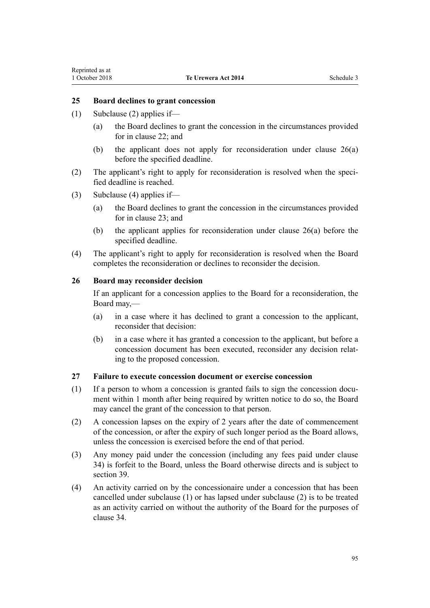## <span id="page-94-0"></span>**25 Board declines to grant concession**

- (1) Subclause (2) applies if—
	- (a) the Board declines to grant the concession in the circumstances provided for in [clause 22](#page-92-0); and
	- (b) the applicant does not apply for reconsideration under clause 26(a) before the specified deadline.
- (2) The applicant's right to apply for reconsideration is resolved when the specified deadline is reached.
- (3) Subclause (4) applies if—
	- (a) the Board declines to grant the concession in the circumstances provided for in [clause 23](#page-92-0); and
	- (b) the applicant applies for reconsideration under clause 26(a) before the specified deadline.
- (4) The applicant's right to apply for reconsideration is resolved when the Board completes the reconsideration or declines to reconsider the decision.

#### **26 Board may reconsider decision**

If an applicant for a concession applies to the Board for a reconsideration, the Board may,—

- (a) in a case where it has declined to grant a concession to the applicant, reconsider that decision:
- (b) in a case where it has granted a concession to the applicant, but before a concession document has been executed, reconsider any decision relating to the proposed concession.

## **27 Failure to execute concession document or exercise concession**

- (1) If a person to whom a concession is granted fails to sign the concession document within 1 month after being required by written notice to do so, the Board may cancel the grant of the concession to that person.
- (2) A concession lapses on the expiry of 2 years after the date of commencement of the concession, or after the expiry of such longer period as the Board allows, unless the concession is exercised before the end of that period.
- (3) Any money paid under the concession (including any fees paid under [clause](#page-97-0) [34\)](#page-97-0) is forfeit to the Board, unless the Board otherwise directs and is subject to [section 39](#page-23-0).
- (4) An activity carried on by the concessionaire under a concession that has been cancelled under subclause (1) or has lapsed under subclause (2) is to be treated as an activity carried on without the authority of the Board for the purposes of [clause 34](#page-97-0).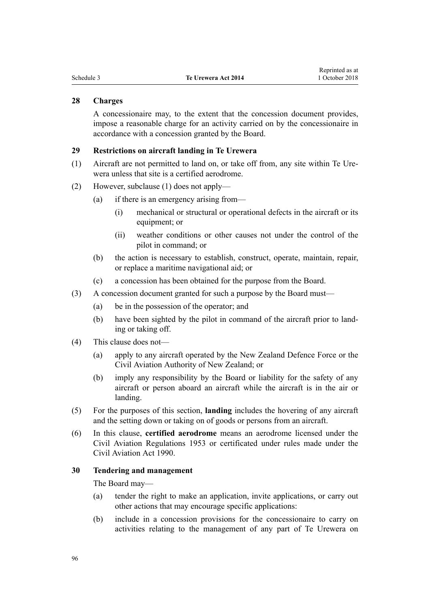#### <span id="page-95-0"></span>**28 Charges**

A concessionaire may, to the extent that the concession document provides, impose a reasonable charge for an activity carried on by the concessionaire in accordance with a concession granted by the Board.

#### **29 Restrictions on aircraft landing in Te Urewera**

- (1) Aircraft are not permitted to land on, or take off from, any site within Te Urewera unless that site is a certified aerodrome.
- (2) However, subclause (1) does not apply—
	- (a) if there is an emergency arising from—
		- (i) mechanical or structural or operational defects in the aircraft or its equipment; or
		- (ii) weather conditions or other causes not under the control of the pilot in command; or
	- (b) the action is necessary to establish, construct, operate, maintain, repair, or replace a maritime navigational aid; or
	- (c) a concession has been obtained for the purpose from the Board.
- (3) A concession document granted for such a purpose by the Board must—
	- (a) be in the possession of the operator; and
	- (b) have been sighted by the pilot in command of the aircraft prior to landing or taking off.
- (4) This clause does not—
	- (a) apply to any aircraft operated by the New Zealand Defence Force or the Civil Aviation Authority of New Zealand; or
	- (b) imply any responsibility by the Board or liability for the safety of any aircraft or person aboard an aircraft while the aircraft is in the air or landing.
- (5) For the purposes of this section, **landing** includes the hovering of any aircraft and the setting down or taking on of goods or persons from an aircraft.
- (6) In this clause, **certified aerodrome** means an aerodrome licensed under the Civil Aviation Regulations 1953 or certificated under rules made under the [Civil Aviation Act 1990.](http://prd-lgnz-nlb.prd.pco.net.nz/pdflink.aspx?id=DLM214686)

#### **30 Tendering and management**

The Board may—

- (a) tender the right to make an application, invite applications, or carry out other actions that may encourage specific applications:
- (b) include in a concession provisions for the concessionaire to carry on activities relating to the management of any part of Te Urewera on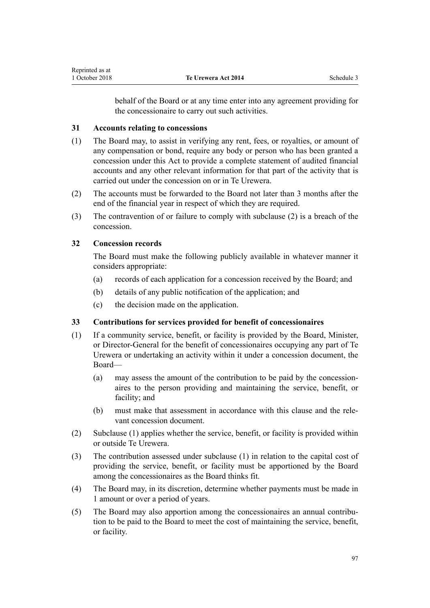behalf of the Board or at any time enter into any agreement providing for the concessionaire to carry out such activities.

#### <span id="page-96-0"></span>**31 Accounts relating to concessions**

- (1) The Board may, to assist in verifying any rent, fees, or royalties, or amount of any compensation or bond, require any body or person who has been granted a concession under this Act to provide a complete statement of audited financial accounts and any other relevant information for that part of the activity that is carried out under the concession on or in Te Urewera.
- (2) The accounts must be forwarded to the Board not later than 3 months after the end of the financial year in respect of which they are required.
- (3) The contravention of or failure to comply with subclause (2) is a breach of the concession.

#### **32 Concession records**

The Board must make the following publicly available in whatever manner it considers appropriate:

- (a) records of each application for a concession received by the Board; and
- (b) details of any public notification of the application; and
- (c) the decision made on the application.

#### **33 Contributions for services provided for benefit of concessionaires**

- (1) If a community service, benefit, or facility is provided by the Board, Minister, or Director-General for the benefit of concessionaires occupying any part of Te Urewera or undertaking an activity within it under a concession document, the Board—
	- (a) may assess the amount of the contribution to be paid by the concessionaires to the person providing and maintaining the service, benefit, or facility; and
	- (b) must make that assessment in accordance with this clause and the relevant concession document.
- (2) Subclause (1) applies whether the service, benefit, or facility is provided within or outside Te Urewera.
- (3) The contribution assessed under subclause (1) in relation to the capital cost of providing the service, benefit, or facility must be apportioned by the Board among the concessionaires as the Board thinks fit.
- (4) The Board may, in its discretion, determine whether payments must be made in 1 amount or over a period of years.
- (5) The Board may also apportion among the concessionaires an annual contribution to be paid to the Board to meet the cost of maintaining the service, benefit, or facility.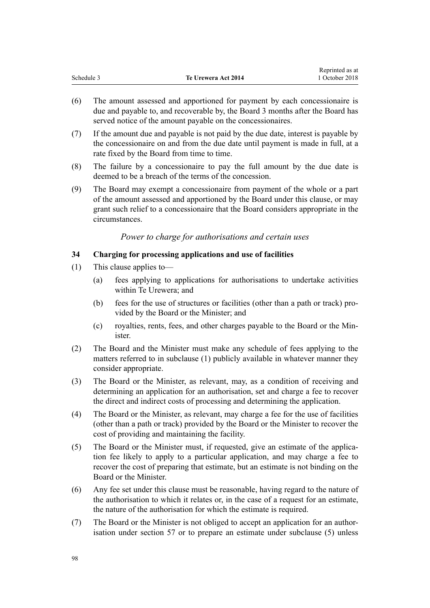<span id="page-97-0"></span>

|            |                     | Reprinted as at |
|------------|---------------------|-----------------|
| Schedule 3 | Te Urewera Act 2014 | 1 October 2018  |

- (6) The amount assessed and apportioned for payment by each concessionaire is due and payable to, and recoverable by, the Board 3 months after the Board has served notice of the amount payable on the concessionaires.
- (7) If the amount due and payable is not paid by the due date, interest is payable by the concessionaire on and from the due date until payment is made in full, at a rate fixed by the Board from time to time.
- (8) The failure by a concessionaire to pay the full amount by the due date is deemed to be a breach of the terms of the concession.
- (9) The Board may exempt a concessionaire from payment of the whole or a part of the amount assessed and apportioned by the Board under this clause, or may grant such relief to a concessionaire that the Board considers appropriate in the circumstances.

#### *Power to charge for authorisations and certain uses*

#### **34 Charging for processing applications and use of facilities**

- (1) This clause applies to—
	- (a) fees applying to applications for authorisations to undertake activities within Te Urewera; and
	- (b) fees for the use of structures or facilities (other than a path or track) provided by the Board or the Minister; and
	- (c) royalties, rents, fees, and other charges payable to the Board or the Minister.
- (2) The Board and the Minister must make any schedule of fees applying to the matters referred to in subclause (1) publicly available in whatever manner they consider appropriate.
- (3) The Board or the Minister, as relevant, may, as a condition of receiving and determining an application for an authorisation, set and charge a fee to recover the direct and indirect costs of processing and determining the application.
- (4) The Board or the Minister, as relevant, may charge a fee for the use of facilities (other than a path or track) provided by the Board or the Minister to recover the cost of providing and maintaining the facility.
- (5) The Board or the Minister must, if requested, give an estimate of the application fee likely to apply to a particular application, and may charge a fee to recover the cost of preparing that estimate, but an estimate is not binding on the Board or the Minister.
- (6) Any fee set under this clause must be reasonable, having regard to the nature of the authorisation to which it relates or, in the case of a request for an estimate, the nature of the authorisation for which the estimate is required.
- (7) The Board or the Minister is not obliged to accept an application for an authorisation under [section 57](#page-30-0) or to prepare an estimate under subclause (5) unless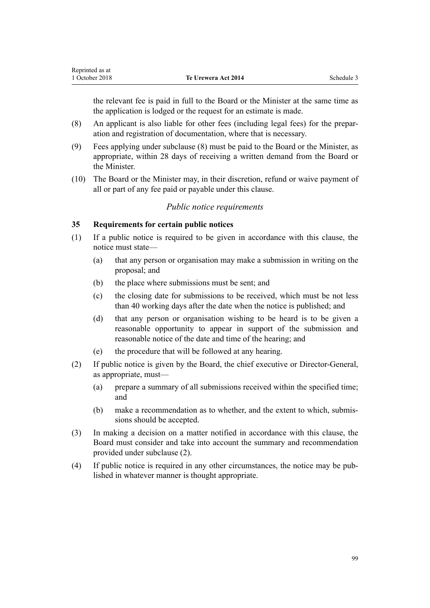<span id="page-98-0"></span>the relevant fee is paid in full to the Board or the Minister at the same time as the application is lodged or the request for an estimate is made.

- (8) An applicant is also liable for other fees (including legal fees) for the preparation and registration of documentation, where that is necessary.
- (9) Fees applying under subclause (8) must be paid to the Board or the Minister, as appropriate, within 28 days of receiving a written demand from the Board or the Minister.
- (10) The Board or the Minister may, in their discretion, refund or waive payment of all or part of any fee paid or payable under this clause.

#### *Public notice requirements*

### **35 Requirements for certain public notices**

- (1) If a public notice is required to be given in accordance with this clause, the notice must state—
	- (a) that any person or organisation may make a submission in writing on the proposal; and
	- (b) the place where submissions must be sent; and
	- (c) the closing date for submissions to be received, which must be not less than 40 working days after the date when the notice is published; and
	- (d) that any person or organisation wishing to be heard is to be given a reasonable opportunity to appear in support of the submission and reasonable notice of the date and time of the hearing; and
	- (e) the procedure that will be followed at any hearing.
- (2) If public notice is given by the Board, the chief executive or Director-General, as appropriate, must—
	- (a) prepare a summary of all submissions received within the specified time; and
	- (b) make a recommendation as to whether, and the extent to which, submissions should be accepted.
- (3) In making a decision on a matter notified in accordance with this clause, the Board must consider and take into account the summary and recommendation provided under subclause (2).
- (4) If public notice is required in any other circumstances, the notice may be published in whatever manner is thought appropriate.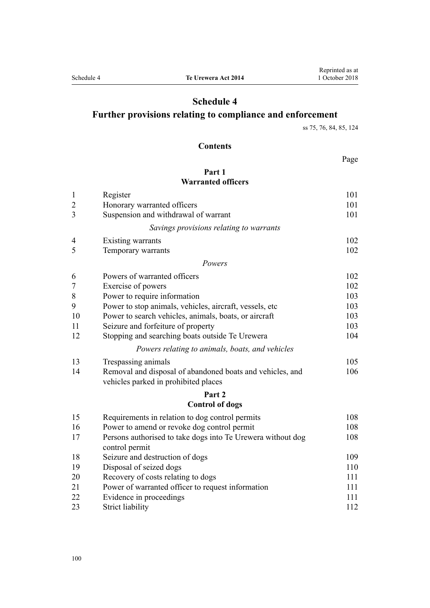## **Schedule 4**

## **Further provisions relating to compliance and enforcement**

[ss 75, 76](#page-38-0), [84, 85](#page-42-0), [124](#page-61-0)

### **Contents**

Page

## **[Part 1](#page-100-0) [Warranted officers](#page-100-0)**

| $\mathbf{1}$   | Register                                                    | 101 |
|----------------|-------------------------------------------------------------|-----|
| $\overline{c}$ | Honorary warranted officers                                 | 101 |
| 3              | Suspension and withdrawal of warrant                        | 101 |
|                | Savings provisions relating to warrants                     |     |
| 4              | Existing warrants                                           | 102 |
| 5              | Temporary warrants                                          | 102 |
|                | Powers                                                      |     |
| 6              | Powers of warranted officers                                | 102 |
| $\overline{7}$ | Exercise of powers                                          | 102 |
| $\,$ $\,$      | Power to require information                                | 103 |
| 9              | Power to stop animals, vehicles, aircraft, vessels, etc.    | 103 |
| 10             | Power to search vehicles, animals, boats, or aircraft       | 103 |
| 11             | Seizure and forfeiture of property                          | 103 |
| 12             | Stopping and searching boats outside Te Urewera             | 104 |
|                | Powers relating to animals, boats, and vehicles             |     |
| 13             | Trespassing animals                                         | 105 |
| 14             | Removal and disposal of abandoned boats and vehicles, and   | 106 |
|                | vehicles parked in prohibited places                        |     |
|                | Part <sub>2</sub>                                           |     |
|                | <b>Control of dogs</b>                                      |     |
| 15             | Requirements in relation to dog control permits             | 108 |
| 16             | Power to amend or revoke dog control permit                 | 108 |
| 17             | Persons authorised to take dogs into Te Urewera without dog | 108 |
|                | control permit                                              |     |
| 18             | Seizure and destruction of dogs                             | 109 |
| 19             | Disposal of seized dogs                                     | 110 |
| 20             | Recovery of costs relating to dogs                          | 111 |
| 21             | Power of warranted officer to request information           | 111 |
| 22             | Evidence in proceedings                                     | 111 |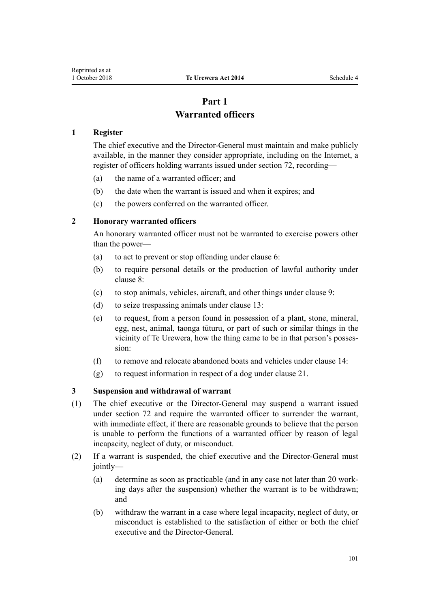## **Part 1 Warranted officers**

#### <span id="page-100-0"></span>**1 Register**

The chief executive and the Director-General must maintain and make publicly available, in the manner they consider appropriate, including on the Internet, a register of officers holding warrants issued under [section 72,](#page-37-0) recording—

- (a) the name of a warranted officer; and
- (b) the date when the warrant is issued and when it expires; and
- (c) the powers conferred on the warranted officer.

#### **2 Honorary warranted officers**

An honorary warranted officer must not be warranted to exercise powers other than the power—

- (a) to act to prevent or stop offending under [clause 6:](#page-101-0)
- (b) to require personal details or the production of lawful authority under [clause 8:](#page-102-0)
- (c) to stop animals, vehicles, aircraft, and other things under [clause 9](#page-102-0):
- (d) to seize trespassing animals under [clause 13:](#page-104-0)
- (e) to request, from a person found in possession of a plant, stone, mineral, egg, nest, animal, taonga tūturu, or part of such or similar things in the vicinity of Te Urewera, how the thing came to be in that person's possession:
- (f) to remove and relocate abandoned boats and vehicles under [clause 14](#page-105-0):
- (g) to request information in respect of a dog under [clause 21](#page-110-0).

#### **3 Suspension and withdrawal of warrant**

- (1) The chief executive or the Director-General may suspend a warrant issued under [section 72](#page-37-0) and require the warranted officer to surrender the warrant, with immediate effect, if there are reasonable grounds to believe that the person is unable to perform the functions of a warranted officer by reason of legal incapacity, neglect of duty, or misconduct.
- (2) If a warrant is suspended, the chief executive and the Director-General must jointly—
	- (a) determine as soon as practicable (and in any case not later than 20 working days after the suspension) whether the warrant is to be withdrawn; and
	- (b) withdraw the warrant in a case where legal incapacity, neglect of duty, or misconduct is established to the satisfaction of either or both the chief executive and the Director-General.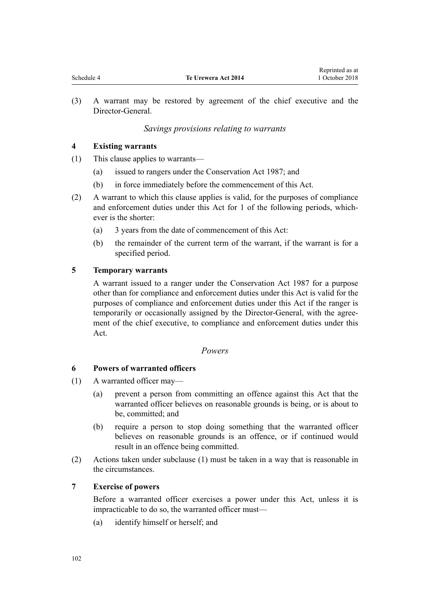Reprinted as at

<span id="page-101-0"></span>(3) A warrant may be restored by agreement of the chief executive and the Director-General.

## *Savings provisions relating to warrants*

## **4 Existing warrants**

- (1) This clause applies to warrants—
	- (a) issued to rangers under the Conservation Act 1987; and
	- (b) in force immediately before the commencement of this Act.
- (2) A warrant to which this clause applies is valid, for the purposes of compliance and enforcement duties under this Act for 1 of the following periods, whichever is the shorter:
	- (a) 3 years from the date of commencement of this Act:
	- (b) the remainder of the current term of the warrant, if the warrant is for a specified period.

## **5 Temporary warrants**

A warrant issued to a ranger under the Conservation Act 1987 for a purpose other than for compliance and enforcement duties under this Act is valid for the purposes of compliance and enforcement duties under this Act if the ranger is temporarily or occasionally assigned by the Director-General, with the agreement of the chief executive, to compliance and enforcement duties under this Act.

## *Powers*

## **6 Powers of warranted officers**

- (1) A warranted officer may—
	- (a) prevent a person from committing an offence against this Act that the warranted officer believes on reasonable grounds is being, or is about to be, committed; and
	- (b) require a person to stop doing something that the warranted officer believes on reasonable grounds is an offence, or if continued would result in an offence being committed.
- (2) Actions taken under subclause (1) must be taken in a way that is reasonable in the circumstances.

## **7 Exercise of powers**

Before a warranted officer exercises a power under this Act, unless it is impracticable to do so, the warranted officer must—

(a) identify himself or herself; and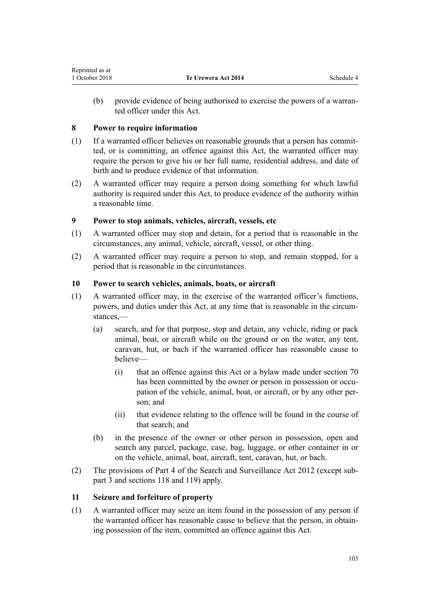<span id="page-102-0"></span>(b) provide evidence of being authorised to exercise the powers of a warranted officer under this Act.

## **8 Power to require information**

- (1) If a warranted officer believes on reasonable grounds that a person has committed, or is committing, an offence against this Act, the warranted officer may require the person to give his or her full name, residential address, and date of birth and to produce evidence of that information.
- (2) A warranted officer may require a person doing something for which lawful authority is required under this Act, to produce evidence of the authority within a reasonable time.

## **9 Power to stop animals, vehicles, aircraft, vessels, etc**

- (1) A warranted officer may stop and detain, for a period that is reasonable in the circumstances, any animal, vehicle, aircraft, vessel, or other thing.
- (2) A warranted officer may require a person to stop, and remain stopped, for a period that is reasonable in the circumstances.

## **10 Power to search vehicles, animals, boats, or aircraft**

- (1) A warranted officer may, in the exercise of the warranted officer's functions, powers, and duties under this Act, at any time that is reasonable in the circumstances —
	- (a) search, and for that purpose, stop and detain, any vehicle, riding or pack animal, boat, or aircraft while on the ground or on the water, any tent, caravan, hut, or bach if the warranted officer has reasonable cause to believe—
		- (i) that an offence against this Act or a bylaw made under [section 70](#page-35-0) has been committed by the owner or person in possession or occupation of the vehicle, animal, boat, or aircraft, or by any other person; and
		- (ii) that evidence relating to the offence will be found in the course of that search; and
	- (b) in the presence of the owner or other person in possession, open and search any parcel, package, case, bag, luggage, or other container in or on the vehicle, animal, boat, aircraft, tent, caravan, hut, or bach.
- (2) The provisions of [Part 4](http://prd-lgnz-nlb.prd.pco.net.nz/pdflink.aspx?id=DLM2136770) of the Search and Surveillance Act 2012 (except [sub](http://prd-lgnz-nlb.prd.pco.net.nz/pdflink.aspx?id=DLM2136781)[part 3](http://prd-lgnz-nlb.prd.pco.net.nz/pdflink.aspx?id=DLM2136781) and [sections 118](http://prd-lgnz-nlb.prd.pco.net.nz/pdflink.aspx?id=DLM2136813) and [119\)](http://prd-lgnz-nlb.prd.pco.net.nz/pdflink.aspx?id=DLM2136815) apply.

## **11 Seizure and forfeiture of property**

(1) A warranted officer may seize an item found in the possession of any person if the warranted officer has reasonable cause to believe that the person, in obtaining possession of the item, committed an offence against this Act.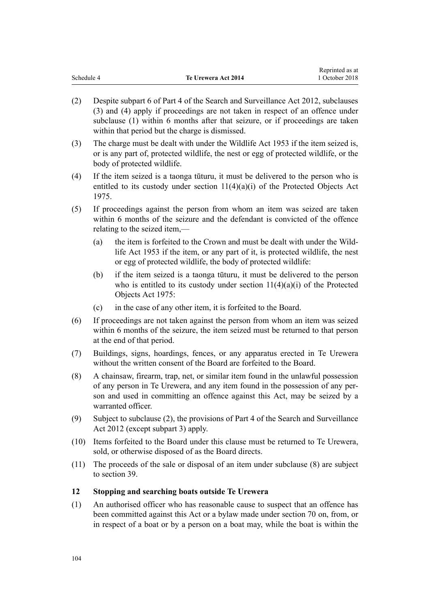<span id="page-103-0"></span>

|            |                     | Reprinted as at |
|------------|---------------------|-----------------|
| Schedule 4 | Te Urewera Act 2014 | 1 October 2018  |

- (2) Despite [subpart 6](http://prd-lgnz-nlb.prd.pco.net.nz/pdflink.aspx?id=DLM2136860) of Part 4 of the Search and Surveillance Act 2012, subclauses (3) and (4) apply if proceedings are not taken in respect of an offence under subclause (1) within 6 months after that seizure, or if proceedings are taken within that period but the charge is dismissed.
- (3) The charge must be dealt with under the Wildlife Act 1953 if the item seized is, or is any part of, protected wildlife, the nest or egg of protected wildlife, or the body of protected wildlife.
- (4) If the item seized is a taonga tūturu, it must be delivered to the person who is entitled to its custody under [section 11\(4\)\(a\)\(i\)](http://prd-lgnz-nlb.prd.pco.net.nz/pdflink.aspx?id=DLM432422) of the Protected Objects Act 1975.
- (5) If proceedings against the person from whom an item was seized are taken within 6 months of the seizure and the defendant is convicted of the offence relating to the seized item,—
	- (a) the item is forfeited to the Crown and must be dealt with under the [Wild](http://prd-lgnz-nlb.prd.pco.net.nz/pdflink.aspx?id=DLM276813)[life Act 1953](http://prd-lgnz-nlb.prd.pco.net.nz/pdflink.aspx?id=DLM276813) if the item, or any part of it, is protected wildlife, the nest or egg of protected wildlife, the body of protected wildlife:
	- (b) if the item seized is a taonga tūturu, it must be delivered to the person who is entitled to its custody under section  $11(4)(a)(i)$  of the Protected Objects Act 1975:
	- (c) in the case of any other item, it is forfeited to the Board.
- (6) If proceedings are not taken against the person from whom an item was seized within 6 months of the seizure, the item seized must be returned to that person at the end of that period.
- (7) Buildings, signs, hoardings, fences, or any apparatus erected in Te Urewera without the written consent of the Board are forfeited to the Board.
- (8) A chainsaw, firearm, trap, net, or similar item found in the unlawful possession of any person in Te Urewera, and any item found in the possession of any person and used in committing an offence against this Act, may be seized by a warranted officer.
- (9) Subject to subclause (2), the provisions of [Part 4](http://prd-lgnz-nlb.prd.pco.net.nz/pdflink.aspx?id=DLM2136770) of the Search and Surveillance Act 2012 (except subpart 3) apply.
- (10) Items forfeited to the Board under this clause must be returned to Te Urewera, sold, or otherwise disposed of as the Board directs.
- (11) The proceeds of the sale or disposal of an item under subclause (8) are subject to [section 39.](#page-23-0)

## **12 Stopping and searching boats outside Te Urewera**

(1) An authorised officer who has reasonable cause to suspect that an offence has been committed against this Act or a bylaw made under [section 70](#page-35-0) on, from, or in respect of a boat or by a person on a boat may, while the boat is within the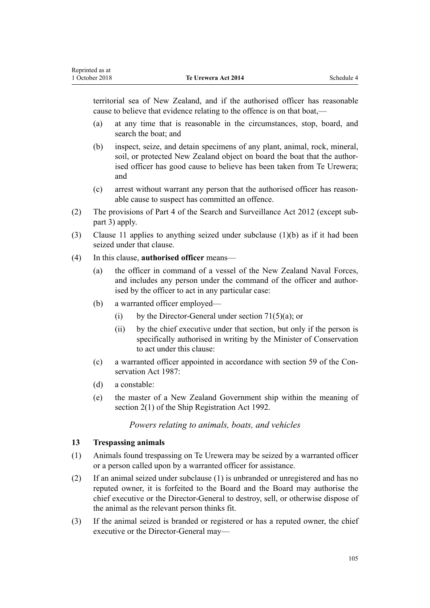<span id="page-104-0"></span>territorial sea of New Zealand, and if the authorised officer has reasonable cause to believe that evidence relating to the offence is on that boat,—

- (a) at any time that is reasonable in the circumstances, stop, board, and search the boat; and
- (b) inspect, seize, and detain specimens of any plant, animal, rock, mineral, soil, or protected New Zealand object on board the boat that the authorised officer has good cause to believe has been taken from Te Urewera; and
- (c) arrest without warrant any person that the authorised officer has reasonable cause to suspect has committed an offence.
- (2) The provisions of [Part 4](http://prd-lgnz-nlb.prd.pco.net.nz/pdflink.aspx?id=DLM2136770) of the Search and Surveillance Act 2012 (except subpart 3) apply.
- (3) [Clause 11](#page-102-0) applies to anything seized under subclause (1)(b) as if it had been seized under that clause.
- (4) In this clause, **authorised officer** means—
	- (a) the officer in command of a vessel of the New Zealand Naval Forces, and includes any person under the command of the officer and authorised by the officer to act in any particular case:
	- (b) a warranted officer employed—
		- (i) by the Director-General under section  $71(5)(a)$ ; or
		- (ii) by the chief executive under that section, but only if the person is specifically authorised in writing by the Minister of Conservation to act under this clause:
	- (c) a warranted officer appointed in accordance with [section 59](http://prd-lgnz-nlb.prd.pco.net.nz/pdflink.aspx?id=DLM106939) of the Conservation Act 1987:
	- (d) a constable:
	- (e) the master of a New Zealand Government ship within the meaning of [section 2\(1\)](http://prd-lgnz-nlb.prd.pco.net.nz/pdflink.aspx?id=DLM275032) of the Ship Registration Act 1992.

#### *Powers relating to animals, boats, and vehicles*

#### **13 Trespassing animals**

- (1) Animals found trespassing on Te Urewera may be seized by a warranted officer or a person called upon by a warranted officer for assistance.
- (2) If an animal seized under subclause (1) is unbranded or unregistered and has no reputed owner, it is forfeited to the Board and the Board may authorise the chief executive or the Director-General to destroy, sell, or otherwise dispose of the animal as the relevant person thinks fit.
- (3) If the animal seized is branded or registered or has a reputed owner, the chief executive or the Director-General may—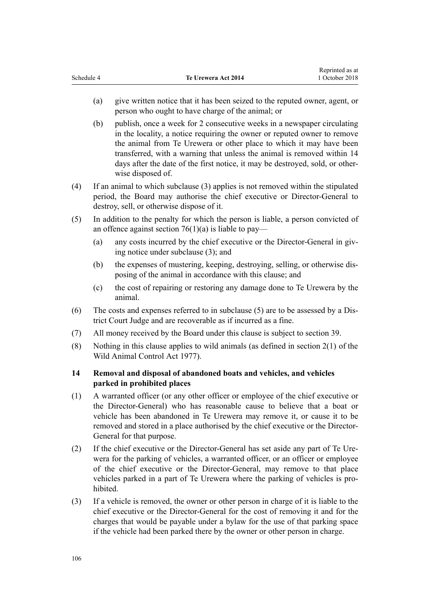- <span id="page-105-0"></span>(a) give written notice that it has been seized to the reputed owner, agent, or person who ought to have charge of the animal; or
- (b) publish, once a week for 2 consecutive weeks in a newspaper circulating in the locality, a notice requiring the owner or reputed owner to remove the animal from Te Urewera or other place to which it may have been transferred, with a warning that unless the animal is removed within 14 days after the date of the first notice, it may be destroyed, sold, or otherwise disposed of.
- (4) If an animal to which subclause (3) applies is not removed within the stipulated period, the Board may authorise the chief executive or Director-General to destroy, sell, or otherwise dispose of it.
- (5) In addition to the penalty for which the person is liable, a person convicted of an offence against section  $76(1)(a)$  is liable to pay—
	- (a) any costs incurred by the chief executive or the Director-General in giving notice under subclause (3); and
	- (b) the expenses of mustering, keeping, destroying, selling, or otherwise disposing of the animal in accordance with this clause; and
	- (c) the cost of repairing or restoring any damage done to Te Urewera by the animal.
- (6) The costs and expenses referred to in subclause (5) are to be assessed by a District Court Judge and are recoverable as if incurred as a fine.
- (7) All money received by the Board under this clause is subject to [section 39.](#page-23-0)
- (8) Nothing in this clause applies to wild animals (as defined in [section 2\(1\)](http://prd-lgnz-nlb.prd.pco.net.nz/pdflink.aspx?id=DLM16628) of the Wild Animal Control Act 1977).

## **14 Removal and disposal of abandoned boats and vehicles, and vehicles parked in prohibited places**

- (1) A warranted officer (or any other officer or employee of the chief executive or the Director-General) who has reasonable cause to believe that a boat or vehicle has been abandoned in Te Urewera may remove it, or cause it to be removed and stored in a place authorised by the chief executive or the Director-General for that purpose.
- (2) If the chief executive or the Director-General has set aside any part of Te Urewera for the parking of vehicles, a warranted officer, or an officer or employee of the chief executive or the Director-General, may remove to that place vehicles parked in a part of Te Urewera where the parking of vehicles is prohibited.
- (3) If a vehicle is removed, the owner or other person in charge of it is liable to the chief executive or the Director-General for the cost of removing it and for the charges that would be payable under a bylaw for the use of that parking space if the vehicle had been parked there by the owner or other person in charge.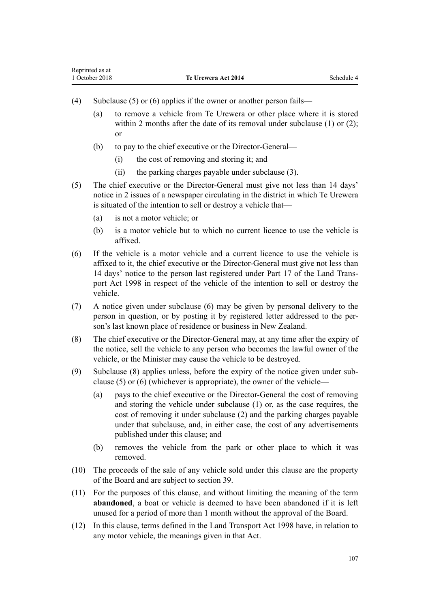- (4) Subclause (5) or (6) applies if the owner or another person fails—
	- (a) to remove a vehicle from Te Urewera or other place where it is stored within 2 months after the date of its removal under subclause (1) or (2): or
	- (b) to pay to the chief executive or the Director-General—
		- (i) the cost of removing and storing it; and
		- (ii) the parking charges payable under subclause (3).
- (5) The chief executive or the Director-General must give not less than 14 days' notice in 2 issues of a newspaper circulating in the district in which Te Urewera is situated of the intention to sell or destroy a vehicle that—
	- (a) is not a motor vehicle; or
	- (b) is a motor vehicle but to which no current licence to use the vehicle is affixed.
- (6) If the vehicle is a motor vehicle and a current licence to use the vehicle is affixed to it, the chief executive or the Director-General must give not less than 14 days' notice to the person last registered under [Part 17](http://prd-lgnz-nlb.prd.pco.net.nz/pdflink.aspx?id=DLM2214226) of the Land Transport Act 1998 in respect of the vehicle of the intention to sell or destroy the vehicle.
- (7) A notice given under subclause (6) may be given by personal delivery to the person in question, or by posting it by registered letter addressed to the person's last known place of residence or business in New Zealand.
- (8) The chief executive or the Director-General may, at any time after the expiry of the notice, sell the vehicle to any person who becomes the lawful owner of the vehicle, or the Minister may cause the vehicle to be destroyed.
- (9) Subclause (8) applies unless, before the expiry of the notice given under subclause (5) or (6) (whichever is appropriate), the owner of the vehicle—
	- (a) pays to the chief executive or the Director-General the cost of removing and storing the vehicle under subclause (1) or, as the case requires, the cost of removing it under subclause (2) and the parking charges payable under that subclause, and, in either case, the cost of any advertisements published under this clause; and
	- (b) removes the vehicle from the park or other place to which it was removed.
- (10) The proceeds of the sale of any vehicle sold under this clause are the property of the Board and are subject to [section 39](#page-23-0).
- (11) For the purposes of this clause, and without limiting the meaning of the term **abandoned**, a boat or vehicle is deemed to have been abandoned if it is left unused for a period of more than 1 month without the approval of the Board.
- (12) In this clause, terms defined in the [Land Transport Act 1998](http://prd-lgnz-nlb.prd.pco.net.nz/pdflink.aspx?id=DLM433612) have, in relation to any motor vehicle, the meanings given in that Act.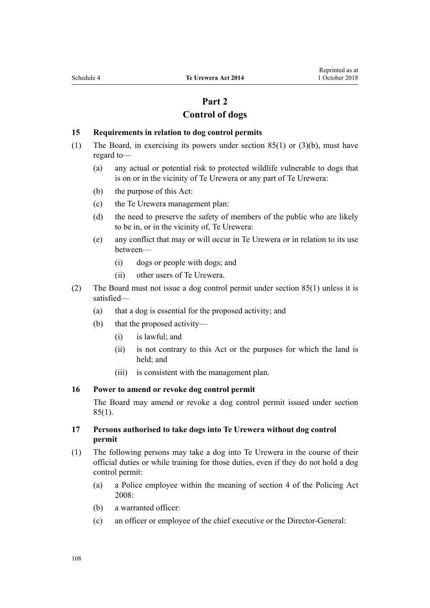# **Part 2**

## **Control of dogs**

#### <span id="page-107-0"></span>**15 Requirements in relation to dog control permits**

- (1) The Board, in exercising its powers under [section 85\(1\) or \(3\)\(b\),](#page-42-0) must have regard to—
	- (a) any actual or potential risk to protected wildlife vulnerable to dogs that is on or in the vicinity of Te Urewera or any part of Te Urewera:
	- (b) the purpose of this Act:
	- (c) the Te Urewera management plan:
	- (d) the need to preserve the safety of members of the public who are likely to be in, or in the vicinity of, Te Urewera:
	- (e) any conflict that may or will occur in Te Urewera or in relation to its use between—
		- (i) dogs or people with dogs; and
		- (ii) other users of Te Urewera.
- (2) The Board must not issue a dog control permit under [section 85\(1\)](#page-42-0) unless it is satisfied—
	- (a) that a dog is essential for the proposed activity; and
	- (b) that the proposed activity—
		- (i) is lawful; and
		- (ii) is not contrary to this Act or the purposes for which the land is held; and
		- (iii) is consistent with the management plan.

#### **16 Power to amend or revoke dog control permit**

The Board may amend or revoke a dog control permit issued under [section](#page-42-0)  $85(1)$ .

#### **17 Persons authorised to take dogs into Te Urewera without dog control permit**

- (1) The following persons may take a dog into Te Urewera in the course of their official duties or while training for those duties, even if they do not hold a dog control permit:
	- (a) a Police employee within the meaning of [section 4](http://prd-lgnz-nlb.prd.pco.net.nz/pdflink.aspx?id=DLM1102132) of the Policing Act 2008:
	- (b) a warranted officer:
	- (c) an officer or employee of the chief executive or the Director-General: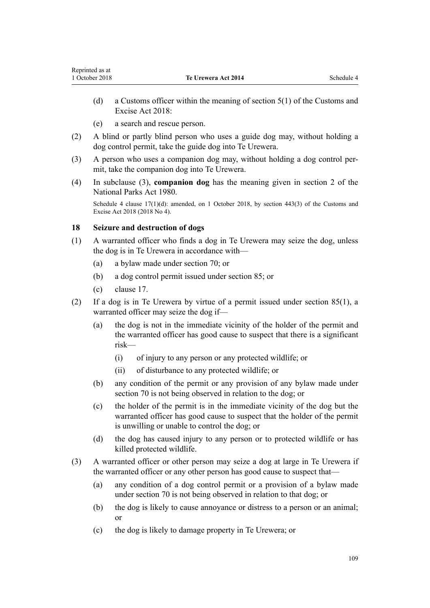- (d) a Customs officer within the meaning of [section 5\(1\)](http://prd-lgnz-nlb.prd.pco.net.nz/pdflink.aspx?id=DLM7038971) of the Customs and Excise Act 2018:
- (e) a search and rescue person.

<span id="page-108-0"></span>Reprinted as at

- (2) A blind or partly blind person who uses a guide dog may, without holding a dog control permit, take the guide dog into Te Urewera.
- (3) A person who uses a companion dog may, without holding a dog control permit, take the companion dog into Te Urewera.
- (4) In subclause (3), **companion dog** has the meaning given in [section 2](http://prd-lgnz-nlb.prd.pco.net.nz/pdflink.aspx?id=DLM36968) of the National Parks Act 1980.

Schedule 4 clause  $17(1)(d)$ : amended, on 1 October 2018, by [section 443\(3\)](http://prd-lgnz-nlb.prd.pco.net.nz/pdflink.aspx?id=DLM7039957) of the Customs and Excise Act 2018 (2018 No 4).

#### **18 Seizure and destruction of dogs**

- (1) A warranted officer who finds a dog in Te Urewera may seize the dog, unless the dog is in Te Urewera in accordance with—
	- (a) a bylaw made under [section 70;](#page-35-0) or
	- (b) a dog control permit issued under [section 85](#page-42-0); or
	- (c) [clause 17](#page-107-0).
- (2) If a dog is in Te Urewera by virtue of a permit issued under [section 85\(1\),](#page-42-0) a warranted officer may seize the dog if—
	- (a) the dog is not in the immediate vicinity of the holder of the permit and the warranted officer has good cause to suspect that there is a significant risk—
		- (i) of injury to any person or any protected wildlife; or
		- (ii) of disturbance to any protected wildlife; or
	- (b) any condition of the permit or any provision of any bylaw made under [section 70](#page-35-0) is not being observed in relation to the dog; or
	- (c) the holder of the permit is in the immediate vicinity of the dog but the warranted officer has good cause to suspect that the holder of the permit is unwilling or unable to control the dog; or
	- (d) the dog has caused injury to any person or to protected wildlife or has killed protected wildlife.
- (3) A warranted officer or other person may seize a dog at large in Te Urewera if the warranted officer or any other person has good cause to suspect that—
	- (a) any condition of a dog control permit or a provision of a bylaw made under [section 70](#page-35-0) is not being observed in relation to that dog; or
	- (b) the dog is likely to cause annoyance or distress to a person or an animal; or
	- (c) the dog is likely to damage property in Te Urewera; or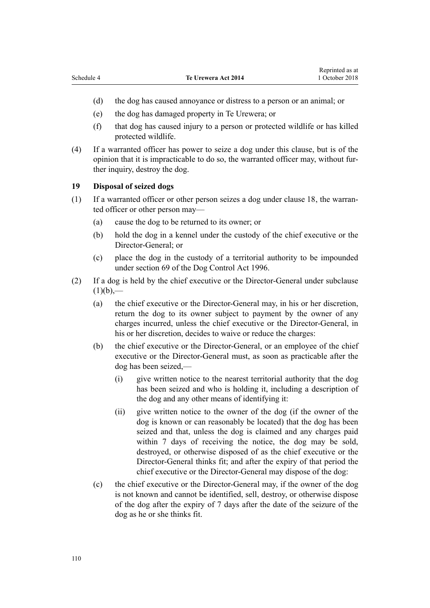Reprinted as at

- (d) the dog has caused annoyance or distress to a person or an animal; or
- (e) the dog has damaged property in Te Urewera; or
- (f) that dog has caused injury to a person or protected wildlife or has killed protected wildlife.
- (4) If a warranted officer has power to seize a dog under this clause, but is of the opinion that it is impracticable to do so, the warranted officer may, without further inquiry, destroy the dog.

# **19 Disposal of seized dogs**

- (1) If a warranted officer or other person seizes a dog under [clause 18,](#page-108-0) the warranted officer or other person may—
	- (a) cause the dog to be returned to its owner; or
	- (b) hold the dog in a kennel under the custody of the chief executive or the Director-General; or
	- (c) place the dog in the custody of a territorial authority to be impounded under [section 69](http://prd-lgnz-nlb.prd.pco.net.nz/pdflink.aspx?id=DLM375442) of the Dog Control Act 1996.
- (2) If a dog is held by the chief executive or the Director-General under subclause  $(1)(b)$ ,—
	- (a) the chief executive or the Director-General may, in his or her discretion, return the dog to its owner subject to payment by the owner of any charges incurred, unless the chief executive or the Director-General, in his or her discretion, decides to waive or reduce the charges:
	- (b) the chief executive or the Director-General, or an employee of the chief executive or the Director-General must, as soon as practicable after the dog has been seized,—
		- (i) give written notice to the nearest territorial authority that the dog has been seized and who is holding it, including a description of the dog and any other means of identifying it:
		- (ii) give written notice to the owner of the dog (if the owner of the dog is known or can reasonably be located) that the dog has been seized and that, unless the dog is claimed and any charges paid within 7 days of receiving the notice, the dog may be sold, destroyed, or otherwise disposed of as the chief executive or the Director-General thinks fit; and after the expiry of that period the chief executive or the Director-General may dispose of the dog:
	- (c) the chief executive or the Director-General may, if the owner of the dog is not known and cannot be identified, sell, destroy, or otherwise dispose of the dog after the expiry of 7 days after the date of the seizure of the dog as he or she thinks fit.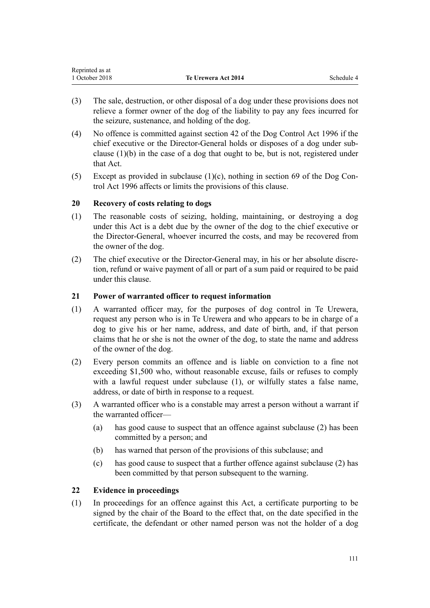| Reprinted as at |                            |            |
|-----------------|----------------------------|------------|
| 1 October 2018  | <b>Te Urewera Act 2014</b> | Schedule 4 |

- (3) The sale, destruction, or other disposal of a dog under these provisions does not relieve a former owner of the dog of the liability to pay any fees incurred for the seizure, sustenance, and holding of the dog.
- (4) No offence is committed against [section 42](http://prd-lgnz-nlb.prd.pco.net.nz/pdflink.aspx?id=DLM375173) of the Dog Control Act 1996 if the chief executive or the Director-General holds or disposes of a dog under subclause (1)(b) in the case of a dog that ought to be, but is not, registered under that Act.
- (5) Except as provided in subclause  $(1)(c)$ , nothing in [section 69](http://prd-lgnz-nlb.prd.pco.net.nz/pdflink.aspx?id=DLM375442) of the Dog Control Act 1996 affects or limits the provisions of this clause.

# **20 Recovery of costs relating to dogs**

- (1) The reasonable costs of seizing, holding, maintaining, or destroying a dog under this Act is a debt due by the owner of the dog to the chief executive or the Director-General, whoever incurred the costs, and may be recovered from the owner of the dog.
- (2) The chief executive or the Director-General may, in his or her absolute discretion, refund or waive payment of all or part of a sum paid or required to be paid under this clause.

# **21 Power of warranted officer to request information**

- (1) A warranted officer may, for the purposes of dog control in Te Urewera, request any person who is in Te Urewera and who appears to be in charge of a dog to give his or her name, address, and date of birth, and, if that person claims that he or she is not the owner of the dog, to state the name and address of the owner of the dog.
- (2) Every person commits an offence and is liable on conviction to a fine not exceeding \$1,500 who, without reasonable excuse, fails or refuses to comply with a lawful request under subclause (1), or wilfully states a false name, address, or date of birth in response to a request.
- (3) A warranted officer who is a constable may arrest a person without a warrant if the warranted officer—
	- (a) has good cause to suspect that an offence against subclause (2) has been committed by a person; and
	- (b) has warned that person of the provisions of this subclause; and
	- (c) has good cause to suspect that a further offence against subclause (2) has been committed by that person subsequent to the warning.

#### **22 Evidence in proceedings**

(1) In proceedings for an offence against this Act, a certificate purporting to be signed by the chair of the Board to the effect that, on the date specified in the certificate, the defendant or other named person was not the holder of a dog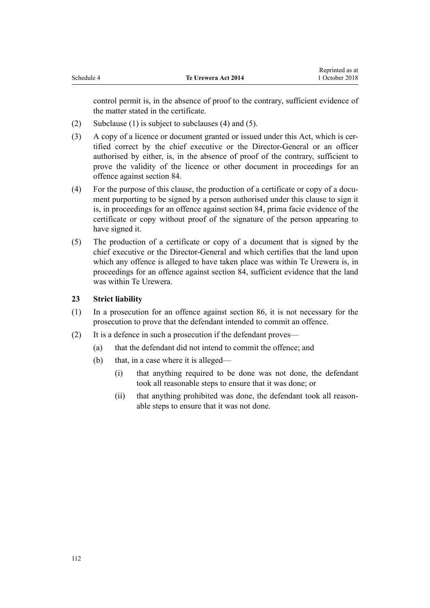control permit is, in the absence of proof to the contrary, sufficient evidence of the matter stated in the certificate.

- (2) Subclause (1) is subject to subclauses (4) and (5).
- (3) A copy of a licence or document granted or issued under this Act, which is certified correct by the chief executive or the Director-General or an officer authorised by either, is, in the absence of proof of the contrary, sufficient to prove the validity of the licence or other document in proceedings for an offence against [section 84.](#page-42-0)
- (4) For the purpose of this clause, the production of a certificate or copy of a document purporting to be signed by a person authorised under this clause to sign it is, in proceedings for an offence against [section 84](#page-42-0), prima facie evidence of the certificate or copy without proof of the signature of the person appearing to have signed it.
- (5) The production of a certificate or copy of a document that is signed by the chief executive or the Director-General and which certifies that the land upon which any offence is alleged to have taken place was within Te Urewera is, in proceedings for an offence against [section 84,](#page-42-0) sufficient evidence that the land was within Te Urewera.

# **23 Strict liability**

- (1) In a prosecution for an offence against [section 86,](#page-43-0) it is not necessary for the prosecution to prove that the defendant intended to commit an offence.
- (2) It is a defence in such a prosecution if the defendant proves—
	- (a) that the defendant did not intend to commit the offence; and
	- (b) that, in a case where it is alleged—
		- (i) that anything required to be done was not done, the defendant took all reasonable steps to ensure that it was done; or
		- (ii) that anything prohibited was done, the defendant took all reasonable steps to ensure that it was not done.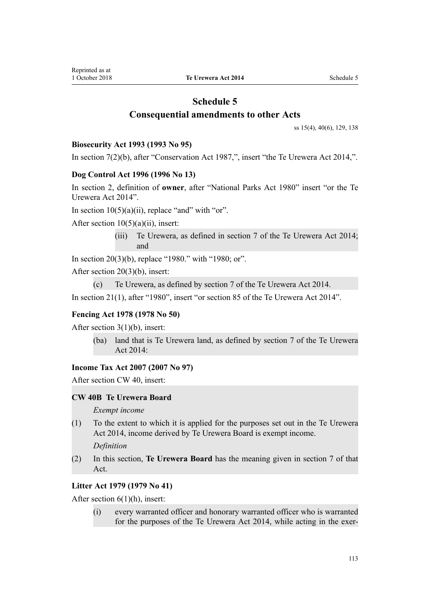# **Schedule 5 Consequential amendments to other Acts**

[ss 15\(4\)](#page-14-0), [40\(6\)](#page-24-0), [129](#page-63-0), [138](#page-67-0)

#### **Biosecurity Act 1993 (1993 No 95)**

In [section 7\(2\)\(b\),](http://prd-lgnz-nlb.prd.pco.net.nz/pdflink.aspx?id=DLM315227) after "Conservation Act 1987,", insert "the Te Urewera Act 2014,".

# **Dog Control Act 1996 (1996 No 13)**

In [section 2](http://prd-lgnz-nlb.prd.pco.net.nz/pdflink.aspx?id=DLM374415), definition of **owner**, after "National Parks Act 1980" insert "or the Te Urewera Act 2014".

In section  $10(5)(a)(ii)$ , replace "and" with "or".

After section  $10(5)(a)(ii)$ , insert:

(iii) Te Urewera, as defined in section 7 of the Te Urewera Act 2014; and

In [section 20\(3\)\(b\)](http://prd-lgnz-nlb.prd.pco.net.nz/pdflink.aspx?id=DLM374833), replace "1980." with "1980; or".

After [section 20\(3\)\(b\)](http://prd-lgnz-nlb.prd.pco.net.nz/pdflink.aspx?id=DLM374833), insert:

```
(c) Te Urewera, as defined by section 7 of the Te Urewera Act 2014.
```
In [section 21\(1\)](http://prd-lgnz-nlb.prd.pco.net.nz/pdflink.aspx?id=DLM374839), after "1980", insert "or section 85 of the Te Urewera Act 2014".

# **Fencing Act 1978 (1978 No 50)**

After [section 3\(1\)\(b\)](http://prd-lgnz-nlb.prd.pco.net.nz/pdflink.aspx?id=DLM21842), insert:

(ba) land that is Te Urewera land, as defined by section 7 of the Te Urewera Act 2014:

# **Income Tax Act 2007 (2007 No 97)**

After [section CW 40,](http://prd-lgnz-nlb.prd.pco.net.nz/pdflink.aspx?id=DLM1513267) insert:

# **CW 40B Te Urewera Board**

*Exempt income*

(1) To the extent to which it is applied for the purposes set out in the Te Urewera Act 2014, income derived by Te Urewera Board is exempt income.

*Definition*

(2) In this section, **Te Urewera Board** has the meaning given in section 7 of that Act.

# **Litter Act 1979 (1979 No 41)**

After [section 6\(1\)\(h\)](http://prd-lgnz-nlb.prd.pco.net.nz/pdflink.aspx?id=DLM33430), insert:

(i) every warranted officer and honorary warranted officer who is warranted for the purposes of the Te Urewera Act 2014, while acting in the exer-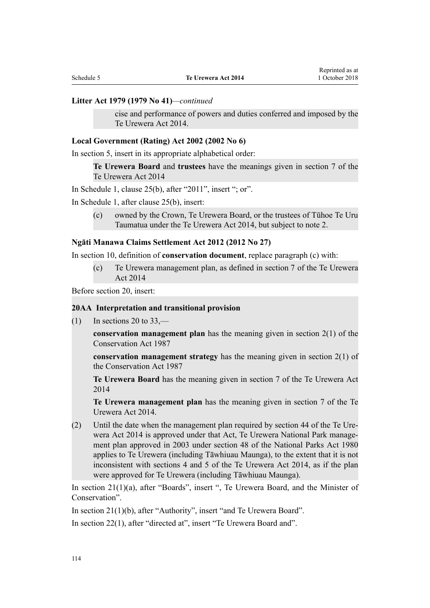#### **Litter Act 1979 (1979 No 41)***—continued*

cise and performance of powers and duties conferred and imposed by the Te Urewera Act 2014.

#### **Local Government (Rating) Act 2002 (2002 No 6)**

In [section 5,](http://prd-lgnz-nlb.prd.pco.net.nz/pdflink.aspx?id=DLM132004) insert in its appropriate alphabetical order:

**Te Urewera Board** and **trustees** have the meanings given in section 7 of the Te Urewera Act 2014

In Schedule 1, [clause 25\(b\),](http://prd-lgnz-nlb.prd.pco.net.nz/pdflink.aspx?id=DLM3682516) after "2011", insert "; or".

In Schedule 1, after [clause 25\(b\),](http://prd-lgnz-nlb.prd.pco.net.nz/pdflink.aspx?id=DLM3682516) insert:

(c) owned by the Crown, Te Urewera Board, or the trustees of Tūhoe Te Uru Taumatua under the Te Urewera Act 2014, but subject to note 2.

#### **Ngāti Manawa Claims Settlement Act 2012 (2012 No 27)**

In [section 10,](http://prd-lgnz-nlb.prd.pco.net.nz/pdflink.aspx?id=DLM3276821) definition of **conservation document**, replace paragraph (c) with:

(c) Te Urewera management plan, as defined in section 7 of the Te Urewera Act 2014

Before [section 20](http://prd-lgnz-nlb.prd.pco.net.nz/pdflink.aspx?id=DLM3276973), insert:

#### **20AA Interpretation and transitional provision**

 $(1)$  In sections 20 to 33,—

**conservation management plan** has the meaning given in section 2(1) of the Conservation Act 1987

**conservation management strategy** has the meaning given in section 2(1) of the Conservation Act 1987

**Te Urewera Board** has the meaning given in section 7 of the Te Urewera Act 2014

**Te Urewera management plan** has the meaning given in section 7 of the Te Urewera Act 2014.

(2) Until the date when the management plan required by section 44 of the Te Urewera Act 2014 is approved under that Act, Te Urewera National Park management plan approved in 2003 under section 48 of the National Parks Act 1980 applies to Te Urewera (including Tāwhiuau Maunga), to the extent that it is not inconsistent with sections 4 and 5 of the Te Urewera Act 2014, as if the plan were approved for Te Urewera (including Tāwhiuau Maunga).

In [section 21\(1\)\(a\)](http://prd-lgnz-nlb.prd.pco.net.nz/pdflink.aspx?id=DLM3276974), after "Boards", insert ", Te Urewera Board, and the Minister of Conservation".

In [section 21\(1\)\(b\)](http://prd-lgnz-nlb.prd.pco.net.nz/pdflink.aspx?id=DLM3276974), after "Authority", insert "and Te Urewera Board".

In [section 22\(1\)](http://prd-lgnz-nlb.prd.pco.net.nz/pdflink.aspx?id=DLM3276975), after "directed at", insert "Te Urewera Board and".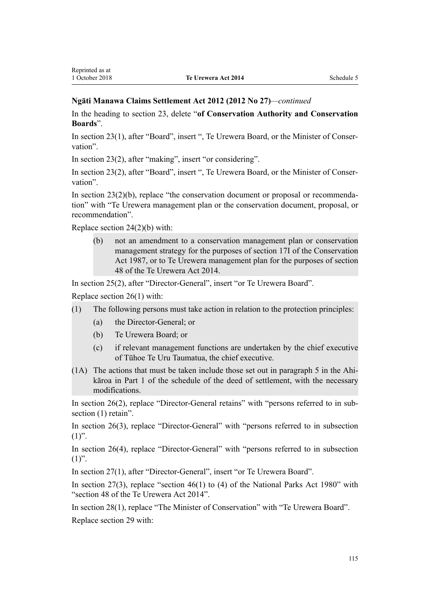#### **Ngāti Manawa Claims Settlement Act 2012 (2012 No 27)***—continued*

In the heading to [section 23](http://prd-lgnz-nlb.prd.pco.net.nz/pdflink.aspx?id=DLM3276976), delete "**of Conservation Authority and Conservation Boards**".

In [section 23\(1\)](http://prd-lgnz-nlb.prd.pco.net.nz/pdflink.aspx?id=DLM3276976), after "Board", insert ", Te Urewera Board, or the Minister of Conservation".

In [section 23\(2\)](http://prd-lgnz-nlb.prd.pco.net.nz/pdflink.aspx?id=DLM3276976), after "making", insert "or considering".

In [section 23\(2\)](http://prd-lgnz-nlb.prd.pco.net.nz/pdflink.aspx?id=DLM3276976), after "Board", insert ", Te Urewera Board, or the Minister of Conservation".

In [section 23\(2\)\(b\),](http://prd-lgnz-nlb.prd.pco.net.nz/pdflink.aspx?id=DLM3276976) replace "the conservation document or proposal or recommendation" with "Te Urewera management plan or the conservation document, proposal, or recommendation".

Replace [section 24\(2\)\(b\)](http://prd-lgnz-nlb.prd.pco.net.nz/pdflink.aspx?id=DLM3276977) with:

(b) not an amendment to a conservation management plan or conservation management strategy for the purposes of section 17I of the Conservation Act 1987, or to Te Urewera management plan for the purposes of section 48 of the Te Urewera Act 2014.

In [section 25\(2\)](http://prd-lgnz-nlb.prd.pco.net.nz/pdflink.aspx?id=DLM3276978), after "Director-General", insert "or Te Urewera Board".

Replace [section 26\(1\)](http://prd-lgnz-nlb.prd.pco.net.nz/pdflink.aspx?id=DLM3276979) with:

- (1) The following persons must take action in relation to the protection principles:
	- (a) the Director-General; or
	- (b) Te Urewera Board; or
	- (c) if relevant management functions are undertaken by the chief executive of Tūhoe Te Uru Taumatua, the chief executive.
- (1A) The actions that must be taken include those set out in paragraph 5 in the Ahikāroa in Part 1 of the schedule of the deed of settlement, with the necessary modifications.

In [section 26\(2\),](http://prd-lgnz-nlb.prd.pco.net.nz/pdflink.aspx?id=DLM3276979) replace "Director-General retains" with "persons referred to in subsection  $(1)$  retain".

In [section 26\(3\),](http://prd-lgnz-nlb.prd.pco.net.nz/pdflink.aspx?id=DLM3276979) replace "Director-General" with "persons referred to in subsection  $(1)$ ".

In [section 26\(4\),](http://prd-lgnz-nlb.prd.pco.net.nz/pdflink.aspx?id=DLM3276979) replace "Director-General" with "persons referred to in subsection  $(1)$ ".

In [section 27\(1\)](http://prd-lgnz-nlb.prd.pco.net.nz/pdflink.aspx?id=DLM3276980), after "Director-General", insert "or Te Urewera Board".

In [section 27\(3\)](http://prd-lgnz-nlb.prd.pco.net.nz/pdflink.aspx?id=DLM3276980), replace "section 46(1) to (4) of the National Parks Act 1980" with "section 48 of the Te Urewera Act 2014".

In [section 28\(1\)](http://prd-lgnz-nlb.prd.pco.net.nz/pdflink.aspx?id=DLM3276981), replace "The Minister of Conservation" with "Te Urewera Board". Replace [section 29](http://prd-lgnz-nlb.prd.pco.net.nz/pdflink.aspx?id=DLM3276982) with: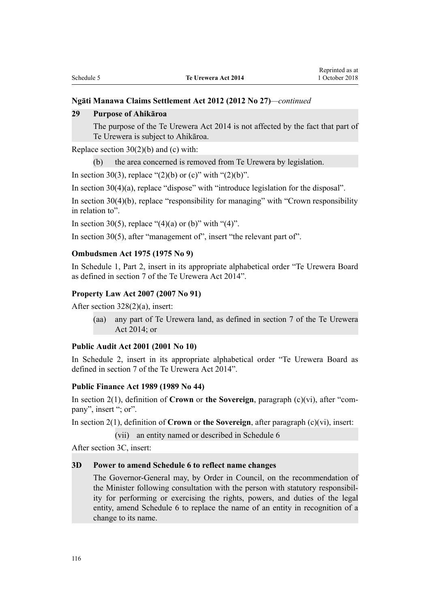#### **Ngāti Manawa Claims Settlement Act 2012 (2012 No 27)***—continued*

#### **29 Purpose of Ahikāroa**

The purpose of the Te Urewera Act 2014 is not affected by the fact that part of Te Urewera is subject to Ahikāroa.

Replace section  $30(2)(b)$  and (c) with:

(b) the area concerned is removed from Te Urewera by legislation.

In [section 30\(3\)](http://prd-lgnz-nlb.prd.pco.net.nz/pdflink.aspx?id=DLM3276983), replace "(2)(b) or (c)" with "(2)(b)".

In [section 30\(4\)\(a\),](http://prd-lgnz-nlb.prd.pco.net.nz/pdflink.aspx?id=DLM3276983) replace "dispose" with "introduce legislation for the disposal".

In [section 30\(4\)\(b\)](http://prd-lgnz-nlb.prd.pco.net.nz/pdflink.aspx?id=DLM3276983), replace "responsibility for managing" with "Crown responsibility in relation to".

In [section 30\(5\)](http://prd-lgnz-nlb.prd.pco.net.nz/pdflink.aspx?id=DLM3276983), replace "(4)(a) or (b)" with "(4)".

In [section 30\(5\)](http://prd-lgnz-nlb.prd.pco.net.nz/pdflink.aspx?id=DLM3276983), after "management of", insert "the relevant part of".

#### **Ombudsmen Act 1975 (1975 No 9)**

In Schedule 1, [Part 2,](http://prd-lgnz-nlb.prd.pco.net.nz/pdflink.aspx?id=DLM431296) insert in its appropriate alphabetical order "Te Urewera Board as defined in section 7 of the Te Urewera Act 2014".

#### **Property Law Act 2007 (2007 No 91)**

After [section 328\(2\)\(a\)](http://prd-lgnz-nlb.prd.pco.net.nz/pdflink.aspx?id=DLM969585), insert:

(aa) any part of Te Urewera land, as defined in section 7 of the Te Urewera Act 2014; or

#### **Public Audit Act 2001 (2001 No 10)**

In [Schedule 2,](http://prd-lgnz-nlb.prd.pco.net.nz/pdflink.aspx?id=DLM88987) insert in its appropriate alphabetical order "Te Urewera Board as defined in section 7 of the Te Urewera Act 2014".

#### **Public Finance Act 1989 (1989 No 44)**

In [section 2\(1\)](http://prd-lgnz-nlb.prd.pco.net.nz/pdflink.aspx?id=DLM160819), definition of **Crown** or **the Sovereign**, paragraph (c)(vi), after "company", insert "; or".

In [section 2\(1\)](http://prd-lgnz-nlb.prd.pco.net.nz/pdflink.aspx?id=DLM160819), definition of **Crown** or **the Sovereign**, after paragraph (c)(vi), insert:

(vii) an entity named or described in Schedule 6

After [section 3C](http://prd-lgnz-nlb.prd.pco.net.nz/pdflink.aspx?id=DLM4576347), insert:

# **3D Power to amend Schedule 6 to reflect name changes**

The Governor-General may, by Order in Council, on the recommendation of the Minister following consultation with the person with statutory responsibility for performing or exercising the rights, powers, and duties of the legal entity, amend Schedule 6 to replace the name of an entity in recognition of a change to its name.